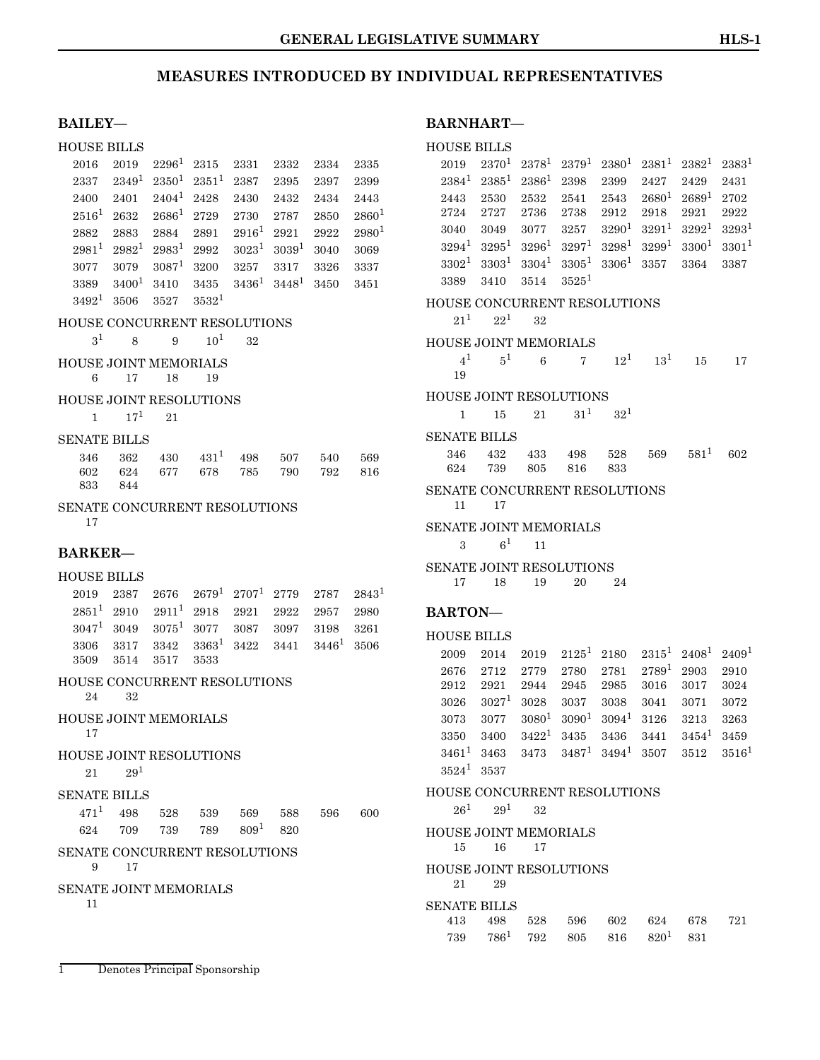#### **BAILEY—**

#### HOUSE BILLS

|                                      |  | $2016 \quad 2019 \quad 2296^1 \quad 2315 \quad 2331 \quad 2332 \quad 2334 \quad 2335$     |  |  |
|--------------------------------------|--|-------------------------------------------------------------------------------------------|--|--|
|                                      |  | $2337 \quad 2349^1 \quad 2350^1 \quad 2351^1 \quad 2387 \quad 2395 \quad 2397 \quad 2399$ |  |  |
|                                      |  | 2400 2401 2404 <sup>1</sup> 2428 2430 2432 2434 2443                                      |  |  |
|                                      |  | $2516^1$ $2632$ $2686^1$ $2729$ $2730$ $2787$ $2850$ $2860^1$                             |  |  |
|                                      |  | $2882$ $2883$ $2884$ $2891$ $2916$ <sup>1</sup> $2921$ $2922$ $2980$ <sup>1</sup>         |  |  |
|                                      |  | $2981^1$ $2982^1$ $2983^1$ $2992$ $3023^1$ $3039^1$ $3040$ $3069$                         |  |  |
|                                      |  | $3077$ $3079$ $3087^1$ $3200$ $3257$ $3317$ $3326$ $3337$                                 |  |  |
|                                      |  | $3389$ $3400^1$ $3410$ $3435$ $3436^1$ $3448^1$ $3450$ $3451$                             |  |  |
| $3492^1$ 3506 3527 3532 <sup>1</sup> |  |                                                                                           |  |  |

### HOUSE CONCURRENT RESOLUTIONS

 $3^1$  $3^1$  8 9 10<sup>1</sup> 32

### HOUSE JOINT MEMORIALS

6 17 18 19

#### HOUSE JOINT RESOLUTIONS

 $1 \t 17^1 \t 21$  $1 \t 17^1 \t 21$ 

#### SENATE BILLS

|         | 346 362 430 431 498 507 540 569 |  |  |
|---------|---------------------------------|--|--|
|         | 602 624 677 678 785 790 792 816 |  |  |
| 833 844 |                                 |  |  |

### SENATE CONCURRENT RESOLUTIONS

17

#### **BARKER—**

#### HOUSE BILLS

|  | $2019$ $2387$ $2676$ $2679^1$ $2707^1$ $2779$ $2787$ $2843^1$ |  |  |  |
|--|---------------------------------------------------------------|--|--|--|
|  | $2851^1$ $2910$ $2911^1$ $2918$ $2921$ $2922$ $2957$ $2980$   |  |  |  |
|  | $3047^1$ $3049$ $3075^1$ $3077$ $3087$ $3097$ $3198$ $3261$   |  |  |  |
|  | $3306$ $3317$ $3342$ $3363^1$ $3422$ $3441$ $3446^1$ $3506$   |  |  |  |
|  | 3509 3514 3517 3533                                           |  |  |  |

#### HOUSE CONCURRENT RESOLUTIONS 24 32

```
HOUSE JOINT MEMORIALS
17
```
### HOUSE JOINT RESOLUTIONS

 $21 \qquad 29^1$  $21 \qquad 29^1$  $21 \qquad 29^1$ 

### SENATE BILLS

|  |  | $471^1$ $498$ $528$ $539$ $569$ $588$ $596$ $600$ |  |  |
|--|--|---------------------------------------------------|--|--|
|  |  | $624$ 709 739 789 809 <sup>1</sup> 820            |  |  |

### SENATE CONCURRENT RESOLUTIONS

9 17

SENATE JOINT MEMORIALS

<span id="page-0-0"></span>11

### **BARNHART—**

### HOUSE BILLS

| 2019                           | $2370^{1}$                                           | $2378^1$          | $2379^1$       | $2380^1$ | $2381^1$   | $2382^1$               | $2383^1$          |  |
|--------------------------------|------------------------------------------------------|-------------------|----------------|----------|------------|------------------------|-------------------|--|
| $2384^1$                       | $2385^1$                                             | $2386^1$          | 2398           | 2399     | 2427       | 2429                   | 2431              |  |
| 2443                           | 2530                                                 | 2532              | 2541           | 2543     | $2680^1$   | $2689^1$               | 2702              |  |
| 2724                           | 2727                                                 | 2736              | 2738           | 2912     | 2918       | 2921                   | 2922              |  |
| 3040                           | 3049                                                 | 3077              | 3257           | $3290^1$ | $3291^1$   | $3292^1$               | $3293^1$          |  |
| $3294^1$                       | $3295^1$                                             | $3296^1$          | $3297^1$       | $3298^1$ | $3299^{1}$ | $3300^1$               | $3301^{1}$        |  |
|                                | $3302^1$ $3303^1$                                    | $3304^1$ $3305^1$ |                | $3306^1$ | 3357       | 3364                   | 3387              |  |
| 3389                           | 3410                                                 | 3514              | $3525^1$       |          |            |                        |                   |  |
| HOUSE CONCURRENT RESOLUTIONS   |                                                      |                   |                |          |            |                        |                   |  |
| $21^{1}$                       | $22^1$                                               | 32                |                |          |            |                        |                   |  |
|                                |                                                      |                   |                |          |            |                        |                   |  |
| HOUSE JOINT MEMORIALS          |                                                      |                   |                |          |            |                        |                   |  |
| 4 <sup>1</sup><br>19           | 5 <sup>1</sup>                                       | 6                 | $\overline{7}$ | $12^1$   | $13^1$     | 15                     | 17                |  |
|                                |                                                      |                   |                |          |            |                        |                   |  |
| <b>HOUSE JOINT RESOLUTIONS</b> |                                                      |                   |                |          |            |                        |                   |  |
| 1                              | 15                                                   | 21                | $31^{1}$       | $32^{1}$ |            |                        |                   |  |
| SENATE BILLS                   |                                                      |                   |                |          |            |                        |                   |  |
| 346                            | 432                                                  | 433               | 498            | 528      | 569        | $581^{1}$              | 602               |  |
| 624                            | 739                                                  | 805               | 816            | 833      |            |                        |                   |  |
| SENATE CONCURRENT RESOLUTIONS  |                                                      |                   |                |          |            |                        |                   |  |
| 11                             | 17                                                   |                   |                |          |            |                        |                   |  |
| SENATE JOINT MEMORIALS         |                                                      |                   |                |          |            |                        |                   |  |
| 3                              | $\rm 6^1$                                            | 11                |                |          |            |                        |                   |  |
| SENATE JOINT RESOLUTIONS       |                                                      |                   |                |          |            |                        |                   |  |
| 17                             | 18                                                   | 19                | 20             | 24       |            |                        |                   |  |
|                                |                                                      |                   |                |          |            |                        |                   |  |
| <b>BARTON-</b>                 |                                                      |                   |                |          |            |                        |                   |  |
| <b>HOUSE BILLS</b>             |                                                      |                   |                |          |            |                        |                   |  |
| 2009                           | 2014                                                 | 2019              | $2125^1$       | 2180     | $2315^1$   | $2408^1$               | 2409 <sup>1</sup> |  |
| 2676                           | 2712                                                 | 2779              | 2780           | 2781     | $2789^1$   | 2903                   | 2910              |  |
| 2912                           | 2921                                                 | 2944              | 2945           | 2985     | 3016       | 3017                   | 3024              |  |
| 3026                           | $3027^1$                                             | 3028              | 3037           | 3038     | 3041       | 3071                   | 3072              |  |
| 3073                           | 3077                                                 | $3080^{1}$        | $3090^1$       | $3094^1$ | 3126       | 3213                   | 3263              |  |
| 3350                           | 3400                                                 | $3422^1$          | 3435           | 3436     | 3441       | $3454^1$               | 3459              |  |
| $3461^{1}$                     | 3463 3473                                            |                   | $3487^1$       | $3494^1$ |            | $3507$ $3512$ $3516^1$ |                   |  |
| $3524^1$ 3537                  |                                                      |                   |                |          |            |                        |                   |  |
| HOUSE CONCURRENT RESOLUTIONS   |                                                      |                   |                |          |            |                        |                   |  |
|                                | $26^1$ $29^1$                                        | 32                |                |          |            |                        |                   |  |
|                                |                                                      |                   |                |          |            |                        |                   |  |
| HOUSE JOINT MEMORIALS          |                                                      |                   |                |          |            |                        |                   |  |
|                                |                                                      |                   |                |          |            |                        |                   |  |
| 15                             | 16                                                   | 17                |                |          |            |                        |                   |  |
| <b>HOUSE JOINT RESOLUTIONS</b> |                                                      |                   |                |          |            |                        |                   |  |
| 21                             | 29                                                   |                   |                |          |            |                        |                   |  |
| <b>SENATE BILLS</b>            |                                                      |                   |                |          |            |                        |                   |  |
| 413                            | 498<br>$739$ $786^1$ $792$ $805$ $816$ $820^1$ $831$ |                   | 528 596        |          | 602 624    | 678                    | 721               |  |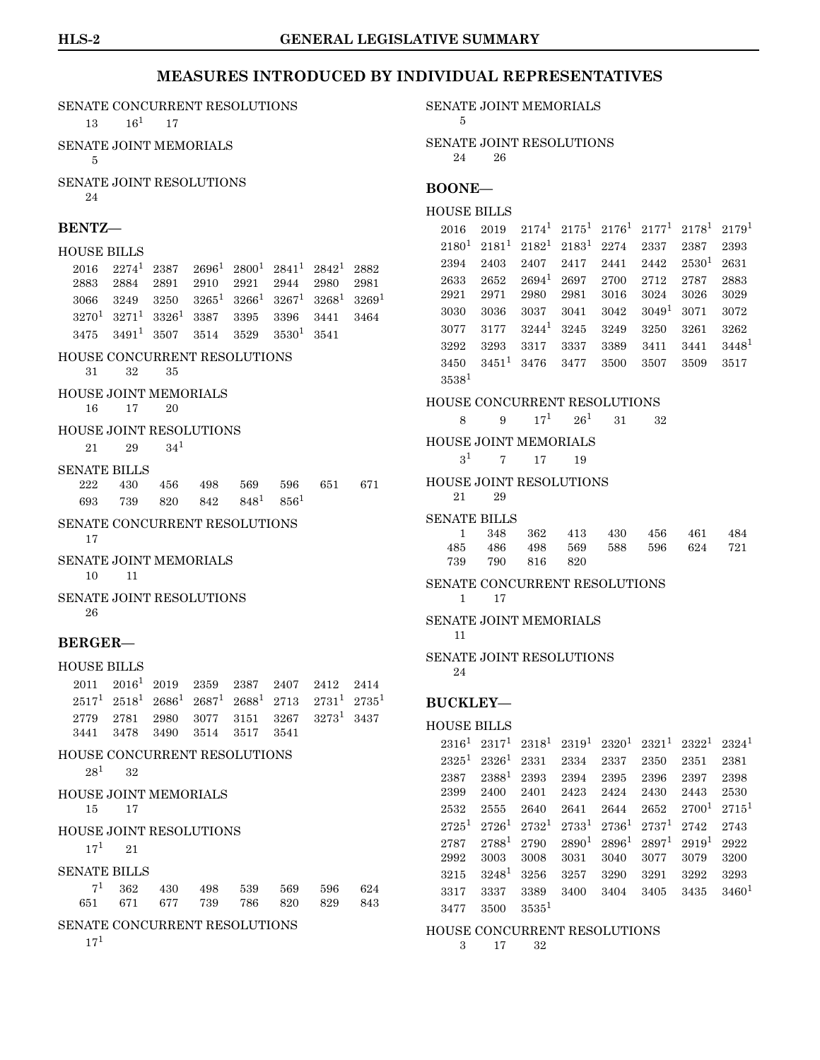#### SENATE CONCURRENT RESOLUTIONS

 $13 \t 16^1 \t 17$  $13 \t 16^1 \t 17$ 

SENATE JOINT MEMORIALS 5

SENATE JOINT RESOLUTIONS 24

### **BENTZ—**

#### HOUSE BILLS

|  |  | $2016 \quad 2274^1 \quad 2387 \quad 2696^1 \quad 2800^1 \quad 2841^1 \quad 2842^1 \quad 2882$ |  |
|--|--|-----------------------------------------------------------------------------------------------|--|
|  |  | 2883 2884 2891 2910 2921 2944 2980 2981                                                       |  |
|  |  | $3066 \quad 3249 \quad 3250 \quad 3265^1 \quad 3266^1 \quad 3267^1 \quad 3268^1 \quad 3269^1$ |  |
|  |  | $3270^1$ $3271^1$ $3326^1$ $3387$ $3395$ $3396$ $3441$ $3464$                                 |  |
|  |  | $3475$ $3491^1$ $3507$ $3514$ $3529$ $3530^1$ $3541$                                          |  |

#### HOUSE CONCURRENT RESOLUTIONS 31 32 35

HOUSE JOINT MEMORIALS

16 17 20

#### HOUSE JOINT RESOLUTIONS

21 29 34[1](#page-0-0)

#### SENATE BILLS

222 430 456 498 569 596 651 671  $693$   $739$   $820$   $842$   $848^1$  $848^1$   $856^1$ 

#### SENATE CONCURRENT RESOLUTIONS 17

SENATE JOINT MEMORIALS

10 11

#### SENATE JOINT RESOLUTIONS 26

#### **BERGER—**

#### HOUSE BILLS

|  |                               |  | $2011$ $2016$ <sup>1</sup> $2019$ $2359$ $2387$ $2407$ $2412$ $2414$  |  |
|--|-------------------------------|--|-----------------------------------------------------------------------|--|
|  |                               |  | $2517^1$ $2518^1$ $2686^1$ $2687^1$ $2688^1$ $2713$ $2731^1$ $2735^1$ |  |
|  |                               |  | $2779$ $2781$ $2980$ $3077$ $3151$ $3267$ $3273^1$ $3437$             |  |
|  | 3441 3478 3490 3514 3517 3541 |  |                                                                       |  |
|  | HOUSE CONCURRENT RESOLUTIONS  |  |                                                                       |  |

 $28^1$  $28^1$  32

HOUSE JOINT MEMORIALS

15 17

#### HOUSE JOINT RESOLUTIONS

 $17^1$  $17^1$  21

#### SENATE BILLS

|  |  | $7^1$ 362 430 498 539 569 596 624 |  |
|--|--|-----------------------------------|--|
|  |  | 651 671 677 739 786 820 829 843   |  |

### SENATE CONCURRENT RESOLUTIONS

17[1](#page-0-0)

SENATE JOINT MEMORIALS

```
5
```
SENATE JOINT RESOLUTIONS 24 26

#### **BOONE—**

#### HOUSE BILLS

 $2016 \quad 2019 \quad 2174^1 \quad 2175^1 \quad 2176^1 \quad 2177^1 \quad 2178^1 \quad 2179^1$  $2016 \quad 2019 \quad 2174^1 \quad 2175^1 \quad 2176^1 \quad 2177^1 \quad 2178^1 \quad 2179^1$  $2016 \quad 2019 \quad 2174^1 \quad 2175^1 \quad 2176^1 \quad 2177^1 \quad 2178^1 \quad 2179^1$  $2180^1 \quad 2181^1 \quad 2182^1 \quad 2183^1 \quad 2274 \quad \ 2337 \quad \ 2387 \quad \ 2393$  $2180^1 \quad 2181^1 \quad 2182^1 \quad 2183^1 \quad 2274 \quad \ 2337 \quad \ 2387 \quad \ 2393$  $2180^1 \quad 2181^1 \quad 2182^1 \quad 2183^1 \quad 2274 \quad \ 2337 \quad \ 2387 \quad \ 2393$  $2394$   $2403$   $2407$   $2417$  $2417$  $2417$   $2441$   $2442$   $2530$ <sup>1</sup>  $2631$ 2633 2652 2694[1](#page-0-0) 2697 2700 2712 2787 2883 2921 2971 2980 2981 3016 3024 3026 3029 3030 3036 3037 3041 3042 3049[1](#page-0-0) 3071 3072 3077 3177 3244[1](#page-0-0) 3245 3249 3250 3261 3262  $3292$   $3293$   $3317$  $3317$  $3317$   $3337$   $3389$   $3411$   $3441$   $3448$ <sup>1</sup> 3450 3451[1](#page-0-0) 3476 3477 3500 3507 3509 3517  $3538^1$  $3538^1$ 

#### HOUSE CONCURRENT RESOLUTIONS

8 9  $17^1$  $17^1$   $26^1$  31 32

#### HOUSE JOINT MEMORIALS

 $3^1$  $3^1$  7 17 19

#### HOUSE JOINT RESOLUTIONS 21 29

#### SENATE BILLS

| 1 348 362 413 430 456 461 484   |  |  |  |
|---------------------------------|--|--|--|
| 485 486 498 569 588 596 624 721 |  |  |  |
| 739 790 816 820                 |  |  |  |

### SENATE CONCURRENT RESOLUTIONS

1 17

SENATE JOINT MEMORIALS

11

#### SENATE JOINT RESOLUTIONS

#### 24

**BUCKLEY—** HOUSE BILLS

### $2316^1$  $2316^1$  $2316^1$   $2317^1$   $2318^1$   $2319^1$   $2320^1$   $2321^1$   $2322^1$   $2324^1$  $2325^1$  $2325^1$   $2326^1$   $2331$   $2334$   $2337$   $2350$   $2351$   $2381$ 2387 2388[1](#page-0-0) 2393 2394 2395 2396 2397 2398 2399 2400 2401 2423 2424 2430 2443 2530  $2532$   $2555$   $2640$   $2641$  $2641$   $2644$   $2652$   $2700$ <sup>1</sup>  $2715$ <sup>1</sup>  $\label{eq:2725} 2725^1 \ \ 2726^1 \ \ 2732^1 \ \ 2733^1 \ \ 2736^1 \ \ 2737^1 \ \ 2742 \ \ \ 2743$  $\label{eq:2725} 2725^1 \ \ 2726^1 \ \ 2732^1 \ \ 2733^1 \ \ 2736^1 \ \ 2737^1 \ \ 2742 \ \ \ 2743$  $\label{eq:2725} 2725^1 \ \ 2726^1 \ \ 2732^1 \ \ 2733^1 \ \ 2736^1 \ \ 2737^1 \ \ 2742 \ \ \ 2743$  $2787$   $2788^1$  $2788^1$   $2790$   $2890^1$   $2896^1$   $2897^1$   $2919^1$   $2922$ 2992 3003 3008 3031 3040 3077 3079 3200 3215 3248[1](#page-0-0) 3256 3257 3290 3291 3292 3293 3317 3337 3389 3400 3404 3405 3435 3460[1](#page-0-0)  $3477$   $3500$   $3535^1$  $3535^1$

#### HOUSE CONCURRENT RESOLUTIONS 3 17 32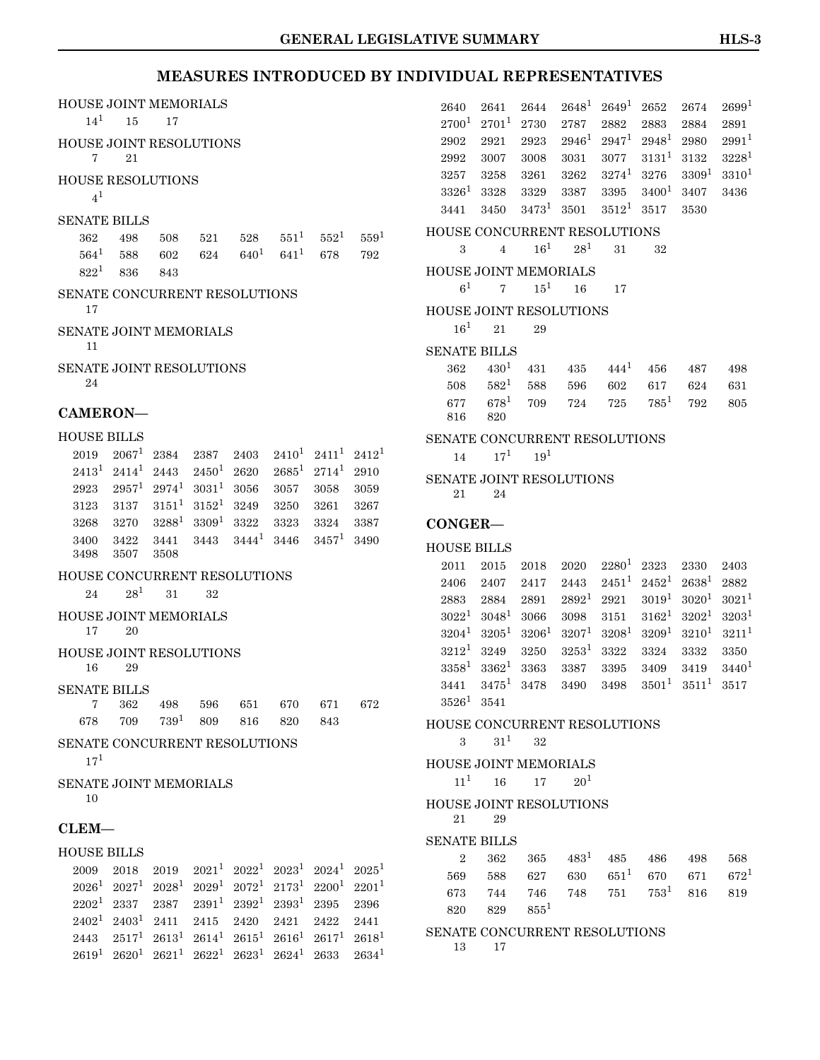| HOUSE JOINT MEMORIALS               |                          |                        |                               |                                   |              |                                                                |              | 2640                           | 2641             | 2644              | $2648^1$          | $2649^1$          | 2652              | 2674              | $2699^1$          |
|-------------------------------------|--------------------------|------------------------|-------------------------------|-----------------------------------|--------------|----------------------------------------------------------------|--------------|--------------------------------|------------------|-------------------|-------------------|-------------------|-------------------|-------------------|-------------------|
| $14^{1}$                            | 15                       | 17                     |                               |                                   |              |                                                                |              | 2700 <sup>1</sup>              | $2701^1$         | 2730              | 2787              | 2882              | 2883              | 2884              | 2891              |
| HOUSE JOINT RESOLUTIONS             |                          |                        |                               |                                   |              |                                                                |              | 2902                           | 2921             | 2923              | $2946^1$          | $2947^1$          | $2948^1$          | 2980              | $2991^{1}$        |
| 7                                   | 21                       |                        |                               |                                   |              |                                                                |              | 2992                           | 3007             | 3008              | 3031              | 3077              | $3131^1$          | 3132              | $3228^1$          |
| <b>HOUSE RESOLUTIONS</b>            |                          |                        |                               |                                   |              |                                                                |              | 3257                           | 3258             | 3261              | 3262              | $3274^1$          | 3276              | 3309 <sup>1</sup> | 3310 <sup>1</sup> |
| $4^1$                               |                          |                        |                               |                                   |              |                                                                |              | $3326^1$                       | 3328             | 3329              | 3387              | 3395              | $3400^1$          | 3407              | 3436              |
| <b>SENATE BILLS</b>                 |                          |                        |                               |                                   |              |                                                                |              | 3441                           | 3450             | $3473^1$          | 3501              | $3512^1$          | 3517              | 3530              |                   |
| 362                                 | 498                      | 508                    |                               | 528                               | $551^1$      | $552^1$                                                        | $559^1$      | HOUSE CONCURRENT RESOLUTIONS   |                  |                   |                   |                   |                   |                   |                   |
| $564^1$                             | 588                      | 602                    | 521<br>624                    | $640^{1}$                         | $641^{1}$    | 678                                                            | 792          | 3                              | $\overline{4}$   | $16^{1}$          | $28^{1}$          | 31                | 32                |                   |                   |
| $822^1$                             | 836                      | 843                    |                               |                                   |              |                                                                |              | HOUSE JOINT MEMORIALS          |                  |                   |                   |                   |                   |                   |                   |
|                                     |                          |                        |                               |                                   |              |                                                                |              | 6 <sup>1</sup>                 | $\overline{7}$   | $15^1$            | 16                | 17                |                   |                   |                   |
| SENATE CONCURRENT RESOLUTIONS<br>17 |                          |                        |                               |                                   |              |                                                                |              |                                |                  |                   |                   |                   |                   |                   |                   |
|                                     |                          |                        |                               |                                   |              |                                                                |              | HOUSE JOINT RESOLUTIONS        |                  |                   |                   |                   |                   |                   |                   |
| SENATE JOINT MEMORIALS              |                          |                        |                               |                                   |              |                                                                |              | $16^{1}$                       | 21               | 29                |                   |                   |                   |                   |                   |
| 11                                  |                          |                        |                               |                                   |              |                                                                |              | <b>SENATE BILLS</b>            |                  |                   |                   |                   |                   |                   |                   |
| <b>SENATE JOINT RESOLUTIONS</b>     |                          |                        |                               |                                   |              |                                                                |              | 362                            | 430 <sup>1</sup> | 431               | 435               | $444^{1}$         | 456               | 487               | 498               |
| 24                                  |                          |                        |                               |                                   |              |                                                                |              | 508                            | $582^1$          | 588               | 596               | 602               | 617               | 624               | 631               |
| CAMERON-                            |                          |                        |                               |                                   |              |                                                                |              | 677                            | $678^1$          | 709               | 724               | 725               | $785^1$           | 792               | 805               |
|                                     |                          |                        |                               |                                   |              |                                                                |              | 816                            | 820              |                   |                   |                   |                   |                   |                   |
| <b>HOUSE BILLS</b>                  |                          |                        |                               |                                   |              |                                                                |              | SENATE CONCURRENT RESOLUTIONS  |                  |                   |                   |                   |                   |                   |                   |
| 2019                                | $2067^1$                 | 2384                   | 2387                          | 2403                              |              | $2410^1$ $2411^1$                                              | $2412^1$     | 14                             | $17^{1}$         | $19^1\,$          |                   |                   |                   |                   |                   |
| $2413^1$                            | $2414^1$                 | 2443                   | $2450^1$                      | 2620                              | $2685^1$     | $2714^1$                                                       | 2910         | SENATE JOINT RESOLUTIONS       |                  |                   |                   |                   |                   |                   |                   |
| 2923                                | $2957^1$                 | $2974^1$               | $3031^1$                      | 3056                              | 3057         | 3058                                                           | 3059         | 21                             | 24               |                   |                   |                   |                   |                   |                   |
| 3123                                | 3137<br>3270             | $3151^1\,$<br>$3288^1$ | $3152^1$<br>3309 <sup>1</sup> | 3249                              | 3250         | 3261<br>3324                                                   | 3267         |                                |                  |                   |                   |                   |                   |                   |                   |
| 3268<br>3400                        | 3422                     | 3441                   | 3443                          | 3322<br>$3444^{1}$                | 3323<br>3446 | $3457^1$                                                       | 3387<br>3490 | CONGER-                        |                  |                   |                   |                   |                   |                   |                   |
| 3498                                | 3507                     | 3508                   |                               |                                   |              |                                                                |              | <b>HOUSE BILLS</b>             |                  |                   |                   |                   |                   |                   |                   |
|                                     |                          |                        |                               |                                   |              |                                                                |              | $2011\,$                       | 2015             | 2018              | 2020              | $2280^1$          | 2323              | 2330              | 2403              |
| HOUSE CONCURRENT RESOLUTIONS        | 28 <sup>1</sup>          |                        |                               |                                   |              |                                                                |              | 2406                           | 2407             | 2417              | 2443              | $2451^1$          | $2452^1$          | $2638^1$          | 2882              |
| 24                                  |                          | 31                     | 32                            |                                   |              |                                                                |              | 2883                           | 2884             | 2891              | $2892^1$          | 2921              | $3019^1$          | $3020^{1}$        | $3021^1$          |
| HOUSE JOINT MEMORIALS               |                          |                        |                               |                                   |              |                                                                |              | $3022^1$                       | $3048^1$         | 3066              | 3098              | 3151              | $3162^1$          | 3202 <sup>1</sup> | 3203 <sup>1</sup> |
| 17                                  | 20                       |                        |                               |                                   |              |                                                                |              | $3204^1$                       | $3205^1$         | 3206 <sup>1</sup> | 3207 <sup>1</sup> | 3208 <sup>1</sup> | 3209 <sup>1</sup> | $3210^{1}$        | $3211^1$          |
| HOUSE JOINT RESOLUTIONS             |                          |                        |                               |                                   |              |                                                                |              | $3212^1$                       | 3249             | 3250              | $3253^1$          | 3322              | 3324              | 3332              | 3350              |
| 16                                  | 29                       |                        |                               |                                   |              |                                                                |              | $3358^1$                       | $3362^1$         | 3363              | 3387              | 3395              | 3409              | 3419              | $3440^1$          |
| <b>SENATE BILLS</b>                 |                          |                        |                               |                                   |              |                                                                |              | 3441                           | $3475^1$         | 3478              | 3490              | 3498              | $3501^1$          | $3511^1$          | 3517              |
| 7                                   | 362                      | 498                    | 596                           | 651                               | 670          | 671                                                            | 672          | $3526^1$ 3541                  |                  |                   |                   |                   |                   |                   |                   |
| 678                                 | 709                      | $739^{1}$              | 809                           | 816                               | 820          | 843                                                            |              | HOUSE CONCURRENT RESOLUTIONS   |                  |                   |                   |                   |                   |                   |                   |
| SENATE CONCURRENT RESOLUTIONS       |                          |                        |                               |                                   |              |                                                                |              | $\mathcal{S}$                  | $31^{1}$         | $32\,$            |                   |                   |                   |                   |                   |
| $17^{1}$                            |                          |                        |                               |                                   |              |                                                                |              | <b>HOUSE JOINT MEMORIALS</b>   |                  |                   |                   |                   |                   |                   |                   |
| <b>SENATE JOINT MEMORIALS</b>       |                          |                        |                               |                                   |              |                                                                |              | $11^{1}$                       | 16               | 17                | 20 <sup>1</sup>   |                   |                   |                   |                   |
| 10                                  |                          |                        |                               |                                   |              |                                                                |              | <b>HOUSE JOINT RESOLUTIONS</b> |                  |                   |                   |                   |                   |                   |                   |
|                                     |                          |                        |                               |                                   |              |                                                                |              | 21                             | 29               |                   |                   |                   |                   |                   |                   |
| $CLEM-$                             |                          |                        |                               |                                   |              |                                                                |              | <b>SENATE BILLS</b>            |                  |                   |                   |                   |                   |                   |                   |
| <b>HOUSE BILLS</b>                  |                          |                        |                               |                                   |              |                                                                |              | $\overline{2}$                 | 362              | 365               | $483^1$           | 485               | 486               | 498               | 568               |
| 2009                                | 2018                     | 2019                   |                               |                                   |              | $2021^1$ $2022^1$ $2023^1$ $2024^1$ $2025^1$                   |              | 569                            | 588              | 627               | 630               | $651^{1}$         | 670               | 671               | $672^1$           |
|                                     | $2026^1$ $2027^1$        | $2028^1$               |                               |                                   |              | $2029^1$ $2072^1$ $2173^1$ $2200^1$ $2201^1$                   |              | 673                            | 744              | 746               | 748               | 751               | $753^1$           | 816               | 819               |
| $2202^1$                            | 2337                     | 2387                   |                               | $2391^1$ $2392^1$ $2393^1$ $2395$ |              |                                                                | 2396         | 820                            | 829              | $855^1$           |                   |                   |                   |                   |                   |
|                                     | $2402^1$ $2403^1$ $2411$ |                        | 2415                          | 2420                              | 2421         | 2422                                                           | 2441         |                                |                  |                   |                   |                   |                   |                   |                   |
| 2443                                |                          |                        |                               |                                   |              | $2517^1$ $2613^1$ $2614^1$ $2615^1$ $2616^1$ $2617^1$ $2618^1$ |              | SENATE CONCURRENT RESOLUTIONS  |                  |                   |                   |                   |                   |                   |                   |

13 17

 $2619^1 \ 2620^1 \ 2621^1 \ 2622^1 \ 2623^1 \ 2624^1 \ 2633 \ 2634^1$  $2619^1 \ 2620^1 \ 2621^1 \ 2622^1 \ 2623^1 \ 2624^1 \ 2633 \ 2634^1$  $2619^1 \ 2620^1 \ 2621^1 \ 2622^1 \ 2623^1 \ 2624^1 \ 2633 \ 2634^1$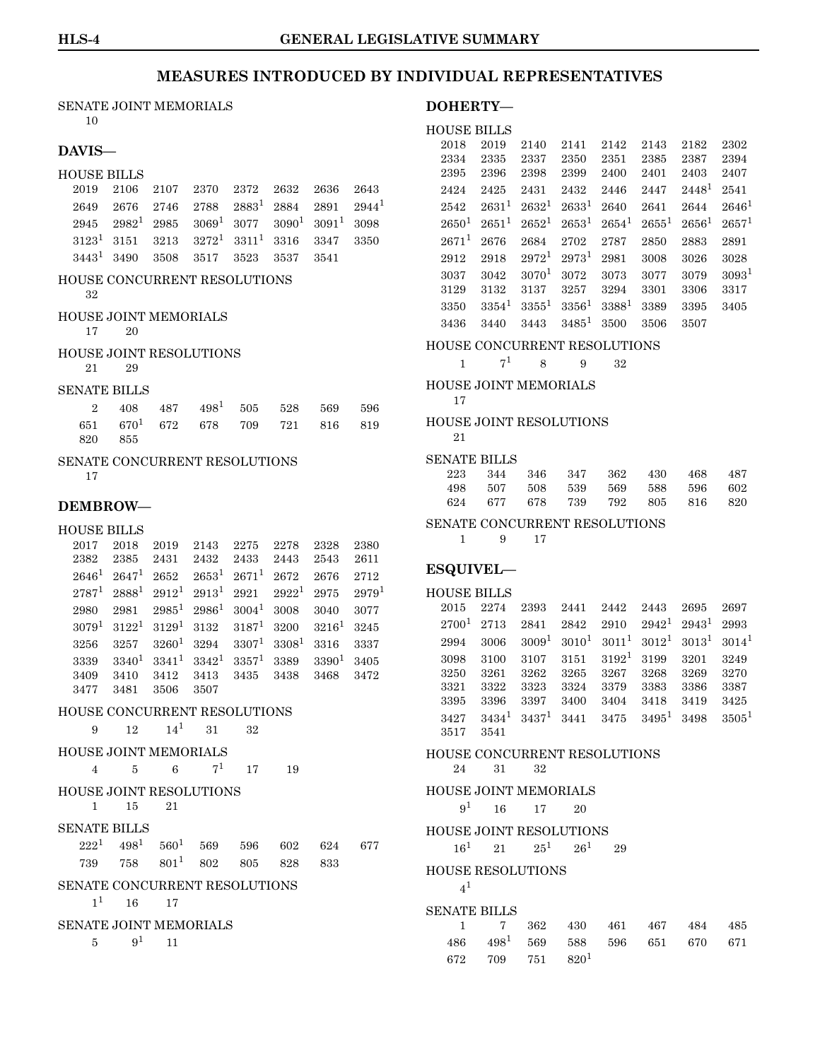#### SENATE JOINT MEMORIALS

10

### **DAVIS—**

#### HOUSE BILLS

|  | 2019 2106 2107 2370 2372 2632 2636 2643                                                   |  |  |
|--|-------------------------------------------------------------------------------------------|--|--|
|  | $2649$ $2676$ $2746$ $2788$ $2883$ <sup>1</sup> $2884$ $2891$ $2944$ <sup>1</sup>         |  |  |
|  | $2945$ $2982^1$ $2985$ $3069^1$ $3077$ $3090^1$ $3091^1$ $3098$                           |  |  |
|  | $3123^1 \quad 3151 \quad 3213 \quad 3272^1 \quad 3311^1 \quad 3316 \quad 3347 \quad 3350$ |  |  |
|  | $3443^1$ 3490 3508 3517 3523 3537 3541                                                    |  |  |

### HOUSE CONCURRENT RESOLUTIONS

32

### HOUSE JOINT MEMORIALS

17 20

- HOUSE JOINT RESOLUTIONS 21 29
	-

### SENATE BILLS

| $2 \quad 408 \quad 487 \quad 498^1 \quad 505 \quad 528 \quad 569 \quad 596$ |  |  |  |
|-----------------------------------------------------------------------------|--|--|--|
| $651\quad 670^1\quad 672\quad 678\quad 709\quad 721\quad 816\quad 819$      |  |  |  |
| 820 855                                                                     |  |  |  |

#### SENATE CONCURRENT RESOLUTIONS

17

### **DEMBROW—**

#### HOUSE BILLS

2017 2018 2019 2143 2275 2278 2328 2380 2382 2385 2431 2432 2433 2443 2543 2611  $2646^1 \ \ 2647^1 \ \ 2652 \ \ 2653^1 \ \ 2671^1 \ \ 2672 \ \ 2676 \ \ 2712$  $2646^1 \ \ 2647^1 \ \ 2652 \ \ 2653^1 \ \ 2671^1 \ \ 2672 \ \ 2676 \ \ 2712$  $2646^1 \ \ 2647^1 \ \ 2652 \ \ 2653^1 \ \ 2671^1 \ \ 2672 \ \ 2676 \ \ 2712$  $2787^1$  $2787^1$   $2888^1$   $2912^1$   $2913^1$   $2921$   $2922^1$   $2975$   $2979^1$  ${\bf 2980}\quad {\bf 2981}\quad {\bf 2985^1}\quad {\bf 2986^1}\quad {\bf 3004^1}\quad {\bf 3008}\quad {\bf 3040}\quad {\bf 3077}$  ${\bf 2980}\quad {\bf 2981}\quad {\bf 2985^1}\quad {\bf 2986^1}\quad {\bf 3004^1}\quad {\bf 3008}\quad {\bf 3040}\quad {\bf 3077}$  ${\bf 2980}\quad {\bf 2981}\quad {\bf 2985^1}\quad {\bf 2986^1}\quad {\bf 3004^1}\quad {\bf 3008}\quad {\bf 3040}\quad {\bf 3077}$  $3079^1 \quad 3122^1 \quad 3129^1 \quad 3132 \quad \quad 3187^1 \quad 3200 \quad \quad 3216^1 \quad 3245$  $3079^1 \quad 3122^1 \quad 3129^1 \quad 3132 \quad \quad 3187^1 \quad 3200 \quad \quad 3216^1 \quad 3245$  $3079^1 \quad 3122^1 \quad 3129^1 \quad 3132 \quad \quad 3187^1 \quad 3200 \quad \quad 3216^1 \quad 3245$  $3256$   $3257$   $3260^1$  $3260^1$   $3294$   $3307^1$   $3308^1$   $3316$   $3337$  $3339$   $3340^1$  $3340^1$   $3341^1$   $3342^1$   $3357^1$   $3389$   $3390^1$   $3405$ 3409 3410 3412 3413 3435 3438 3468 3472 3477 3481 3506 3507

#### HOUSE CONCURRENT RESOLUTIONS

```
9 12 141 31 32
```
### HOUSE JOINT MEMORIALS

4 5 6  $7^1$  $7^1$  17 19

HOUSE JOINT RESOLUTIONS 1 15 21

### $GEMIMED$  BILLS

|                               | SENATE BILLS |                               |  |     |      |     |     |  |  |
|-------------------------------|--------------|-------------------------------|--|-----|------|-----|-----|--|--|
|                               |              | $222^1$ $498^1$ $560^1$ 569   |  | 596 | -602 | 624 | 677 |  |  |
| 739                           |              | 758 801 <sup>1</sup> 802      |  | 805 | 828  | 833 |     |  |  |
| SENATE CONCURRENT RESOLUTIONS |              |                               |  |     |      |     |     |  |  |
|                               | $1^1$ 16     | 17                            |  |     |      |     |     |  |  |
|                               |              | <b>SENATE JOINT MEMORIALS</b> |  |     |      |     |     |  |  |
| 5.                            |              |                               |  |     |      |     |     |  |  |

#### **DOHERTY—**

#### HOUSE BILLS

| 2018       | 2019       | 2140              | 2141     | 2142              | 2143     | 2182     | 2302              |
|------------|------------|-------------------|----------|-------------------|----------|----------|-------------------|
| 2334       | 2335       | 2337              | 2350     | 2351              | 2385     | 2387     | 2394              |
| 2395       | 2396       | 2398              | 2399     | 2400              | 2401     | 2403     | 2407              |
| 2424       | 2425       | 2431              | 2432     | 2446              | 2447     | $2448^1$ | 2541              |
| 2542       | $2631^1$   | $2632^1$          | $2633^1$ | 2640              | 2641     | 2644     | $2646^1$          |
| $2650^1$   | $2651^{1}$ | $2652^1$          | $2653^1$ | $2654^1$          | $2655^1$ | $2656^1$ | $2657^1$          |
| $2671^{1}$ | 2676       | 2684              | 2702     | 2787              | 2850     | 2883     | 2891              |
| 2912       | 2918       | $2972^1$          | $2973^1$ | 2981              | 3008     | 3026     | 3028              |
| 3037       | 3042       | 3070 <sup>1</sup> | 3072     | 3073              | 3077     | 3079     | 3093 <sup>1</sup> |
| 3129       | 3132       | 3137              | 3257     | 3294              | 3301     | 3306     | 3317              |
| 3350       | $3354^1$   | $3355^{1}$        | $3356^1$ | 3388 <sup>1</sup> | 3389     | 3395     | 3405              |
| 3436       | 3440       | 3443              | $3485^1$ | 3500              | 3506     | 3507     |                   |
|            |            |                   |          |                   |          |          |                   |

#### HOUSE CONCURRENT RESOLUTIONS

HOUSE JOINT MEMORIALS

17

#### HOUSE JOINT RESOLUTIONS 21

#### SENATE BILLS

| 223 344 346 347 362 430 468 487 |  |  |  |
|---------------------------------|--|--|--|
| 498 507 508 539 569 588 596 602 |  |  |  |
| 624 677 678 739 792 805 816 820 |  |  |  |

#### SENATE CONCURRENT RESOLUTIONS

1 9 17

### **ESQUIVEL—**

#### HOUSE BILLS 2015 2274 2393 2441 2442 2443 2695 2697

 ${\bf 2700^1 \ \ 2713 \ \ \ 2841 \ \ \ 2842 \ \ \ 2910 \ \ \ 2942^1 \ \ 2943^1 \ \ 2993}$  ${\bf 2700^1 \ \ 2713 \ \ \ 2841 \ \ \ 2842 \ \ \ 2910 \ \ \ 2942^1 \ \ 2943^1 \ \ 2993}$  ${\bf 2700^1 \ \ 2713 \ \ \ 2841 \ \ \ 2842 \ \ \ 2910 \ \ \ 2942^1 \ \ 2943^1 \ \ 2993}$  $2994 \quad 3006 \quad 3009^1 \quad 3010^1 \quad 3011^1 \quad 3012^1 \quad 3013^1 \quad 3014^1$  $2994 \quad 3006 \quad 3009^1 \quad 3010^1 \quad 3011^1 \quad 3012^1 \quad 3013^1 \quad 3014^1$  $2994 \quad 3006 \quad 3009^1 \quad 3010^1 \quad 3011^1 \quad 3012^1 \quad 3013^1 \quad 3014^1$ 3098 3100 3107 3151 3192[1](#page-0-0) 3199 3201 3249 3250 3261 3262 3265 3267 3268 3269 3270 3321 3322 3323 3324 3379 3383 3386 3387 3395 3396 3397 3400 3404 3418 3419 3425  $3427$   $3434$ <sup>[1](#page-0-0)</sup>  $3437$ <sup>1</sup>  $3441$   $3475$   $3495$ <sup>1</sup>  $3498$   $3505$ <sup>1</sup> 3517 3541

#### HOUSE CONCURRENT RESOLUTIONS 24 31 32

HOUSE JOINT MEMORIALS

 $9^1$  $9^1$  16 17 20

#### HOUSE JOINT RESOLUTIONS

 $16^1$  $16^1$  21  $25^1$  26<sup>1</sup> 29

#### HOUSE RESOLUTIONS

 $4<sup>1</sup>$  $4<sup>1</sup>$  $4<sup>1</sup>$ 

#### SENATE BILLS

| 1 7 362 430 461 467 484 485                  |  |  |  |
|----------------------------------------------|--|--|--|
| 486 498 <sup>1</sup> 569 588 596 651 670 671 |  |  |  |
| $672$ $709$ $751$ $820^1$                    |  |  |  |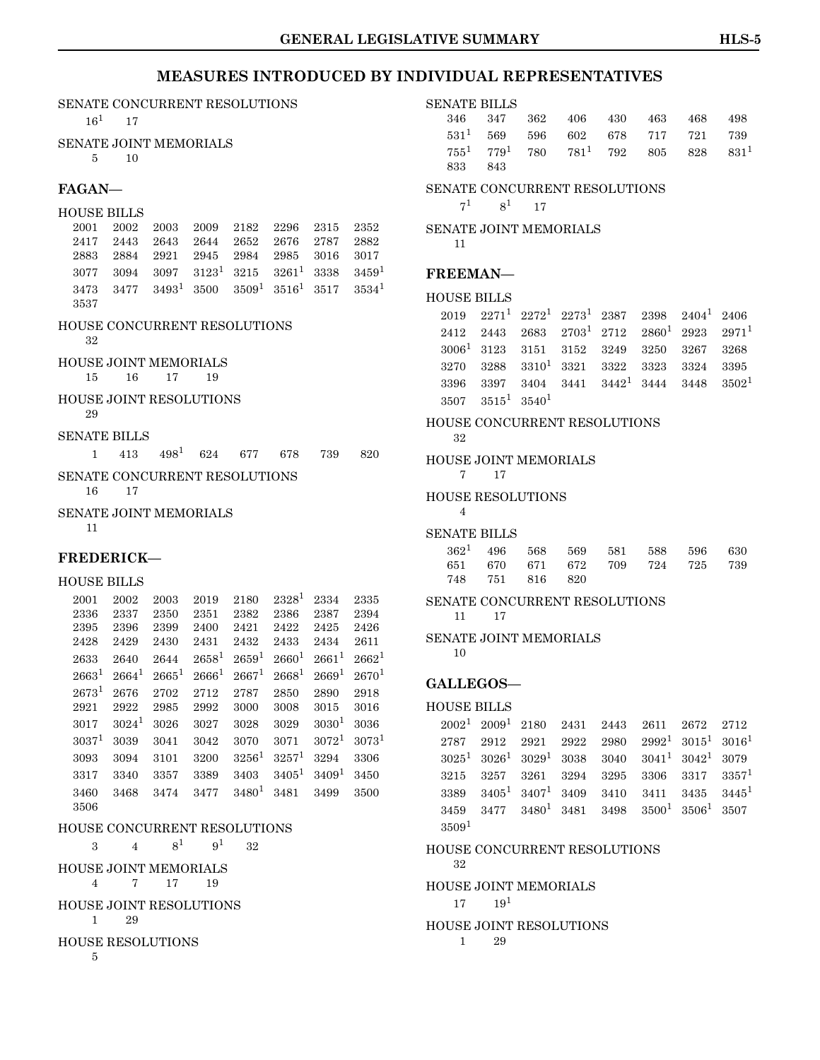### **INDIVIDUAL REPRESENTATIVES**

|                                              |                                      |                                            |                                          |                                                   |                                              |                                      | <b>GENERAL LEGI</b>                          |
|----------------------------------------------|--------------------------------------|--------------------------------------------|------------------------------------------|---------------------------------------------------|----------------------------------------------|--------------------------------------|----------------------------------------------|
|                                              |                                      |                                            |                                          |                                                   |                                              |                                      | <b>MEASURES INTRODUCED BY</b>                |
| SENATE CONCURRENT RESOLUTIONS<br>$16^{1}$    | 17                                   |                                            |                                          |                                                   |                                              |                                      |                                              |
| <b>SENATE JOINT MEMORIALS</b><br>5           | 10                                   |                                            |                                          |                                                   |                                              |                                      |                                              |
| <b>FAGAN-</b>                                |                                      |                                            |                                          |                                                   |                                              |                                      |                                              |
| <b>HOUSE BILLS</b>                           |                                      |                                            |                                          |                                                   |                                              |                                      |                                              |
| 2001<br>2417<br>2883<br>3077<br>3473<br>3537 | 2002<br>2443<br>2884<br>3094<br>3477 | 2003<br>2643<br>2921<br>3097<br>$3493^{1}$ | 2009<br>2644<br>2945<br>$3123^1$<br>3500 | 2182<br>2652<br>2984<br>3215<br>3509 <sup>1</sup> | 2296<br>2676<br>2985<br>$3261^1$<br>$3516^1$ | 2315<br>2787<br>3016<br>3338<br>3517 | 2352<br>2882<br>3017<br>$3459^1$<br>$3534^1$ |
| HOUSE CONCURRENT RESOLUTIONS<br>32           |                                      |                                            |                                          |                                                   |                                              |                                      |                                              |
| <b>HOUSE JOINT MEMORIALS</b><br>15           | 16                                   | 17                                         | 19                                       |                                                   |                                              |                                      |                                              |
| HOUSE JOINT RESOLUTIONS<br>29                |                                      |                                            |                                          |                                                   |                                              |                                      |                                              |
| <b>SENATE BILLS</b>                          |                                      |                                            |                                          |                                                   |                                              |                                      |                                              |
| 1                                            | 413                                  | $498^1$                                    | 624                                      | 677                                               | 678                                          | 739                                  | 820                                          |
| SENATE CONCURRENT RESOLUTIONS<br>16          | 17                                   |                                            |                                          |                                                   |                                              |                                      |                                              |
| SENATE JOINT MEMORIALS<br>11                 |                                      |                                            |                                          |                                                   |                                              |                                      |                                              |
| <b>FREDERICK-</b>                            |                                      |                                            |                                          |                                                   |                                              |                                      |                                              |
| <b>HOUSE BILLS</b>                           |                                      |                                            |                                          |                                                   |                                              |                                      |                                              |
| 2001<br>2336<br>2395<br>2428                 | 2002<br>2337<br>2396<br>2429         | 2003<br>2350<br>2399<br>2430               | 2019<br>2351<br>2400<br>2431             | 2180<br>2382<br>2421<br>2432                      | $2328^1$<br>2386<br>2422<br>2433             | 2334<br>2387<br>2425<br>2434         | 2335<br>2394<br>2426<br>2611                 |

### $2633$   $2640$   $2644$   $2658$ <sup>[1](#page-0-0)</sup>  $2659$ <sup>1</sup>  $2660$ <sup>1</sup>  $2661$ <sup>1</sup>  $2662$ <sup>1</sup>  $2663^1$  $2663^1$   $2664^1$   $2665^1$   $2666^1$   $2667^1$   $2668^1$   $2669^1$   $2670^1$ 2673[1](#page-0-0) 2676 2702 2712 2787 2850 2890 2918 2921 2922 2985 2992 3000 3008 3015 3016  $3017$  $3017$  $3017$   $3024$ <sup>1</sup>  $3026$   $3027$   $3028$   $3029$   $3030$ <sup>1</sup>  $3036$  $3037<sup>1</sup>$  $3037<sup>1</sup>$  $3037<sup>1</sup>$  3039 3041 3042 3070 3071 3072<sup>1</sup> 3073<sup>1</sup> 3093 3094 3101 3200 3256[1](#page-0-0) 3257[1](#page-0-0) 3294 3306  $3317$  $3317$  $3317$   $3340$   $3357$   $3389$   $3403$   $3405$ <sup>1</sup>  $3409$ <sup>1</sup>  $3450$  $3460 \quad 3468 \quad 3474 \quad 3477 \quad 3480^1 \quad 3481 \quad 3499 \quad 3500$  $3460 \quad 3468 \quad 3474 \quad 3477 \quad 3480^1 \quad 3481 \quad 3499 \quad 3500$  $3460 \quad 3468 \quad 3474 \quad 3477 \quad 3480^1 \quad 3481 \quad 3499 \quad 3500$ 3506

### HOUSE CONCURRENT RESOLUTIONS

3 4  $8^1$  $8^1$   $9^1$  32 HOUSE JOINT MEMORIALS

4 7 17 19

HOUSE JOINT RESOLUTIONS

1 29

HOUSE RESOLUTIONS

5

#### SENATE BILLS

| 346 347 362 406 430 463 468 498                         |  |
|---------------------------------------------------------|--|
| $531^1$ 569 596 602 678 717 721 739                     |  |
| $755^1$ $779^1$ $780$ $781^1$ $792$ $805$ $828$ $831^1$ |  |
| 833 843                                                 |  |

#### SENATE CONCURRENT RESOLUTIONS

 $7^1$  $7^1$   $8^1$  17

SENATE JOINT MEMORIALS

11

### **FREEMAN—**

```
HOUSE BILLS
```

|                          |  | $2019$ $2271^1$ $2272^1$ $2273^1$ $2387$ $2398$ $2404^1$ $2406$                   |  |  |
|--------------------------|--|-----------------------------------------------------------------------------------|--|--|
|                          |  | $2412$ $2443$ $2683$ $2703^1$ $2712$ $2860^1$ $2923$ $2971^1$                     |  |  |
|                          |  | $30061$ 3123 3151 3152 3249 3250 3267 3268                                        |  |  |
|                          |  | $3270$ $3288$ $3310^1$ $3321$ $3322$ $3323$ $3324$ $3395$                         |  |  |
|                          |  | $3396$ $3397$ $3404$ $3441$ $3442$ <sup>1</sup> $3444$ $3448$ $3502$ <sup>1</sup> |  |  |
| $3507$ $3515^1$ $3540^1$ |  |                                                                                   |  |  |

#### HOUSE CONCURRENT RESOLUTIONS

32

#### HOUSE JOINT MEMORIALS 7 17

### HOUSE RESOLUTIONS

4

#### SENATE BILLS

|  |                 |  | $362^1$ 496 568 569 581 588 596 630 |  |
|--|-----------------|--|-------------------------------------|--|
|  |                 |  | 651 670 671 672 709 724 725 739     |  |
|  | 748 751 816 820 |  |                                     |  |

### SENATE CONCURRENT RESOLUTIONS

11 17

## SENATE JOINT MEMORIALS

10

### **GALLEGOS—**

### HOUSE BILLS

2002[1](#page-0-0) 2009[1](#page-0-0) 2180 2431 2443 2611 2672 2712  $2787 \quad 2912 \quad 2921 \quad 2922 \quad 2980 \quad 2992^1 \quad 3015^1 \quad 3016^1$  $2787 \quad 2912 \quad 2921 \quad 2922 \quad 2980 \quad 2992^1 \quad 3015^1 \quad 3016^1$  $2787 \quad 2912 \quad 2921 \quad 2922 \quad 2980 \quad 2992^1 \quad 3015^1 \quad 3016^1$  $3025^1 \quad 3026^1 \quad 3029^1 \quad 3038 \quad \ 3040 \quad \ 3041^1 \quad 3042^1 \quad 3079$  $3025^1 \quad 3026^1 \quad 3029^1 \quad 3038 \quad \ 3040 \quad \ 3041^1 \quad 3042^1 \quad 3079$  $3025^1 \quad 3026^1 \quad 3029^1 \quad 3038 \quad \ 3040 \quad \ 3041^1 \quad 3042^1 \quad 3079$  $3215 \quad 3257 \quad 3261 \quad 3294 \quad 3295 \quad 3306 \quad 3317 \quad 3357^1$  $3215 \quad 3257 \quad 3261 \quad 3294 \quad 3295 \quad 3306 \quad 3317 \quad 3357^1$  $3215 \quad 3257 \quad 3261 \quad 3294 \quad 3295 \quad 3306 \quad 3317 \quad 3357^1$  $3389$   $3405^1$  $3405^1$   $3407^1$   $3409$   $3410$   $3411$   $3435$   $3445^1$  $3459$   $3477$   $3480^1$  $3480^1$   $3481$   $3498$   $3500^1$   $3506^1$   $3507$  $3509<sup>1</sup>$  $3509<sup>1</sup>$  $3509<sup>1</sup>$ 

#### HOUSE CONCURRENT RESOLUTIONS

32 HOUSE JOINT MEMORIALS

 $17 \t 19<sup>1</sup>$  $17 \t 19<sup>1</sup>$ 

# HOUSE JOINT RESOLUTIONS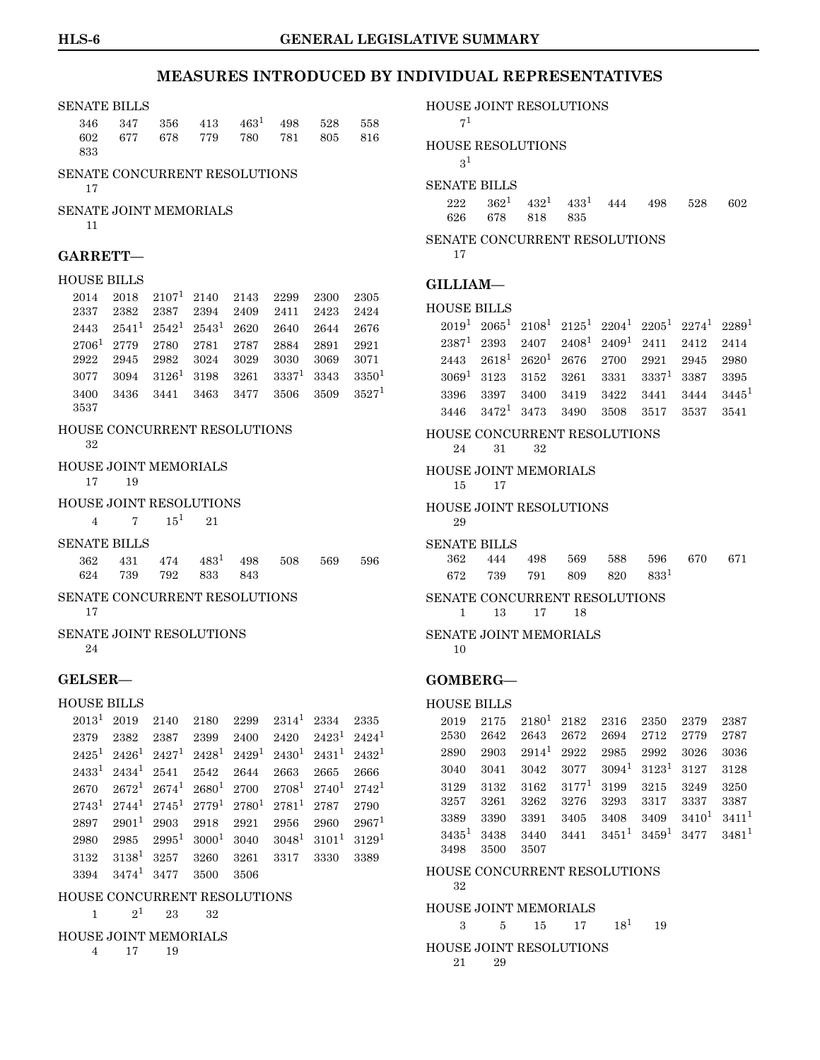### SENATE BILLS  $346$   $347$   $356$   $413$  $413$  $413$   $463$ <sup>1</sup>  $498$   $528$   $558$ 602 677 678 779 780 781 805 816 833 SENATE CONCURRENT RESOLUTIONS 17 SENATE JOINT MEMORIALS 11 **GARRETT—** HOUSE BILLS  $2014$  $2014$  $2014$   $2018$   $2107$ <sup>1</sup>  $2140$   $2143$   $2299$   $2300$   $2305$ 2337 2382 2387 2394 2409 2411 2423 2424  $2443$   $2541$  $2541$ <sup>1</sup>  $2542$ <sup>1</sup>  $2543$ <sup>1</sup>  $2620$   $2640$   $2644$   $2676$ 2706[1](#page-0-0) 2779 2780 2781 2787 2884 2891 2921 2922 2945 2982 3024 3029 3030 3069 3071  $3077$   $3094$   $3126^1$  $3126^1$  $3126^1$   $3198$   $3261$   $3337^1$   $3343$   $3350^1$  $3400$   $3436$   $3441$  $3441$   $3463$   $3477$   $3506$   $3509$   $3527$ <sup>1</sup> 3537 HOUSE CONCURRENT RESOLUTIONS 32 HOUSE JOINT MEMORIALS 17 19 HOUSE JOINT RESOLUTIONS 4 7  $15^1$  $15^1$  21 SENATE BILLS  $362$   $431$  $431$   $474$   $483$ <sup>1</sup>  $498$   $508$   $569$   $596$ 624 739 792 833 843 SENATE CONCURRENT RESOLUTIONS 17 SENATE JOINT RESOLUTIONS 24 **GELSER—** HOUSE BILLS  $2013^1$  $2013^1$  $2013^1$  2019 2140 2180 2299 2314<sup>1</sup> 2334 2335  $2379 \quad 2382 \quad 2387 \quad 2399 \quad 2400 \quad 2420 \quad 2423^1 \quad 2424^1$  $2379 \quad 2382 \quad 2387 \quad 2399 \quad 2400 \quad 2420 \quad 2423^1 \quad 2424^1$  $2379 \quad 2382 \quad 2387 \quad 2399 \quad 2400 \quad 2420 \quad 2423^1 \quad 2424^1$  $2425^1$  $2425^1$   $2426^1$   $2427^1$   $2428^1$   $2429^1$   $2430^1$   $2431^1$   $2432^1$  $2433^1$  $2433^1$   $2434^1$   $2541$   $2542$   $2644$   $2663$   $2665$   $2666$  $2670$   $2672^1$  $2672^1$   $2674^1$   $2680^1$   $2700$   $2708^1$   $2740^1$   $2742^1$  $2743^1$  $2743^1$   $2744^1$   $2745^1$   $2779^1$   $2780^1$   $2781^1$   $2787$   $2790$  $2897$   $2901$  $2901$ <sup>1</sup>  $2903$   $2918$   $2921$   $2956$   $2960$   $2967$ <sup>1</sup>  ${\bf 2980\quad \ 2985\quad \ 2995^1\quad \ 3000^1\quad \ 3040\quad \ 3048^1\quad \ 3101^1\quad \ 3129^1}$  ${\bf 2980\quad \ 2985\quad \ 2995^1\quad \ 3000^1\quad \ 3040\quad \ 3048^1\quad \ 3101^1\quad \ 3129^1}$  ${\bf 2980\quad \ 2985\quad \ 2995^1\quad \ 3000^1\quad \ 3040\quad \ 3048^1\quad \ 3101^1\quad \ 3129^1}$  $3132$  $3132$  $3132$   $3138^1$   $3257$   $3260$   $3261$   $3317$   $3330$   $3389$ 3394 3474[1](#page-0-0) 3477 3500 3506

#### HOUSE CONCURRENT RESOLUTIONS

 $1 \t 2^1 \t 23 \t 32$  $1 \t 2^1 \t 23 \t 32$ 

#### HOUSE JOINT MEMORIALS

4 17 19

#### HOUSE JOINT RESOLUTIONS

```
1</sup>
```
#### HOUSE RESOLUTIONS

 $3<sup>1</sup>$  $3<sup>1</sup>$  $3<sup>1</sup>$ 

### SENATE BILLS

 $222 \qquad 362^1 \quad 432^1 \quad 433^1 \quad 444 \qquad 498 \qquad 528 \qquad 602$  $222 \qquad 362^1 \quad 432^1 \quad 433^1 \quad 444 \qquad 498 \qquad 528 \qquad 602$  $222 \qquad 362^1 \quad 432^1 \quad 433^1 \quad 444 \qquad 498 \qquad 528 \qquad 602$ 626 678 818 835

#### SENATE CONCURRENT RESOLUTIONS

17

### **GILLIAM—**

#### HOUSE BILLS

|  |  |  | $2019^1$ $2065^1$ $2108^1$ $2125^1$ $2204^1$ $2205^1$ $2274^1$ $2289^1$ |  |
|--|--|--|-------------------------------------------------------------------------|--|
|  |  |  | $2387^1 \ 2393 \ 2407 \ 2408^1 \ 2409^1 \ 2411 \ 2412 \ 2414$           |  |
|  |  |  | $2443$ $2618^1$ $2620^1$ $2676$ $2700$ $2921$ $2945$ $2980$             |  |
|  |  |  | $30691$ 3123 3152 3261 3331 3337 <sup>1</sup> 3387 3395                 |  |
|  |  |  | 3396 3397 3400 3419 3422 3441 3444 3445 <sup>1</sup>                    |  |
|  |  |  | $3446$ $3472$ <sup>1</sup> $3473$ $3490$ $3508$ $3517$ $3537$ $3541$    |  |

#### HOUSE CONCURRENT RESOLUTIONS

24 31 32

#### HOUSE JOINT MEMORIALS 15 17

HOUSE JOINT RESOLUTIONS 29

#### SENATE BILLS

|  |  | 362 444 498 569 588 596 670 671        |  |
|--|--|----------------------------------------|--|
|  |  | $672$ 739 791 809 820 833 <sup>1</sup> |  |

#### SENATE CONCURRENT RESOLUTIONS

1 13 17 18

#### SENATE JOINT MEMORIALS

10

#### **GOMBERG—**

#### HOUSE BILLS

2019 2175 2180[1](#page-0-0) 2182 2316 2350 2379 2387 2530 2642 2643 2672 2694 2712 2779 2787 2890 2903 2914[1](#page-0-0) 2922 2985 2992 3026 3036 3040 3041 3042 3077 3094[1](#page-0-0) 3123[1](#page-0-0) 3127 3128 3129 3132 3162 3177[1](#page-0-0) 3199 3215 3249 3250 3257 3261 3262 3276 3293 3317 3337 3387  $3389$   $3390$   $3391$  $3391$   $3405$   $3408$   $3409$   $3410$ <sup>1</sup>  $3411$ <sup>1</sup>  $3435^1$  $3435^1$  3438 3440 3441 3451<sup>1</sup> 3459<sup>1</sup> 3477 3481<sup>1</sup> 3498 3500 3507

#### HOUSE CONCURRENT RESOLUTIONS

32

#### HOUSE JOINT MEMORIALS

 $3 \t 5 \t 15 \t 17 \t 18^1 \t 19$  $3 \t 5 \t 15 \t 17 \t 18^1 \t 19$  $3 \t 5 \t 15 \t 17 \t 18^1 \t 19$ 

### HOUSE JOINT RESOLUTIONS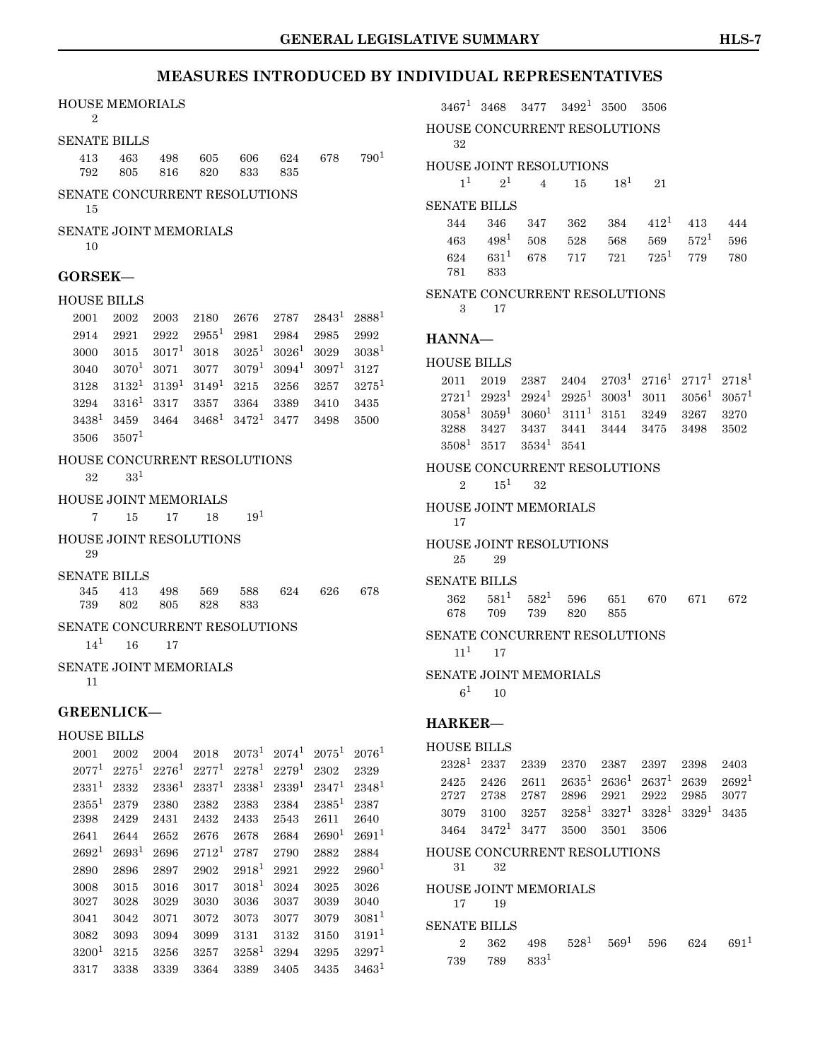### HOUSE MEMORIALS

#### $2^{\circ}$

SENATE BILLS

|  |  | 413 463 498 605 606 624 678 790 <sup>1</sup> |  |  |
|--|--|----------------------------------------------|--|--|
|  |  | 792 805 816 820 833 835                      |  |  |

SENATE CONCURRENT RESOLUTIONS 15

SENATE JOINT MEMORIALS

10

#### **GORSEK—**

#### HOUSE BILLS

 $2001 \quad 2002 \quad 2003 \quad 2180 \quad 2676 \quad 2787 \quad 2843^1 \quad 2888^1$  $2001 \quad 2002 \quad 2003 \quad 2180 \quad 2676 \quad 2787 \quad 2843^1 \quad 2888^1$  $2001 \quad 2002 \quad 2003 \quad 2180 \quad 2676 \quad 2787 \quad 2843^1 \quad 2888^1$ 2914 2921 2922 2955[1](#page-0-0) 2981 2984 2985 2992  $3000 \quad 3015 \quad 3017^1 \quad 3018 \quad 3025^1 \quad 3026^1 \quad 3029 \quad 3038^1$  $3000 \quad 3015 \quad 3017^1 \quad 3018 \quad 3025^1 \quad 3026^1 \quad 3029 \quad 3038^1$  $3000 \quad 3015 \quad 3017^1 \quad 3018 \quad 3025^1 \quad 3026^1 \quad 3029 \quad 3038^1$  $3040$   $3070^1$  $3070^1$   $3071$   $3077$   $3079^1$   $3094^1$   $3097^1$   $3127$  $3128$  $3128$  $3128$   $3132^1$   $3139^1$   $3149^1$   $3215$   $3256$   $3257$   $3275^1$  $3294$   $3316^1$  $3316^1$  $3316^1$   $3317$   $3357$   $3364$   $3389$   $3410$   $3435$  $3438^1$  $3438^1$   $3459$   $3464$   $3468^1$   $3472^1$   $3477$   $3498$   $3500$  $3506\quad 3507^1$  $3506\quad 3507^1$ 

#### HOUSE CONCURRENT RESOLUTIONS

32 33[1](#page-0-0)

#### HOUSE JOINT MEMORIALS

 $7 \t 15 \t 17 \t 18 \t 19<sup>1</sup>$  $7 \t 15 \t 17 \t 18 \t 19<sup>1</sup>$  $7 \t 15 \t 17 \t 18 \t 19<sup>1</sup>$ 

#### HOUSE JOINT RESOLUTIONS 29

SENATE BILLS 345 413 498 569 588 624 626 678 739 802 805 828 833

### SENATE CONCURRENT RESOLUTIONS

#### $14^1$  $14^1$  16 17

### SENATE JOINT MEMORIALS

11

#### **GREENLICK—**

### HOUSE BILLS

 $2001$  $2001$   $2002$   $2004$   $2018$   $2073$ <sup>1</sup>  $2074$ <sup>1</sup>  $2075$ <sup>1</sup>  $2076$ <sup>1</sup>  $2077^1$  $2077^1$   $2275^1$   $2276^1$   $2277^1$   $2278^1$   $2279^1$   $2302$   $2329$  $\textbf{2331}^1 \textbf{ 2332} \textbf{ 2336}^1 \textbf{ 2337}^1 \textbf{ 2338}^1 \textbf{ 2339}^1 \textbf{ 2347}^1 \textbf{ 2348}^1$  $\textbf{2331}^1 \textbf{ 2332} \textbf{ 2336}^1 \textbf{ 2337}^1 \textbf{ 2338}^1 \textbf{ 2339}^1 \textbf{ 2347}^1 \textbf{ 2348}^1$  $\textbf{2331}^1 \textbf{ 2332} \textbf{ 2336}^1 \textbf{ 2337}^1 \textbf{ 2338}^1 \textbf{ 2339}^1 \textbf{ 2347}^1 \textbf{ 2348}^1$  $2355^1 \ 2379 \ 2380 \ 2382 \ 2383 \ 2384 \ 2385^1 \ 2387$  $2355^1 \ 2379 \ 2380 \ 2382 \ 2383 \ 2384 \ 2385^1 \ 2387$  $2355^1 \ 2379 \ 2380 \ 2382 \ 2383 \ 2384 \ 2385^1 \ 2387$ 2398 2429 2431 2432 2433 2543 2611 2640  $2641$  $2641$   $2644$   $2652$   $2676$   $2678$   $2684$   $2690$ <sup>1</sup>  $2691$ <sup>1</sup>  $2692^1$  $2692^1$   $2693^1$   $2696$   $2712^1$   $2787$   $2790$   $2882$   $2884$  $2890$   $2896$   $2897$   $2902$   $2918<sup>1</sup>$  $2918<sup>1</sup>$  $2918<sup>1</sup>$   $2921$   $2922$   $2960<sup>1</sup>$ 3008 3015 3016 3017 3018[1](#page-0-0) 3024 3025 3026 3027 3028 3029 3030 3036 3037 3039 3040  $3041$  $3041$   $3042$   $3071$   $3072$   $3073$   $3077$   $3079$   $3081$ <sup>1</sup>  $3082$   $3093$   $3094$   $3099$   $3131$  $3131$  $3131$   $3132$   $3150$   $3191$ <sup>1</sup>  $3200^1$  $3200^1$   $3215$   $3256$   $3257$   $3258^1$   $3294$   $3295$   $3297^1$  $3317$  $3317$  $3317$   $3338$   $3339$   $3364$   $3389$   $3405$   $3435$   $3463$ <sup>1</sup>

3467[1](#page-0-0) 3468 3477 3492[1](#page-0-0) 3500 3506

#### HOUSE CONCURRENT RESOLUTIONS 32

#### HOUSE JOINT RESOLUTIONS

 $1^1 \qquad 2^1 \qquad 4 \qquad 15 \qquad 18^1 \qquad 21$  $1^1 \qquad 2^1 \qquad 4 \qquad 15 \qquad 18^1 \qquad 21$ 

#### SENATE BILLS

|         | 344 346 347 362 384 412 <sup>1</sup> 413 444              |  |  |  |
|---------|-----------------------------------------------------------|--|--|--|
|         | 463 498 <sup>1</sup> 508 528 568 569 572 <sup>1</sup> 596 |  |  |  |
|         | $624$ $631^1$ $678$ $717$ $721$ $725^1$ $779$ $780$       |  |  |  |
| 781 833 |                                                           |  |  |  |

#### SENATE CONCURRENT RESOLUTIONS

3 17

#### **HANNA—**

```
HOUSE BILLS
```
 $2011 \quad 2019 \quad 2387 \quad 2404 \quad 2703^1 \quad 2716^1 \quad 2717^1 \quad 2718^1$  $2011 \quad 2019 \quad 2387 \quad 2404 \quad 2703^1 \quad 2716^1 \quad 2717^1 \quad 2718^1$  $2011 \quad 2019 \quad 2387 \quad 2404 \quad 2703^1 \quad 2716^1 \quad 2717^1 \quad 2718^1$  $2721^1$  $2721^1$  $2721^1$   $2923^1$   $2924^1$   $2925^1$   $3003^1$   $3011$   $3056^1$   $3057^1$  $3058^1$  $3058^1$   $3059^1$   $3060^1$   $3111^1$   $3151$   $3249$   $3267$   $3270$ 3288 3427 3437 3441 3444 3475 3498 3502  $3508<sup>1</sup>$  $3508<sup>1</sup>$  $3508<sup>1</sup>$   $3517$   $3534<sup>1</sup>$   $3541$ 

#### HOUSE CONCURRENT RESOLUTIONS

2  $15^1$  $15^1$  32

#### HOUSE JOINT MEMORIALS 17

#### HOUSE JOINT RESOLUTIONS 25 29

### SENATE BILLS

| $362$ $581^1$ $582^1$ $596$ $651$ $670$ $671$ $672$ |  |  |  |
|-----------------------------------------------------|--|--|--|
| 678 709 739 820 855                                 |  |  |  |

### SENATE CONCURRENT RESOLUTIONS

### $11^{1}$  $11^{1}$  17

#### SENATE JOINT MEMORIALS

 $6^1$  $6^1$  10

#### **HARKER—**

```
HOUSE BILLS
```

|  |  | $2328^1$ 2337 2339 2370 2387 2397 2398 2403                                                   |  |  |
|--|--|-----------------------------------------------------------------------------------------------|--|--|
|  |  | $2425$ 2426 2611 2635 <sup>1</sup> 2636 <sup>1</sup> 2637 <sup>1</sup> 2639 2692 <sup>1</sup> |  |  |
|  |  | 2727 2738 2787 2896 2921 2922 2985 3077                                                       |  |  |
|  |  | $3079$ $3100$ $3257$ $3258^1$ $3327^1$ $3328^1$ $3329^1$ $3435$                               |  |  |
|  |  | $3464$ $3472$ <sup>1</sup> $3477$ $3500$ $3501$ $3506$                                        |  |  |

#### HOUSE CONCURRENT RESOLUTIONS

31 32

#### HOUSE JOINT MEMORIALS 17 19

#### SENATE BILLS

2 362 498  $528^1$  $528^1$  569<sup>1</sup> 596 624 691<sup>1</sup>  $739 \qquad 789 \qquad 833^1$  $739 \qquad 789 \qquad 833^1$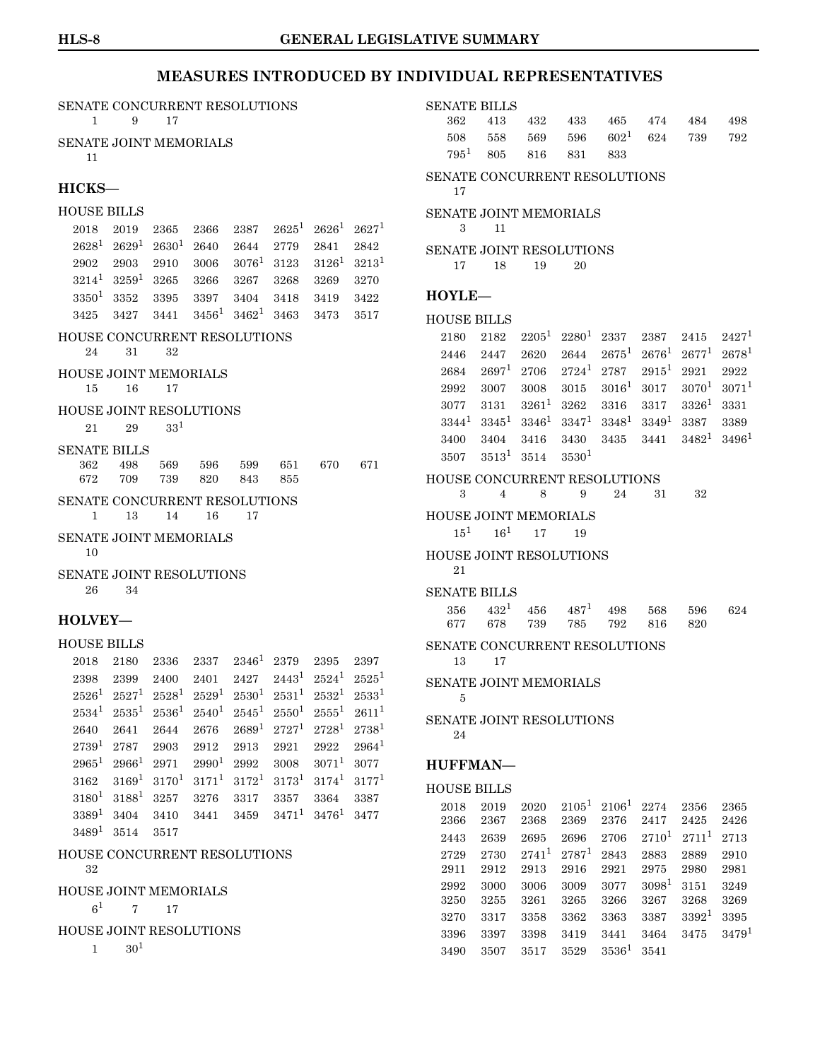|                                 | SENATE CONCURRENT RESOLUTIONS<br>9                                      |              |                   |                                  |          | <b>SENATE BILLS</b>                |                   |                                     |                   |                  |                   |                   |                   |                        |                   |
|---------------------------------|-------------------------------------------------------------------------|--------------|-------------------|----------------------------------|----------|------------------------------------|-------------------|-------------------------------------|-------------------|------------------|-------------------|-------------------|-------------------|------------------------|-------------------|
| $\mathbf{1}$                    |                                                                         | 17           |                   |                                  |          |                                    |                   | 362                                 | 413               | 432              | 433               | 465<br>$602^1$    | 474               | 484                    | 498               |
| SENATE JOINT MEMORIALS          |                                                                         |              |                   |                                  |          |                                    |                   | 508<br>$795^1$                      | 558<br>805        | 569<br>816       | 596<br>831        | 833               | 624               | 739                    | 792               |
| 11                              |                                                                         |              |                   |                                  |          |                                    |                   |                                     |                   |                  |                   |                   |                   |                        |                   |
| HICKS-                          |                                                                         |              |                   |                                  |          |                                    |                   | SENATE CONCURRENT RESOLUTIONS<br>17 |                   |                  |                   |                   |                   |                        |                   |
| <b>HOUSE BILLS</b>              |                                                                         |              |                   |                                  |          |                                    |                   | SENATE JOINT MEMORIALS              |                   |                  |                   |                   |                   |                        |                   |
| 2018                            | 2019                                                                    | 2365         | 2366              | 2387                             |          | $2625^1$ $2626^1$                  | 2627 <sup>1</sup> | 3                                   | 11                |                  |                   |                   |                   |                        |                   |
| $2628^1$                        | $2629^1$                                                                | $2630^{1}$   | 2640              | 2644                             | 2779     | 2841                               | 2842              | <b>SENATE JOINT RESOLUTIONS</b>     |                   |                  |                   |                   |                   |                        |                   |
| 2902                            | 2903                                                                    | 2910         | 3006              | $3076^1$                         | 3123     | $3126^1$                           | $3213^1$          | 17                                  | 18                | 19               | 20                |                   |                   |                        |                   |
| $3214^1$                        | $3259^1$                                                                | 3265         | 3266              | 3267                             | 3268     | 3269                               | 3270              | HOYLE-                              |                   |                  |                   |                   |                   |                        |                   |
| $3350^1$<br>3425                | 3352                                                                    | 3395         | 3397              | 3404<br>$3456^1$ $3462^1$ $3463$ | 3418     | 3419                               | 3422              |                                     |                   |                  |                   |                   |                   |                        |                   |
|                                 | 3427                                                                    | 3441         |                   |                                  |          | 3473                               | 3517              | <b>HOUSE BILLS</b>                  |                   |                  |                   |                   |                   |                        |                   |
| HOUSE CONCURRENT RESOLUTIONS    |                                                                         |              |                   |                                  |          |                                    |                   | 2180                                | 2182              | $2205^1$         | $2280^1$          | 2337              | 2387              | 2415                   | 2427 <sup>1</sup> |
| 24                              | 31                                                                      | 32           |                   |                                  |          |                                    |                   | 2446                                | 2447              | 2620             | 2644              | $2675^1$          | $2676^1$          | $2677^1$               | $2678^1$          |
| HOUSE JOINT MEMORIALS           |                                                                         |              |                   |                                  |          |                                    |                   | 2684                                | 2697 <sup>1</sup> | 2706             | $2724^1$          | 2787              | $2915^1$          | 2921                   | 2922              |
| 15                              | 16                                                                      | 17           |                   |                                  |          |                                    |                   | 2992                                | 3007<br>3131      | 3008<br>$3261^1$ | 3015              | $3016^1$          | 3017              | $3070^{1}$<br>$3326^1$ | $3071^1$          |
| HOUSE JOINT RESOLUTIONS         |                                                                         |              |                   |                                  |          |                                    |                   | 3077<br>$3344^1$                    | $3345^1$          | $3346^1$         | 3262<br>$3347^1$  | 3316<br>$3348^1$  | 3317<br>$3349^1$  | 3387                   | 3331<br>3389      |
| 21                              | 29                                                                      | $33^{1}$     |                   |                                  |          |                                    |                   | 3400                                | 3404              | 3416             | 3430              | 3435              | 3441              | $3482^1$               | $3496^1$          |
| <b>SENATE BILLS</b>             |                                                                         |              |                   |                                  |          |                                    |                   | 3507                                | $3513^1$          | 3514             | 3530 <sup>1</sup> |                   |                   |                        |                   |
| 362                             | 498                                                                     | 569          | 596               | 599                              | 651      | 670                                | 671               |                                     |                   |                  |                   |                   |                   |                        |                   |
| 672                             | 709                                                                     | 739          | 820               | 843                              | 855      |                                    |                   | HOUSE CONCURRENT RESOLUTIONS<br>3   | $\overline{4}$    | 8                | 9                 | 24                | 31                | 32                     |                   |
| SENATE CONCURRENT RESOLUTIONS   |                                                                         |              |                   |                                  |          |                                    |                   |                                     |                   |                  |                   |                   |                   |                        |                   |
| $\mathbf{1}$                    | 13                                                                      | 14           | 16                | 17                               |          |                                    |                   | <b>HOUSE JOINT MEMORIALS</b>        |                   |                  |                   |                   |                   |                        |                   |
| SENATE JOINT MEMORIALS          |                                                                         |              |                   |                                  |          |                                    |                   | 15 <sup>1</sup>                     | $16^1$            | 17               | 19                |                   |                   |                        |                   |
| 10                              |                                                                         |              |                   |                                  |          |                                    |                   | <b>HOUSE JOINT RESOLUTIONS</b>      |                   |                  |                   |                   |                   |                        |                   |
| <b>SENATE JOINT RESOLUTIONS</b> |                                                                         |              |                   |                                  |          |                                    |                   | 21                                  |                   |                  |                   |                   |                   |                        |                   |
| 26                              | 34                                                                      |              |                   |                                  |          |                                    |                   | <b>SENATE BILLS</b>                 |                   |                  |                   |                   |                   |                        |                   |
| HOLVEY-                         |                                                                         |              |                   |                                  |          |                                    |                   | 356<br>677                          | $432^1$           | 456              | $487^{1}$         | 498               | 568               | 596                    | 624               |
|                                 |                                                                         |              |                   |                                  |          |                                    |                   |                                     | 678               | 739              | 785               | 792               | 816               | 820                    |                   |
| <b>HOUSE BILLS</b>              |                                                                         |              |                   |                                  |          |                                    |                   | SENATE CONCURRENT RESOLUTIONS       |                   |                  |                   |                   |                   |                        |                   |
| 2018<br>2398                    | 2180<br>2399                                                            | 2336<br>2400 | 2337<br>2401      | $2346^1$ 2379<br>2427            |          | 2395<br>$2443^1$ $2524^1$ $2525^1$ | 2397              | 13                                  | 17                |                  |                   |                   |                   |                        |                   |
|                                 | $2526^1 \ 2527^1 \ 2528^1 \ 2529^1 \ 2530^1 \ 2531^1 \ 2532^1 \ 2533^1$ |              |                   |                                  |          |                                    |                   | SENATE JOINT MEMORIALS              |                   |                  |                   |                   |                   |                        |                   |
|                                 | $2534^1$ $2535^1$                                                       | $2536^1$     | $2540^1$          | $2545^1$                         |          | $2550^1$ $2555^1$                  | $2611^1$          | -5                                  |                   |                  |                   |                   |                   |                        |                   |
| 2640                            | 2641                                                                    | 2644         | 2676              | 2689 <sup>1</sup>                | $2727^1$ | $2728^1$                           | $2738^1$          | <b>SENATE JOINT RESOLUTIONS</b>     |                   |                  |                   |                   |                   |                        |                   |
| $2739^1$                        | 2787                                                                    | 2903         | 2912              | 2913                             | 2921     | 2922                               | $2964^1$          | 24                                  |                   |                  |                   |                   |                   |                        |                   |
| $2965^1$                        | $2966^1$                                                                | 2971         | 2990 <sup>1</sup> | 2992                             | 3008     | $3071^1$                           | 3077              | HUFFMAN-                            |                   |                  |                   |                   |                   |                        |                   |
| 3162                            | $3169^1$                                                                | $3170^1$     | $3171^1$          | $3172^1$                         | $3173^1$ | $3174^1$                           | $3177^1$          |                                     |                   |                  |                   |                   |                   |                        |                   |
| $3180^{1}$                      | $3188^1$                                                                | 3257         | 3276              | 3317                             | 3357     | 3364                               | 3387              | <b>HOUSE BILLS</b>                  |                   |                  |                   | $2105^1$ $2106^1$ |                   |                        |                   |
| $3389^1$                        | 3404                                                                    | 3410         | 3441              | 3459                             | $3471^1$ | $3476^1$                           | 3477              | 2018<br>2366                        | 2019<br>2367      | 2020<br>2368     | 2369              | 2376              | 2274<br>2417      | 2356<br>2425           | 2365<br>2426      |
| $3489^1$ $3514$                 |                                                                         | 3517         |                   |                                  |          |                                    |                   | 2443                                | 2639              | 2695             | 2696              | 2706              | $2710^{1}$        | $2711^1$               | 2713              |
| HOUSE CONCURRENT RESOLUTIONS    |                                                                         |              |                   |                                  |          |                                    |                   | 2729                                | 2730              | $2741^1$         | $2787^1$          | 2843              | 2883              | 2889                   | 2910              |
| 32                              |                                                                         |              |                   |                                  |          |                                    |                   | 2911                                | 2912              | 2913             | 2916              | 2921              | 2975              | 2980                   | 2981              |
| <b>HOUSE JOINT MEMORIALS</b>    |                                                                         |              |                   |                                  |          |                                    |                   | 2992                                | 3000              | 3006             | 3009              | 3077              | 3098 <sup>1</sup> | 3151                   | 3249              |
| $6^1$                           | $\tau$                                                                  | 17           |                   |                                  |          |                                    |                   | 3250                                | 3255              | 3261             | 3265              | 3266              | 3267              | 3268                   | 3269              |
| <b>HOUSE JOINT RESOLUTIONS</b>  |                                                                         |              |                   |                                  |          |                                    |                   | 3270                                | 3317              | 3358             | 3362              | 3363              | 3387              | $3392^1$               | $3395\,$          |
| $\mathbf{1}$                    | $30^{1}$                                                                |              |                   |                                  |          |                                    |                   | 3396                                | 3397              | 3398             | 3419              | 3441              | 3464              | 3475                   | 3479 <sup>1</sup> |
|                                 |                                                                         |              |                   |                                  |          |                                    |                   | 3490                                | 3507              | 3517             | 3529              | $3536^1$          | 3541              |                        |                   |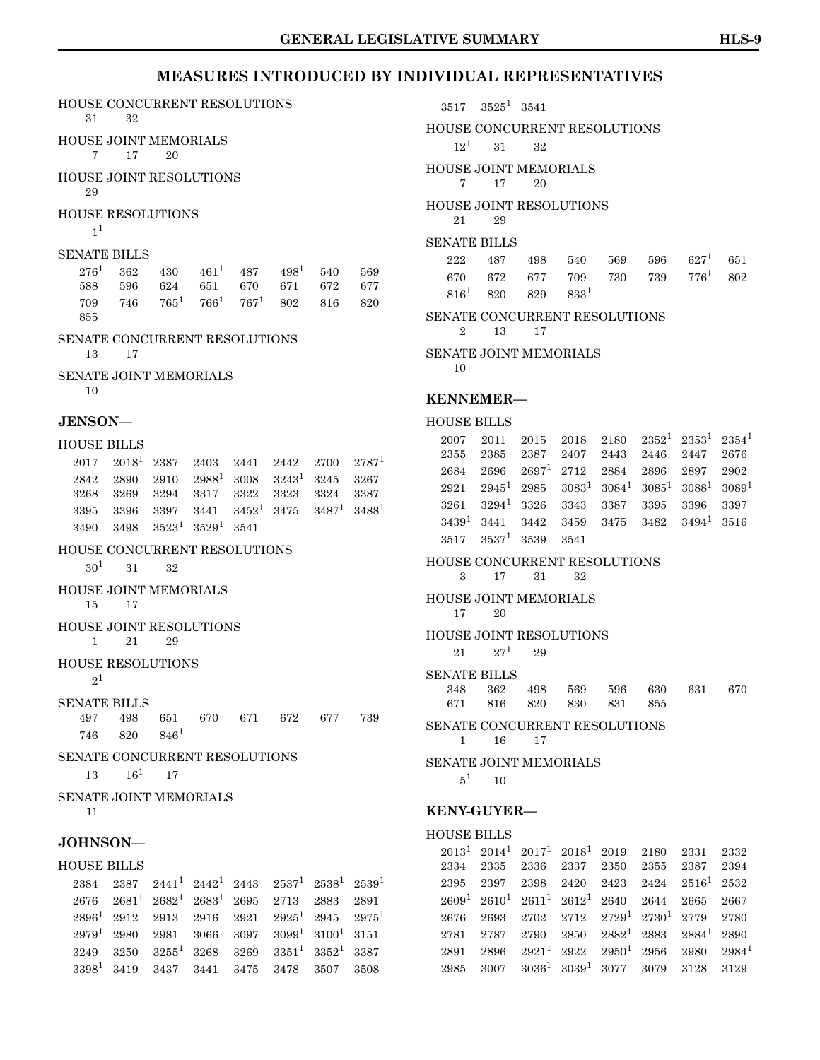$2891 \quad 2896 \quad 2921^1 \quad 2922 \quad 2950^1 \quad 2956 \quad 2980 \quad 2984^1$  $2891 \quad 2896 \quad 2921^1 \quad 2922 \quad 2950^1 \quad 2956 \quad 2980 \quad 2984^1$  $2891 \quad 2896 \quad 2921^1 \quad 2922 \quad 2950^1 \quad 2956 \quad 2980 \quad 2984^1$  $2985 \quad 3007 \quad 3036^1 \quad 3039^1 \quad 3077 \quad 3079 \quad 3128 \quad 3129$  $2985 \quad 3007 \quad 3036^1 \quad 3039^1 \quad 3077 \quad 3079 \quad 3128 \quad 3129$  $2985 \quad 3007 \quad 3036^1 \quad 3039^1 \quad 3077 \quad 3079 \quad 3128 \quad 3129$ 

### **MEASURES INTRODUCED BY INDIVIDUAL REPRESENTATIVES**

| HOUSE CONCURRENT RESOLUTIONS<br>31<br>32                                                                                                        | $3525^1$ 3541<br>3517                                                                                                                          |
|-------------------------------------------------------------------------------------------------------------------------------------------------|------------------------------------------------------------------------------------------------------------------------------------------------|
| <b>HOUSE JOINT MEMORIALS</b>                                                                                                                    | <b>HOUSE CONCURRENT RESOLUTIONS</b>                                                                                                            |
| $7^{\circ}$<br>17<br>20                                                                                                                         | $12^{1}$<br>31<br>32                                                                                                                           |
| <b>HOUSE JOINT RESOLUTIONS</b><br>29                                                                                                            | HOUSE JOINT MEMORIALS<br>7<br>17<br>20                                                                                                         |
| HOUSE RESOLUTIONS<br>1 <sup>1</sup>                                                                                                             | HOUSE JOINT RESOLUTIONS<br>21<br>29                                                                                                            |
| <b>SENATE BILLS</b>                                                                                                                             | <b>SENATE BILLS</b>                                                                                                                            |
| $276^1$<br>$461^1$<br>$498^1$<br>362<br>430<br>487<br>569<br>540                                                                                | 222<br>$627^1$<br>487<br>540<br>569<br>651<br>498<br>596                                                                                       |
| 677<br>588<br>596<br>624<br>651<br>670<br>671<br>672                                                                                            | $776^{1}$<br>670<br>672<br>709<br>730<br>677<br>739<br>802                                                                                     |
| $766^{1}$<br>$765^1$<br>$767^1$<br>746<br>709<br>802<br>816<br>820<br>855                                                                       | $816^{1}$<br>$833^{1}$<br>820<br>829<br>SENATE CONCURRENT RESOLUTIONS                                                                          |
| SENATE CONCURRENT RESOLUTIONS                                                                                                                   | $\overline{2}$<br>13<br>17                                                                                                                     |
| 13<br>17                                                                                                                                        | SENATE JOINT MEMORIALS<br>10                                                                                                                   |
| <b>SENATE JOINT MEMORIALS</b><br>10                                                                                                             |                                                                                                                                                |
|                                                                                                                                                 | <b>KENNEMER-</b>                                                                                                                               |
| JENSON-                                                                                                                                         | <b>HOUSE BILLS</b>                                                                                                                             |
| <b>HOUSE BILLS</b>                                                                                                                              | $2352^1$ $2353^1$<br>2180<br>2354 <sup>1</sup><br>2007<br>2011<br>2015<br>2018<br>2385<br>2387<br>2355<br>2407<br>2443<br>2446<br>2447<br>2676 |
| $2018^1$ 2387<br>$2787^1$<br>2017<br>2403<br>2442<br>2700<br>2441                                                                               | $2697^1$ 2712<br>2696<br>2884<br>2896<br>2897<br>2902<br>2684                                                                                  |
| $3243^1$<br>$2988^1$<br>2890<br>3008<br>3245<br>2842<br>2910<br>3267                                                                            | $2945^1$ 2985<br>$3083^1$<br>$3084^1$<br>$3085^1$<br>$3088^1$<br>$3089^1$<br>2921                                                              |
| 3323<br>3387<br>3268<br>3269<br>3294<br>3317<br>3322<br>3324                                                                                    | $3294^1$<br>3326<br>3343<br>3387<br>3261<br>3395<br>3396<br>3397                                                                               |
| $3452^1$<br>$3487^1$<br>$3488^1$<br>3475<br>$3395\,$<br>3396<br>3397<br>3441                                                                    | $3439^1$<br>$3494^1$<br>3441<br>3475<br>3482<br>3516<br>3442<br>3459                                                                           |
| $3523^1$ $3529^1$ $3541$<br>3498<br>3490                                                                                                        |                                                                                                                                                |
|                                                                                                                                                 | 3517<br>3541                                                                                                                                   |
| HOUSE CONCURRENT RESOLUTIONS                                                                                                                    | $3537^1$<br>3539                                                                                                                               |
| 30 <sup>1</sup><br>31<br>32                                                                                                                     | HOUSE CONCURRENT RESOLUTIONS<br>3<br>17<br>31<br>32                                                                                            |
| HOUSE JOINT MEMORIALS<br>15<br>17                                                                                                               | HOUSE JOINT MEMORIALS                                                                                                                          |
| HOUSE JOINT RESOLUTIONS                                                                                                                         | $20\,$<br>17                                                                                                                                   |
| 21<br>29<br>$\mathbf{1}$                                                                                                                        | <b>HOUSE JOINT RESOLUTIONS</b>                                                                                                                 |
| <b>HOUSE RESOLUTIONS</b>                                                                                                                        | $27^{1}$<br>21<br>29                                                                                                                           |
| $2^1$                                                                                                                                           | <b>SENATE BILLS</b>                                                                                                                            |
| <b>SENATE BILLS</b>                                                                                                                             | 348<br>362<br>569<br>596<br>630<br>631<br>670<br>498<br>831<br>671<br>816<br>820<br>830<br>855                                                 |
| 497<br>739<br>498<br>651<br>670<br>671<br>672<br>677                                                                                            | SENATE CONCURRENT RESOLUTIONS                                                                                                                  |
| $846^{1}$<br>746<br>820                                                                                                                         | 16<br>17<br>$\mathbf{1}$                                                                                                                       |
| SENATE CONCURRENT RESOLUTIONS                                                                                                                   | <b>SENATE JOINT MEMORIALS</b>                                                                                                                  |
| $16^1$<br>13<br>17                                                                                                                              | $5^1$<br>10                                                                                                                                    |
| <b>SENATE JOINT MEMORIALS</b><br>11                                                                                                             | <b>KENY-GUYER-</b>                                                                                                                             |
|                                                                                                                                                 | <b>HOUSE BILLS</b>                                                                                                                             |
| JOHNSON-                                                                                                                                        | $2013^1$ $2014^1$ $2017^1$ $2018^1$<br>2019<br>2180<br>2331<br>2332                                                                            |
| <b>HOUSE BILLS</b>                                                                                                                              | 2387<br>2334<br>2335<br>2336<br>2337<br>2355<br>2394<br>2350                                                                                   |
| $2537^1$ $2538^1$ $2539^1$<br>2387<br>$2441^1$ $2442^1$ $2443$<br>2384                                                                          | 2395<br>2397<br>2398<br>2420<br>2423<br>2424<br>$2516^1$<br>2532                                                                               |
| $2681^1$<br>$2682^1$<br>2676<br>$2683^1$<br>2695<br>2713<br>2883<br>2891                                                                        | $2610^{1}$<br>$2611^1$<br>2609 <sup>1</sup><br>$2612^1$<br>2640<br>2644<br>2665<br>2667                                                        |
| $2896^1$<br>$2925^1$ 2945<br>$2975^1$<br>2912<br>2913<br>2916<br>2921<br>$3099^1$ $3100^1$ $3151$<br>$2979^{1}$<br>2980<br>2981<br>3066<br>3097 | $2729^1$<br>$2730^1$<br>2712<br>2779<br>2676<br>2693<br>2702<br>2780<br>$2882^1$<br>2883<br>$2884^1$<br>2787<br>2790<br>2890<br>2781<br>2850   |

 $3249 \quad 3250 \quad 3255^1 \quad 3268 \quad 3269 \quad 3351^1 \quad 3352^1 \quad 3387$  $3249 \quad 3250 \quad 3255^1 \quad 3268 \quad 3269 \quad 3351^1 \quad 3352^1 \quad 3387$  $3249 \quad 3250 \quad 3255^1 \quad 3268 \quad 3269 \quad 3351^1 \quad 3352^1 \quad 3387$ 3398[1](#page-0-0) 3419 3437 3441 3475 3478 3507 3508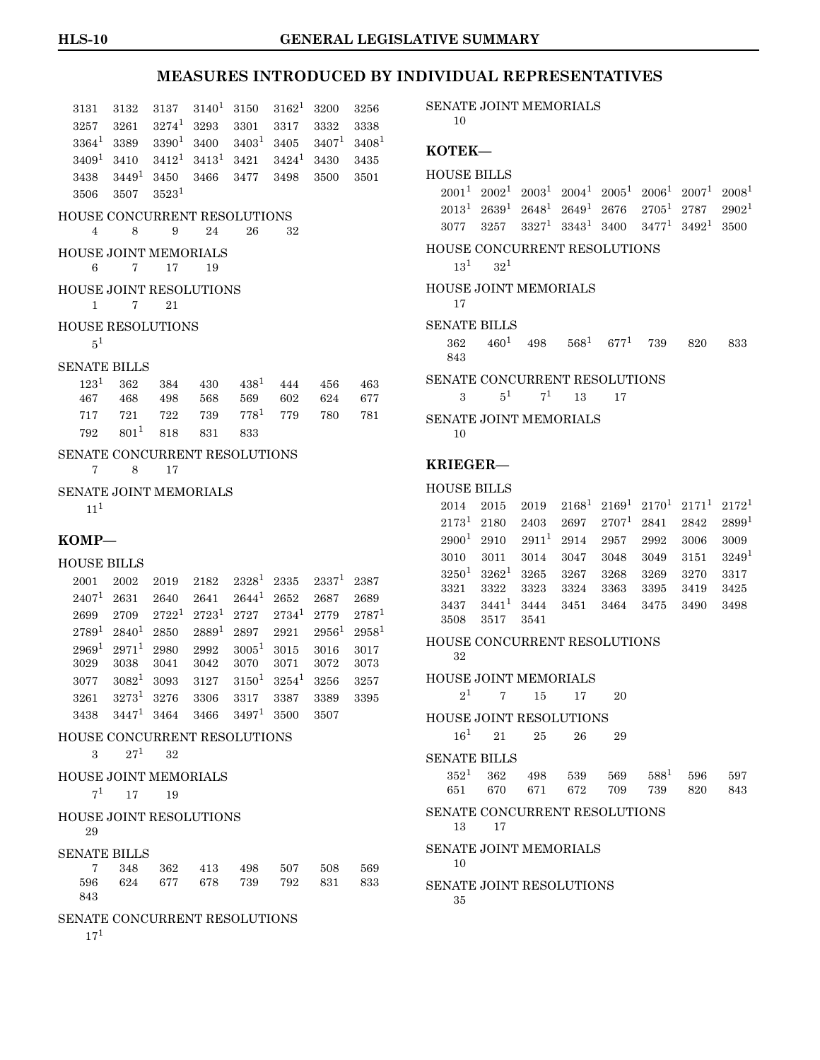| 3131                                 | 3132                  | 3137                   | $3140^{1}$ | 3150          | $3162^1$ | 3200       | 3256              |
|--------------------------------------|-----------------------|------------------------|------------|---------------|----------|------------|-------------------|
| 3257                                 | 3261                  | $3274^1$               | 3293       | 3301          | 3317     | 3332       | 3338              |
| $3364^1$                             | 3389                  | 3390 <sup>1</sup>      | 3400       | $3403^1$      | 3405     | $3407^1$   | 3408 <sup>1</sup> |
| 3409 <sup>1</sup>                    | 3410                  | $3412^1$               | $3413^1$   | 3421          | $3424^1$ | 3430       | 3435              |
| 3438                                 | $3449^1$              | 3450                   | 3466       | 3477          | 3498     | 3500       | 3501              |
| 3506                                 | 3507                  | $3523^1$               |            |               |          |            |                   |
| HOUSE CONCURRENT RESOLUTIONS<br>4    | 8                     | 9                      | 24         | 26            | 32       |            |                   |
| HOUSE JOINT MEMORIALS<br>6           | 7                     | 17                     | 19         |               |          |            |                   |
| HOUSE JOINT RESOLUTIONS<br>1         | 7                     | 21                     |            |               |          |            |                   |
| <b>HOUSE RESOLUTIONS</b><br>$5^1$    |                       |                        |            |               |          |            |                   |
| <b>SENATE BILLS</b>                  |                       |                        |            |               |          |            |                   |
| $123^1$                              | 362                   | 384                    | 430        | $438^1$       | 444      | 456        | 463               |
| 467                                  | 468                   | 498                    | 568        | 569           | 602      | 624        | 677               |
| 717                                  | 721                   | 722                    | 739        | $778^{1}$     | 779      | 780        | 781               |
| 792                                  | $801^{1}$             | 818                    | 831        | 833           |          |            |                   |
| SENATE CONCURRENT RESOLUTIONS<br>7   | 8                     | 17                     |            |               |          |            |                   |
| SENATE JOINT MEMORIALS               |                       |                        |            |               |          |            |                   |
| $11^{1}$                             |                       |                        |            |               |          |            |                   |
| $KOMP-$                              |                       |                        |            |               |          |            |                   |
| <b>HOUSE BILLS</b>                   |                       |                        |            |               |          |            |                   |
| 2001                                 | 2002                  | 2019                   | 2182       | $2328^1$      | 2335     | $2337^{1}$ | 2387              |
| $2407^{1}$                           | 2631                  | 2640                   | 2641       | $2644^1$      | 2652     | 2687       | 2689              |
| 2699                                 | 2709                  | $2722^1$               | $2723^1$   | 2727          | $2734^1$ | 2779       | $2787^1$          |
| $2789^{1}$                           | $2840^{1}$            | 2850                   | $2889^1$   | 2897          | 2921     | $2956^1$   | $2958^1$          |
| $2969^1$                             | $2971^1$              | 2980                   | 2992       | $3005^{1}$    | 3015     | 3016       | 3017              |
| 3029                                 | 3038                  | 3041                   | 3042       | 3070          | 3071     | 3072       | 3073              |
| 3077                                 | $3082^1$              | 3093                   | 3127       | $3150^1$      | $3254^1$ | 3256       | 3257              |
| 3261                                 | $3273^1$              | 3276                   | 3306       | 3317          | 3387     | 3389       | 3395              |
|                                      |                       | $3438$ $3447^1$ $3464$ | 3466       | $3497^1$ 3500 |          | 3507       |                   |
| HOUSE CONCURRENT RESOLUTIONS         |                       |                        |            |               |          |            |                   |
|                                      |                       |                        |            |               |          |            |                   |
|                                      | $27^1$<br>$3^{\circ}$ | 32                     |            |               |          |            |                   |
| <b>HOUSE JOINT MEMORIALS</b>         |                       |                        |            |               |          |            |                   |
| $7^1$                                | 17                    | 19                     |            |               |          |            |                   |
| <b>HOUSE JOINT RESOLUTIONS</b><br>29 |                       |                        |            |               |          |            |                   |
|                                      |                       |                        |            |               |          |            |                   |
| <b>SENATE BILLS</b><br>7             | 348                   | 362                    | 413        | 498           | 507      | 508        | 569               |
| 596<br>843                           |                       | 624 677                | 678        | 739           | 792      | 831        | 833               |

17[1](#page-0-0)

SENATE JOINT MEMORIALS 10

#### **KOTEK—**

### HOUSE BILLS  $2001^1 \ 2002^1 \ 2003^1 \ 2004^1 \ 2005^1 \ 2006^1 \ 2007^1 \ 2008^1$  $2001^1 \ 2002^1 \ 2003^1 \ 2004^1 \ 2005^1 \ 2006^1 \ 2007^1 \ 2008^1$  $2001^1 \ 2002^1 \ 2003^1 \ 2004^1 \ 2005^1 \ 2006^1 \ 2007^1 \ 2008^1$  $2013^1$  $2013^1$  $2013^1$   $2639^1$   $2648^1$   $2649^1$   $2676$   $2705^1$   $2787$   $2902^1$  $3077 \quad 3257 \quad 3327^1 \quad 3343^1 \quad 3400 \quad 3477^1 \quad 3492^1 \quad 3500$  $3077 \quad 3257 \quad 3327^1 \quad 3343^1 \quad 3400 \quad 3477^1 \quad 3492^1 \quad 3500$  $3077 \quad 3257 \quad 3327^1 \quad 3343^1 \quad 3400 \quad 3477^1 \quad 3492^1 \quad 3500$ HOUSE CONCURRENT RESOLUTIONS  $13^1$  $13^1$   $32^1$ HOUSE JOINT MEMORIALS 17 SENATE BILLS 362 460[1](#page-0-0) 498 568[1](#page-0-0) 677[1](#page-0-0) 739 820 833 843 SENATE CONCURRENT RESOLUTIONS 3  $5^1$  $5^1$   $7^1$  13 17 SENATE JOINT MEMORIALS 10 **KRIEGER—** HOUSE BILLS  $2014$  $2014$  $2014$   $2015$   $2019$   $2168$ <sup>1</sup>  $2169$ <sup>1</sup>  $2170$ <sup>1</sup>  $2171$ <sup>1</sup>  $2172$ <sup>1</sup>  $2173^1$  $2173^1$  $2173^1$  2180 2403 2697 2707<sup>1</sup> 2841 2842 2899<sup>1</sup>  $2900<sup>1</sup>$  $2900<sup>1</sup>$  $2900<sup>1</sup>$  2910  $2911<sup>1</sup>$  2914 2957 2992 3006 3009 3010 3011 3014 3047 3048 3049 3151 3249[1](#page-0-0)  $3250^1$  $3250^1$   $3262^1$   $3265$   $3267$   $3268$   $3269$   $3270$   $3317$ 3321 3322 3323 3324 3363 3395 3419 3425  $3437 \quad 3441^1 \quad 3444 \quad 3451 \quad 3464 \quad 3475 \quad 3490 \quad 3498$  $3437 \quad 3441^1 \quad 3444 \quad 3451 \quad 3464 \quad 3475 \quad 3490 \quad 3498$  $3437 \quad 3441^1 \quad 3444 \quad 3451 \quad 3464 \quad 3475 \quad 3490 \quad 3498$ 3508 3517 3541 HOUSE CONCURRENT RESOLUTIONS 32 HOUSE JOINT MEMORIALS  $2^1$  $2^1$  7 15 17 20 HOUSE JOINT RESOLUTIONS 16[1](#page-0-0) 21 25 26 29 SENATE BILLS  $352^1$  $352^1$  362 498 539 569 588<sup>1</sup> 596 597 651 670 671 672 709 739 820 843 SENATE CONCURRENT RESOLUTIONS 13 17 SENATE JOINT MEMORIALS 10

SENATE JOINT RESOLUTIONS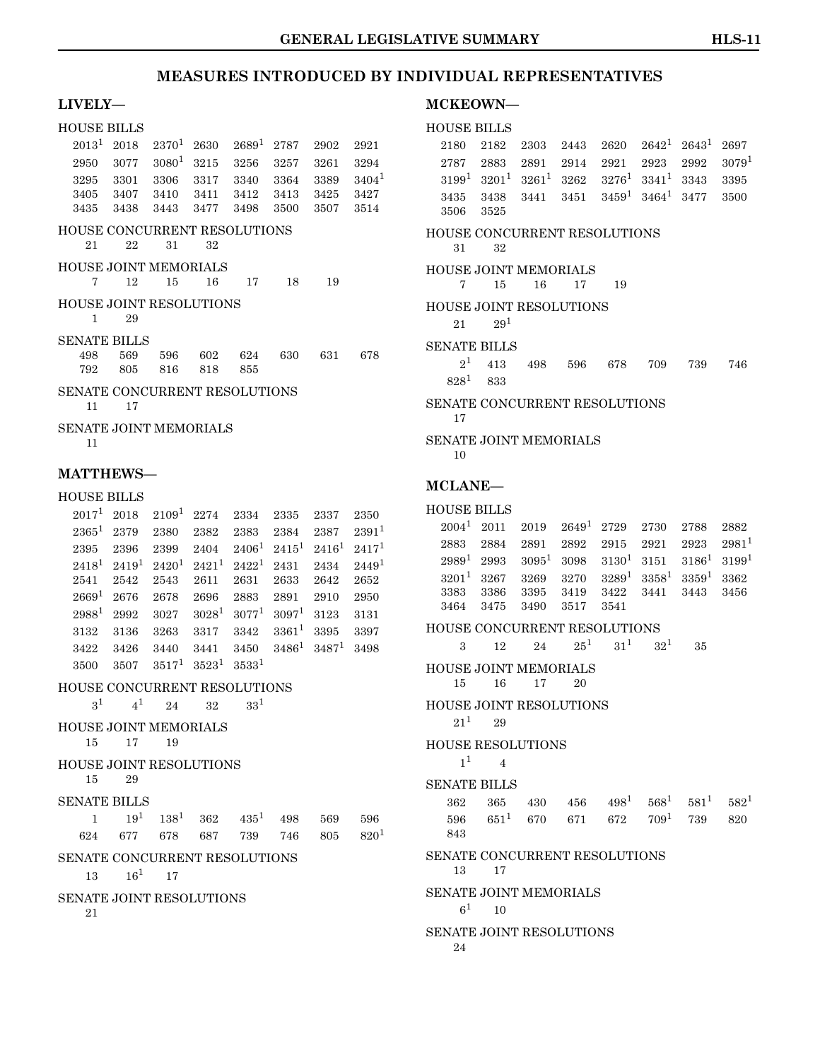### **LIVELY—**

#### HOUSE BILLS

| 2013 <sup>1</sup>  | 2018                | $2370^{1}$                          | 2630     | $2689^{1}$ | 2787     | 2902              | 2921       |
|--------------------|---------------------|-------------------------------------|----------|------------|----------|-------------------|------------|
| 2950               | 3077                | $3080^{1}$                          | 3215     | 3256       | 3257     | 3261              | 3294       |
| 3295               | 3301                | 3306                                | 3317     | 3340       | 3364     | 3389              | $3404^1$   |
| 3405               | 3407                | 3410                                | 3411     | 3412       | 3413     | 3425              | 3427       |
| 3435               | 3438                | 3443                                | 3477     | 3498       | 3500     | 3507              | 3514       |
|                    |                     | <b>HOUSE CONCURRENT RESOLUTIONS</b> |          |            |          |                   |            |
| 21                 | 22                  | 31                                  | 32       |            |          |                   |            |
|                    |                     | <b>HOUSE JOINT MEMORIALS</b>        |          |            |          |                   |            |
| 7                  | 12                  | 15                                  | 16       | 17         | 18       | 19                |            |
|                    |                     | <b>HOUSE JOINT RESOLUTIONS</b>      |          |            |          |                   |            |
| $\mathbf{1}$       | 29                  |                                     |          |            |          |                   |            |
|                    | <b>SENATE BILLS</b> |                                     |          |            |          |                   |            |
| 498                | 569                 | 596                                 | 602      | 624        | 630      | 631               | 678        |
| 792                | 805                 | 816                                 | 818      | 855        |          |                   |            |
|                    |                     | SENATE CONCURRENT RESOLUTIONS       |          |            |          |                   |            |
| 11                 | 17                  |                                     |          |            |          |                   |            |
|                    |                     | <b>SENATE JOINT MEMORIALS</b>       |          |            |          |                   |            |
| 11                 |                     |                                     |          |            |          |                   |            |
|                    |                     |                                     |          |            |          |                   |            |
|                    | <b>MATTHEWS-</b>    |                                     |          |            |          |                   |            |
| <b>HOUSE BILLS</b> |                     |                                     |          |            |          |                   |            |
| 2017 <sup>1</sup>  | 2018                | $2109^1$                            | 2274     | 2334       | 2335     | 2337              | 2350       |
| $2365^1$           | 2379                | 2380                                | 2382     | 2383       | 2384     | 2387              | $2391^{1}$ |
| 2395               | 2396                | 2399                                | 2404     | $2406^1$   |          | $2415^1$ $2416^1$ | $2417^{1}$ |
| $2418^1$           | $2419^1$            | $2420^1$                            | $2421^1$ | $2422^1$   | 2431     | 2434              | $2449^1$   |
| 2541               | 2542                | 2543                                | 2611     | 2631       | 2633     | 2642              | 2652       |
| 2669 <sup>1</sup>  | 2676                | 2678                                | 2696     | 2883       | 2891     | 2910              | 2950       |
| $2988^1$           | 2992                | 3027                                | $3028^1$ | $3077^{1}$ | $3097^1$ | 3123              | 3131       |
| 3132               | 3136                | 3263                                | 3317     | 3342       | $3361^1$ | 3395              | 3397       |
| 3422               | 3426                | - 3440                              | 3441     | 3450       | $3486^1$ | $3487^1$          | 3498       |

 $3500\quad 3507\quad 3517^1\quad 3523^1\quad 3533^1$  $3500\quad 3507\quad 3517^1\quad 3523^1\quad 3533^1$  $3500\quad 3507\quad 3517^1\quad 3523^1\quad 3533^1$ HOUSE CONCURRENT RESOLUTIONS  $3^1 \qquad 4^1 \qquad 24 \qquad 32 \qquad 33^1$  $3^1 \qquad 4^1 \qquad 24 \qquad 32 \qquad 33^1$  $3^1 \qquad 4^1 \qquad 24 \qquad 32 \qquad 33^1$ HOUSE JOINT MEMORIALS 15 17 19 HOUSE JOINT RESOLUTIONS 15 29 SENATE BILLS

|  |  | $1 \t 19^1 \t 138^1 \t 362 \t 435^1 \t 498 \t 569 \t 596$ |  |  |
|--|--|-----------------------------------------------------------|--|--|
|  |  | 624 677 678 687 739 746 805 820 <sup>1</sup>              |  |  |

#### SENATE CONCURRENT RESOLUTIONS

 $13 \qquad 16^1 \qquad 17$  $13 \qquad 16^1 \qquad 17$ 

SENATE JOINT RESOLUTIONS

21

### **MCKEOWN—**

#### HOUSE BILLS

| 2180                                |                 | 2182 2303         | 2443 | 2620                             | $2642^1$ | $2643^1$ | 2697     |
|-------------------------------------|-----------------|-------------------|------|----------------------------------|----------|----------|----------|
| 2787                                |                 | 2883 2891         | 2914 | 2921                             | 2923     | 2992     | $3079^1$ |
| $3199^1$                            |                 | $3201^1$ $3261^1$ |      | $3262 \quad 3276^1$              | $3341^1$ | 3343     | 3395     |
| 3435                                |                 | 3438 3441         |      | $3451 \quad 3459^1 \quad 3464^1$ |          | 3477     | 3500     |
| 3506                                | 3525            |                   |      |                                  |          |          |          |
| HOUSE CONCURRENT RESOLUTIONS<br>31  | 32              |                   |      |                                  |          |          |          |
| HOUSE JOINT MEMORIALS               |                 |                   |      |                                  |          |          |          |
| 7                                   | 15              | 16                | 17   | 19                               |          |          |          |
|                                     |                 |                   |      |                                  |          |          |          |
| <b>HOUSE JOINT RESOLUTIONS</b>      |                 |                   |      |                                  |          |          |          |
| 21                                  | 29 <sup>1</sup> |                   |      |                                  |          |          |          |
| <b>SENATE BILLS</b>                 |                 |                   |      |                                  |          |          |          |
| 2 <sup>1</sup>                      | 413             | 498               | 596  | 678                              | 709      | 739      | 746      |
|                                     | $828^1$ $833$   |                   |      |                                  |          |          |          |
| SENATE CONCURRENT RESOLUTIONS<br>17 |                 |                   |      |                                  |          |          |          |
|                                     |                 |                   |      |                                  |          |          |          |
| SENATE JOINT MEMORIALS              |                 |                   |      |                                  |          |          |          |
| 10                                  |                 |                   |      |                                  |          |          |          |
|                                     |                 |                   |      |                                  |          |          |          |

# **MCLANE—**

### HOUSE BILLS

|  | $2004^1$ $2011$ $2019$ $2649^1$ $2729$ $2730$ $2788$ $2882$                           |  |  |  |
|--|---------------------------------------------------------------------------------------|--|--|--|
|  | $2883 \quad 2884 \quad 2891 \quad 2892 \quad 2915 \quad 2921 \quad 2923 \quad 2981^1$ |  |  |  |
|  | $2989^1$ $2993$ $3095^1$ $3098$ $3130^1$ $3151$ $3186^1$ $3199^1$                     |  |  |  |
|  | $3201^1$ $3267$ $3269$ $3270$ $3289^1$ $3358^1$ $3359^1$ $3362$                       |  |  |  |
|  | 3383 3386 3395 3419 3422 3441 3443 3456                                               |  |  |  |
|  | 3464 3475 3490 3517 3541                                                              |  |  |  |

#### HOUSE CONCURRENT RESOLUTIONS

| 3              | 12                | 24                      | $25^1$ $31^1$ $32^1$ |  | 35 |
|----------------|-------------------|-------------------------|----------------------|--|----|
|                |                   | HOUSE JOINT MEMORIALS   |                      |  |    |
| 15             | - 16              | - 17                    | 20                   |  |    |
|                |                   | HOUSE JOINT RESOLUTIONS |                      |  |    |
| $21^{1}$       | 29                |                         |                      |  |    |
|                | HOUSE RESOLUTIONS |                         |                      |  |    |
| 1 <sup>1</sup> |                   |                         |                      |  |    |
| SENATE BILLS   |                   |                         |                      |  |    |
|                |                   |                         |                      |  |    |

|      | $362$ $365$ $430$ $456$ $498^1$ $568^1$ $581^1$ $582^1$ |  |  |  |
|------|---------------------------------------------------------|--|--|--|
|      | $596$ $651^1$ $670$ $671$ $672$ $709^1$ $739$ $820$     |  |  |  |
| -843 |                                                         |  |  |  |

### SENATE CONCURRENT RESOLUTIONS

#### 13 17

### SENATE JOINT MEMORIALS

 $6^1$  $6^1$  10

### SENATE JOINT RESOLUTIONS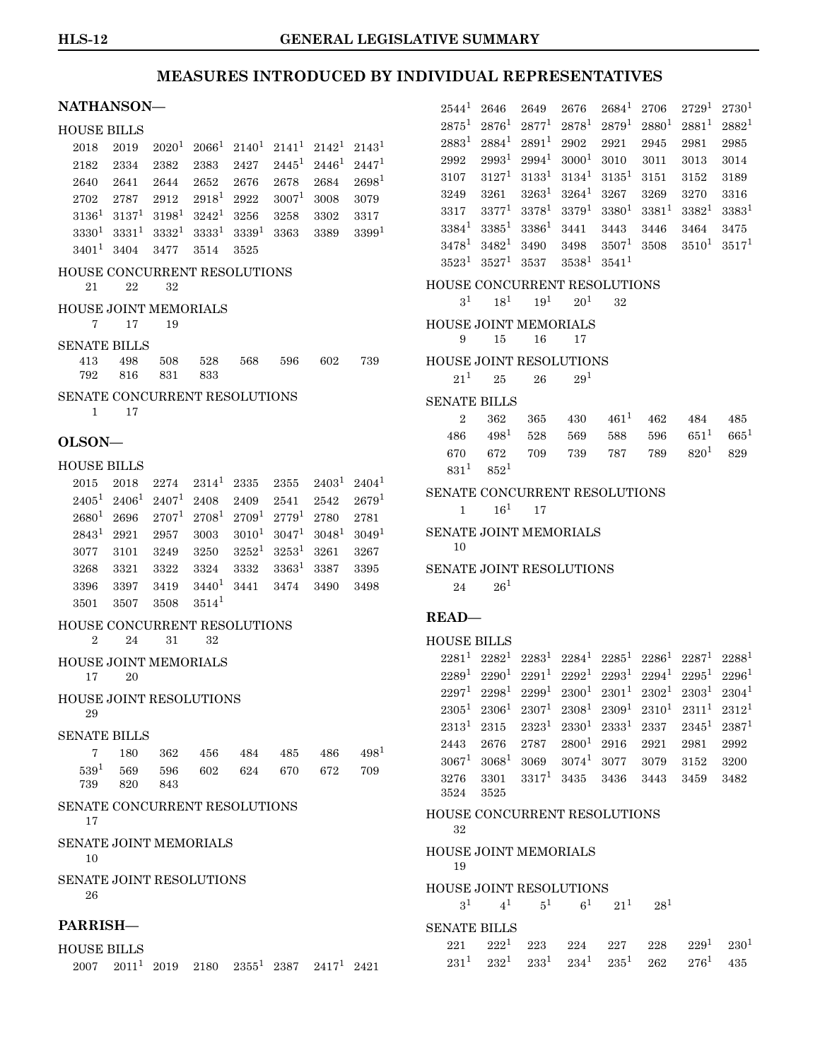| NATHANSON-                          |                   |                                                               |                      |                  |                    |                   |                  |
|-------------------------------------|-------------------|---------------------------------------------------------------|----------------------|------------------|--------------------|-------------------|------------------|
| <b>HOUSE BILLS</b>                  |                   |                                                               |                      |                  |                    |                   |                  |
| 2018                                | 2019              |                                                               | $2020^1$ $2066^1$    |                  | $2140^1$ $2141^1$  | $2142^1$          | $2143^1$         |
| 2182                                | 2334              | 2382                                                          | 2383                 | 2427             |                    | $2445^1$ $2446^1$ | $2447^1$         |
| 2640                                | 2641              | 2644                                                          | 2652                 | 2676             | 2678               | 2684              | $2698^{1}$       |
| 2702                                | 2787              | 2912                                                          | $2918^1$             | 2922             | $3007^1$           | 3008              | 3079             |
| $3136^1$                            | $3137^1$          |                                                               | $3198^1$ $3242^1$    | 3256             | 3258               | 3302              | 3317             |
| $3330^{1}$                          | $3331^1$          |                                                               | $3332^1$ $3333^1$    | $3339^1$         | 3363               | 3389              | $3399^{1}$       |
| $3401^1$                            | 3404              | 3477                                                          | 3514                 | 3525             |                    |                   |                  |
| HOUSE CONCURRENT RESOLUTIONS        |                   |                                                               |                      |                  |                    |                   |                  |
| 21                                  | 22                | 32                                                            |                      |                  |                    |                   |                  |
|                                     |                   |                                                               |                      |                  |                    |                   |                  |
| HOUSE JOINT MEMORIALS<br>7          | 17                | 19                                                            |                      |                  |                    |                   |                  |
|                                     |                   |                                                               |                      |                  |                    |                   |                  |
| <b>SENATE BILLS</b>                 |                   |                                                               |                      |                  |                    |                   |                  |
| 413<br>792                          | 498<br>816        | 508<br>831                                                    | 528<br>833           | 568              | 596                | 602               | 739              |
|                                     |                   |                                                               |                      |                  |                    |                   |                  |
| SENATE CONCURRENT RESOLUTIONS       |                   |                                                               |                      |                  |                    |                   |                  |
| 1                                   | 17                |                                                               |                      |                  |                    |                   |                  |
| OLSON-                              |                   |                                                               |                      |                  |                    |                   |                  |
| <b>HOUSE BILLS</b>                  |                   |                                                               |                      |                  |                    |                   |                  |
| 2015                                | 2018              | 2274                                                          | $2314^1$             | 2335             | 2355               | $2403^1$          | $2404^1$         |
|                                     | $2405^1$ $2406^1$ |                                                               | $2407^1$ 2408        |                  |                    |                   | $2679^{1}$       |
| $2680^{1}$                          |                   |                                                               | $2707^1$ $2708^1$    | 2409<br>$2709^1$ | 2541<br>$2779^{1}$ | 2542              |                  |
| $2843^1$                            | 2696              |                                                               |                      | $3010^1$         | $3047^1$           | 2780              | 2781             |
|                                     | 2921              | 2957                                                          | 3003                 | $3252^1$         |                    | $3048^1$          | $3049^1$         |
| 3077                                | 3101              | 3249                                                          | 3250                 |                  | $3253^1$           | 3261              | 3267             |
| 3268                                | 3321              | 3322                                                          | 3324                 | 3332             | $3363^1$           | 3387              | 3395             |
| 3396                                | 3397              | 3419<br>3508                                                  | $3440^1$<br>$3514^1$ | 3441             | 3474               | 3490              | 3498             |
| 3501                                | 3507              |                                                               |                      |                  |                    |                   |                  |
| HOUSE CONCURRENT RESOLUTIONS        |                   |                                                               |                      |                  |                    |                   |                  |
| $\overline{2}$                      | 24                | 31                                                            | 32                   |                  |                    |                   |                  |
| <b>HOUSE JOINT MEMORIALS</b>        |                   |                                                               |                      |                  |                    |                   |                  |
| 17                                  | 20                |                                                               |                      |                  |                    |                   |                  |
| HOUSE JOINT RESOLUTIONS             |                   |                                                               |                      |                  |                    |                   |                  |
| 29                                  |                   |                                                               |                      |                  |                    |                   |                  |
| <b>SENATE BILLS</b>                 |                   |                                                               |                      |                  |                    |                   |                  |
| 7                                   | 180               |                                                               | 362 456 484 485      |                  |                    | 486               | 498 <sup>1</sup> |
| $539^{1}$                           | 569               | 596                                                           |                      | 602 624          | 670                | 672               | 709              |
| 739                                 | 820               | 843                                                           |                      |                  |                    |                   |                  |
| SENATE CONCURRENT RESOLUTIONS       |                   |                                                               |                      |                  |                    |                   |                  |
| 17                                  |                   |                                                               |                      |                  |                    |                   |                  |
| <b>SENATE JOINT MEMORIALS</b><br>10 |                   |                                                               |                      |                  |                    |                   |                  |
| <b>SENATE JOINT RESOLUTIONS</b>     |                   |                                                               |                      |                  |                    |                   |                  |
| 26                                  |                   |                                                               |                      |                  |                    |                   |                  |
|                                     |                   |                                                               |                      |                  |                    |                   |                  |
| PARRISH-                            |                   |                                                               |                      |                  |                    |                   |                  |
| <b>HOUSE BILLS</b>                  |                   |                                                               |                      |                  |                    |                   |                  |
|                                     |                   | $2007$ $2011^1$ $2019$ $2180$ $2355^1$ $2387$ $2417^1$ $2421$ |                      |                  |                    |                   |                  |

 $2544$ <sup>[1](#page-0-0)</sup> 2646 2649 2676 2684<sup>1</sup> 2706 2729<sup>1</sup> 2730<sup>1</sup>  ${\bf 2875^1 \ \ 2876^1 \ \ 2877^1 \ \ 2878^1 \ \ 2879^1 \ \ 2880^1 \ \ 2881^1 \ \ 2882^1 }$  ${\bf 2875^1 \ \ 2876^1 \ \ 2877^1 \ \ 2878^1 \ \ 2879^1 \ \ 2880^1 \ \ 2881^1 \ \ 2882^1 }$  ${\bf 2875^1 \ \ 2876^1 \ \ 2877^1 \ \ 2878^1 \ \ 2879^1 \ \ 2880^1 \ \ 2881^1 \ \ 2882^1 }$  $2883^1$  $2883^1$   $2884^1$   $2891^1$   $2902$   $2921$   $2945$   $2981$   $2985$  $2992$   $2993^1$  $2993^1$   $2994^1$   $3000^1$   $3010$   $3011$   $3013$   $3014$  $3107 \quad 3127^1 \quad 3133^1 \quad 3134^1 \quad 3135^1 \quad 3151 \quad 3152 \quad 3189$  $3107 \quad 3127^1 \quad 3133^1 \quad 3134^1 \quad 3135^1 \quad 3151 \quad 3152 \quad 3189$  $3107 \quad 3127^1 \quad 3133^1 \quad 3134^1 \quad 3135^1 \quad 3151 \quad 3152 \quad 3189$ 3249 3261 3263[1](#page-0-0) 3264[1](#page-0-0) 3267 3269 3270 3316  $3317$  $3317$  $3317$   $3377^1$   $3378^1$   $3379^1$   $3380^1$   $3381^1$   $3382^1$   $3383^1$  $3384^1 \quad 3385^1 \quad 3386^1 \quad 3441 \quad \ 3443 \quad \ 3446 \quad \ 3464 \quad \ 3475$  $3384^1 \quad 3385^1 \quad 3386^1 \quad 3441 \quad \ 3443 \quad \ 3446 \quad \ 3464 \quad \ 3475$  $3384^1 \quad 3385^1 \quad 3386^1 \quad 3441 \quad \ 3443 \quad \ 3446 \quad \ 3464 \quad \ 3475$  $3478^1$  $3478^1$   $3482^1$   $3490$   $3498$   $3507^1$   $3508$   $3510^1$   $3517^1$  $3523^1$  $3523^1$   $3527^1$   $3537$   $3538^1$   $3541^1$ HOUSE CONCURRENT RESOLUTIONS  $3^1$  $3^1$   $18^1$   $19^1$   $20^1$   $32$ HOUSE JOINT MEMORIALS 9 15 16 17 HOUSE JOINT RESOLUTIONS  $21^1$  $21^1$  $21^1$  25 26 29<sup>1</sup> SENATE BILLS  $2 \t 362 \t 365 \t 430 \t 461^1 \t 462 \t 484 \t 485$  $2 \t 362 \t 365 \t 430 \t 461^1 \t 462 \t 484 \t 485$  $2 \t 362 \t 365 \t 430 \t 461^1 \t 462 \t 484 \t 485$  $486$   $498^1$  $498^1$   $528$   $569$   $588$   $596$   $651^1$   $665^1$  $670$   $672$   $709$   $739$   $787$   $789$   $820^1$  $820^1$   $829$  $831^1$  $831^1$  $831^1$   $852^1$ SENATE CONCURRENT RESOLUTIONS [1](#page-0-0)  $16^1$  17 SENATE JOINT MEMORIALS 10 SENATE JOINT RESOLUTIONS  $24 \t 26^1$  $24 \t 26^1$ **READ—** HOUSE BILLS  $2281^1$  $2281^1$  $2281^1$   $2282^1$   $2283^1$   $2284^1$   $2285^1$   $2286^1$   $2287^1$   $2288^1$  $2289^1$  $2289^1$   $2290^1$   $2291^1$   $2292^1$   $2293^1$   $2294^1$   $2295^1$   $2296^1$  $2297^1 \quad 2298^1 \quad 2299^1 \quad 2300^1 \quad 2301^1 \quad 2302^1 \quad 2303^1 \quad 2304^1$  $2297^1 \quad 2298^1 \quad 2299^1 \quad 2300^1 \quad 2301^1 \quad 2302^1 \quad 2303^1 \quad 2304^1$  $2297^1 \quad 2298^1 \quad 2299^1 \quad 2300^1 \quad 2301^1 \quad 2302^1 \quad 2303^1 \quad 2304^1$  $2305^1$  $2305^1$   $2306^1$   $2307^1$   $2308^1$   $2309^1$   $2310^1$   $2311^1$   $2312^1$  $2313^1 \ 2315 \ 2323^1 \ 2330^1 \ 2333^1 \ 2337 \ 2345^1 \ 2387^1$  $2313^1 \ 2315 \ 2323^1 \ 2330^1 \ 2333^1 \ 2337 \ 2345^1 \ 2387^1$  $2313^1 \ 2315 \ 2323^1 \ 2330^1 \ 2333^1 \ 2337 \ 2345^1 \ 2387^1$ 2443 2676 2787 2800[1](#page-0-0) 2916 2921 2981 2992 3067[1](#page-0-0) 3068[1](#page-0-0) 3069 3074[1](#page-0-0) 3077 3079 3152 3200 3276 3301 3317[1](#page-0-0) 3435 3436 3443 3459 3482 3524 3525 HOUSE CONCURRENT RESOLUTIONS 32 HOUSE JOINT MEMORIALS 19 HOUSE JOINT RESOLUTIONS  $3^1$  $3^1$   $4^1$   $5^1$   $6^1$   $21^1$   $28^1$ SENATE BILLS  $221$  $221$   $222^1$   $223$   $224$   $227$   $228$   $229^1$   $230^1$ 

 $231^1$  $231^1$  $231^1$   $232^1$   $233^1$   $234^1$   $235^1$   $262$   $276^1$   $435$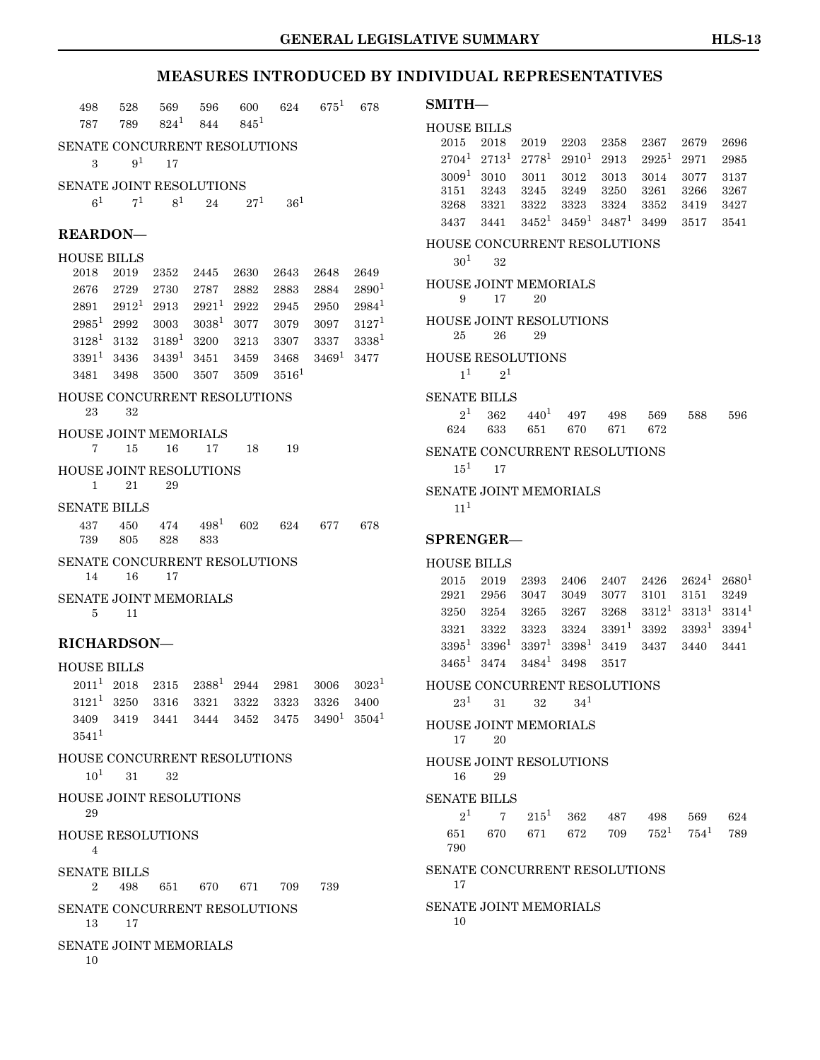| 498                                             | 528            | 569                    | 596                                           | 600      | 624             | $675^1$    | 678               |
|-------------------------------------------------|----------------|------------------------|-----------------------------------------------|----------|-----------------|------------|-------------------|
| 787                                             | 789            | $824^1$                | 844                                           | $845^1$  |                 |            |                   |
| SENATE CONCURRENT RESOLUTIONS                   |                |                        |                                               |          |                 |            |                   |
| 3                                               | 9 <sup>1</sup> | 17                     |                                               |          |                 |            |                   |
| SENATE JOINT RESOLUTIONS                        |                |                        |                                               |          |                 |            |                   |
| 6 <sup>1</sup>                                  | $7^{1}$        | 8 <sup>1</sup>         | 24                                            | $27^{1}$ | 36 <sup>1</sup> |            |                   |
| <b>REARDON-</b>                                 |                |                        |                                               |          |                 |            |                   |
| <b>HOUSE BILLS</b>                              |                |                        |                                               |          |                 |            |                   |
| 2018                                            | 2019           | 2352                   | 2445                                          | 2630     | 2643            | 2648       | 2649              |
| 2676                                            | 2729           | 2730                   | 2787                                          | 2882     | 2883            | 2884       | $2890^{1}$        |
| 2891                                            |                | $2912^1$ 2913 $2921^1$ |                                               | 2922     | 2945            | 2950       | $2984^1$          |
| $2985^1\phantom{0}2992$                         |                |                        | $3003$ $3038^1$ $3077$                        |          | 3079            | 3097       | $3127^1$          |
| $3128^1$ 3132                                   |                | $3189^1$               | 3200                                          | 3213     | 3307            | 3337       | $3338^{1}$        |
|                                                 | $3391^1$ 3436  | $3439^1$               | 3451                                          | 3459     | 3468            | $3469^1$   | 3477              |
| 3481                                            | 3498           | 3500                   | 3507                                          | 3509     | $3516^{1}$      |            |                   |
| <b>HOUSE CONCURRENT RESOLUTIONS</b><br>23       | 32             |                        |                                               |          |                 |            |                   |
| <b>HOUSE JOINT MEMORIALS</b>                    |                |                        |                                               |          |                 |            |                   |
| 7                                               | 15             | 16                     | 17                                            | 18       | 19              |            |                   |
| <b>HOUSE JOINT RESOLUTIONS</b><br>1             | 21             | 29                     |                                               |          |                 |            |                   |
| <b>SENATE BILLS</b>                             |                |                        |                                               |          |                 |            |                   |
| 437                                             | 450            | 474                    | $498^{1}$                                     | 602      | 624             | 677        | 678               |
| 739                                             | 805            | 828                    | 833                                           |          |                 |            |                   |
| SENATE CONCURRENT RESOLUTIONS<br>14             | 16             | 17                     |                                               |          |                 |            |                   |
| <b>SENATE JOINT MEMORIALS</b><br>5              | 11             |                        |                                               |          |                 |            |                   |
|                                                 |                |                        |                                               |          |                 |            |                   |
| <b>RICHARDSON-</b>                              |                |                        |                                               |          |                 |            |                   |
| <b>HOUSE BILLS</b>                              |                |                        |                                               |          |                 |            |                   |
|                                                 |                |                        | $2011^1$ $2018$ $2315$ $2388^1$ $2944$ $2981$ |          |                 | 3006       | $3023^1$          |
|                                                 |                |                        | $3121^1$ $3250$ $3316$ $3321$ $3322$          |          | 3323            | 3326       | 3400              |
|                                                 |                |                        | 3409 3419 3441 3444 3452                      |          | 3475            | $3490^{1}$ | 3504 <sup>1</sup> |
| $3541^1$                                        |                |                        |                                               |          |                 |            |                   |
| <b>HOUSE CONCURRENT RESOLUTIONS</b><br>$10^{1}$ | 31 —           | 32                     |                                               |          |                 |            |                   |
| <b>HOUSE JOINT RESOLUTIONS</b><br>29            |                |                        |                                               |          |                 |            |                   |
|                                                 |                |                        |                                               |          |                 |            |                   |
| <b>HOUSE RESOLUTIONS</b><br>$\overline{4}$      |                |                        |                                               |          |                 |            |                   |
| <b>SENATE BILLS</b><br>2                        | 498            |                        | 651 670 671 709                               |          |                 | 739        |                   |
| SENATE CONCURRENT RESOLUTIONS<br>13             | 17             |                        |                                               |          |                 |            |                   |
| <b>SENATE JOINT MEMORIALS</b><br>10             |                |                        |                                               |          |                 |            |                   |
|                                                 |                |                        |                                               |          |                 |            |                   |

| $SMITH-$                         |                                                              |            |                   |          |          |                 |          |
|----------------------------------|--------------------------------------------------------------|------------|-------------------|----------|----------|-----------------|----------|
|                                  | <b>HOUSE BILLS</b>                                           |            |                   |          |          |                 |          |
| 2015                             | 2018                                                         | 2019       | 2203              | 2358     | 2367     | 2679            | 2696     |
| $2704^1$                         | $2713^1$                                                     | $2778^{1}$ | $2910^1$          | 2913     | $2925^1$ | 2971            | 2985     |
| $3009^1$                         | 3010                                                         | 3011       | 3012              | 3013     | 3014     | 3077            | 3137     |
| 3151                             | 3243                                                         | 3245       | 3249              | 3250     | 3261     | 3266            | 3267     |
| 3268                             | 3321                                                         | 3322       | 3323<br>$3459^1$  | 3324     | 3352     | 3419            | 3427     |
| 3437                             | 3441                                                         | $3452^1$   |                   | $3487^1$ | 3499     | 3517            | 3541     |
| $30^{1}$                         | <b>HOUSE CONCURRENT RESOLUTIONS</b><br>32                    |            |                   |          |          |                 |          |
| 9                                | HOUSE JOINT MEMORIALS<br>17                                  | 20         |                   |          |          |                 |          |
| 25                               | <b>HOUSE JOINT RESOLUTIONS</b><br>26                         | 29         |                   |          |          |                 |          |
|                                  | <b>HOUSE RESOLUTIONS</b><br>1 <sup>1</sup><br>2 <sup>1</sup> |            |                   |          |          |                 |          |
|                                  | <b>SENATE BILLS</b>                                          |            |                   |          |          |                 |          |
|                                  | 2 <sup>1</sup><br>362                                        | $440^{1}$  | 497               | 498      | 569      | 588             | 596      |
| 624                              | 633                                                          | 651        | 670               | 671      | 672      |                 |          |
| $15^1$                           | <b>SENATE CONCURRENT RESOLUTIONS</b><br>17                   |            |                   |          |          |                 |          |
|                                  | <b>SENATE JOINT MEMORIALS</b>                                |            |                   |          |          |                 |          |
| 11 <sup>1</sup>                  |                                                              |            |                   |          |          |                 |          |
|                                  |                                                              |            |                   |          |          |                 |          |
|                                  | <b>SPRENGER-</b>                                             |            |                   |          |          |                 |          |
|                                  | <b>HOUSE BILLS</b>                                           |            |                   |          |          |                 |          |
| 2015                             | 2019                                                         | 2393       | 2406              | 2407     | 2426     | $2624^1$        | $2680^1$ |
| 2921                             | 2956                                                         | 3047       | 3049              | 3077     | 3101     | 3151            | 3249     |
| 3250                             | 3254                                                         | 3265       | 3267              | 3268     | $3312^1$ | $3313^1$        | $3314^1$ |
| 3321                             | 3322                                                         | 3323       | 3324              | $3391^1$ | 3392     | $3393^{1}$      | $3394^1$ |
| $3395^1$                         | $3396^1$                                                     | $3397^1$   | 3398 <sup>1</sup> | 3419     | 3437     | 3440            | 3441     |
| $3465^1$                         | 3474                                                         | $3484^1$   | 3498              | 3517     |          |                 |          |
| $23^{\scriptscriptstyle{\perp}}$ | HOUSE CONCURRENT RESOLUTIONS<br>31                           | 32         | $34^{1}$          |          |          |                 |          |
| 17                               | <b>HOUSE JOINT MEMORIALS</b><br>20                           |            |                   |          |          |                 |          |
| 16                               | <b>HOUSE JOINT RESOLUTIONS</b><br>29                         |            |                   |          |          |                 |          |
|                                  | SENATE BILLS                                                 |            |                   |          |          |                 |          |
|                                  | $2^{1}$<br>$7\overline{ }$                                   |            | $215^1$ 362       | 487      | 498      | 569             | 624      |
| 651<br>790                       | 670                                                          |            | 671 672           | 709      |          | $752^1$ $754^1$ | 789      |
| 17                               | SENATE CONCURRENT RESOLUTIONS                                |            |                   |          |          |                 |          |
| 10                               | SENATE JOINT MEMORIALS                                       |            |                   |          |          |                 |          |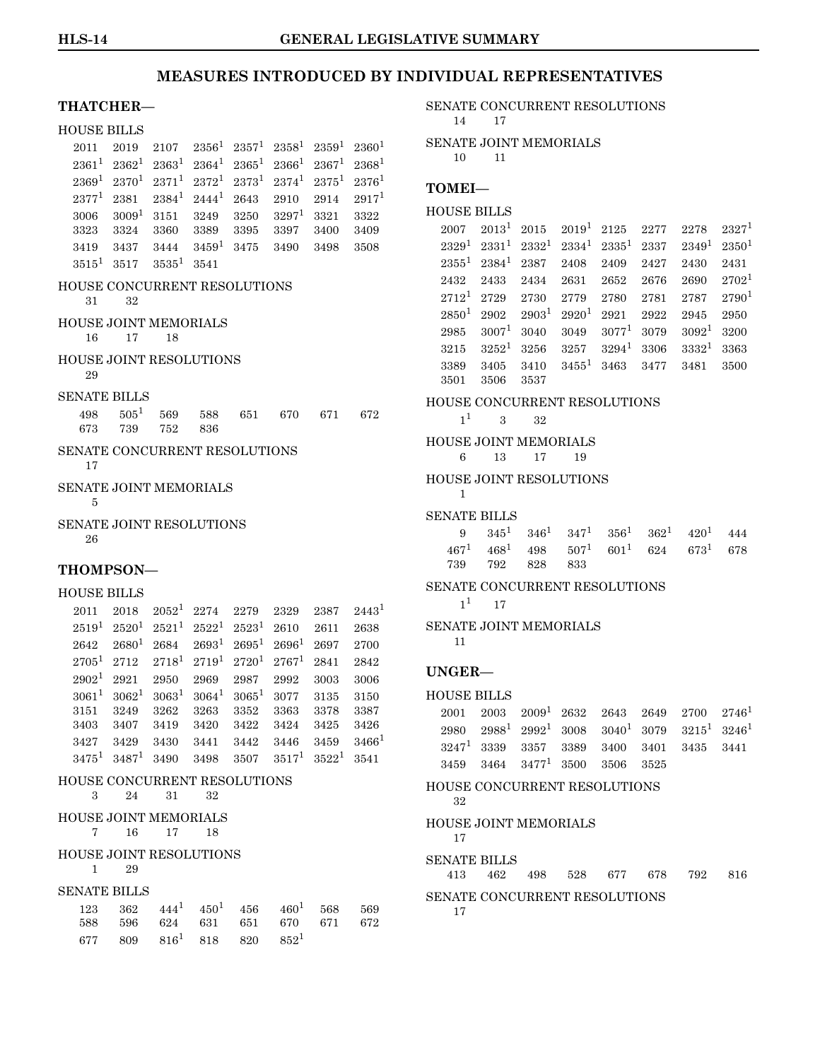| <b>THATCHER-</b>                     |                          |          |                 |          |                  |                   |                |
|--------------------------------------|--------------------------|----------|-----------------|----------|------------------|-------------------|----------------|
| <b>HOUSE BILLS</b>                   |                          |          |                 |          |                  |                   |                |
| 2011                                 | 2019                     | 2107     | $2356^1$        | $2357^1$ | $2358^1$         | $2359^1$          | $2360^{1}$     |
| $2361^1$                             | $2362^1$                 | $2363^1$ | $2364^1$        | $2365^1$ | $2366^1$         | $2367^1$          | $2368^1$       |
|                                      | $2369^1$ $2370^1$        | $2371^1$ | $2372^1$        | $2373^1$ |                  | $2374^1$ $2375^1$ | $2376^{1}$     |
| $2377^1$                             | 2381                     | $2384^1$ | $2444^1$        | 2643     | 2910             | 2914              | $2917^{1}$     |
| 3006                                 | $3009^1$                 | 3151     | 3249            | 3250     | $3297^1$         | 3321              | 3322           |
| 3323                                 | 3324                     | 3360     | 3389            | 3395     | 3397             | 3400              | 3409           |
| 3419                                 | 3437                     | 3444     | $3459^1$        | 3475     | 3490             | 3498              | 3508           |
| $3515^1$                             | 3517                     | $3535^1$ | 3541            |          |                  |                   |                |
| HOUSE CONCURRENT RESOLUTIONS<br>31   | 32                       |          |                 |          |                  |                   |                |
| <b>HOUSE JOINT MEMORIALS</b><br>16   | 17                       | 18       |                 |          |                  |                   |                |
| <b>HOUSE JOINT RESOLUTIONS</b><br>29 |                          |          |                 |          |                  |                   |                |
| <b>SENATE BILLS</b>                  |                          |          |                 |          |                  |                   |                |
| 498                                  | $505^{1}$                | 569      | 588             | 651      | 670              | 671               | 672            |
| 673                                  | 739                      | 752      | 836             |          |                  |                   |                |
| SENATE CONCURRENT RESOLUTIONS<br>17  |                          |          |                 |          |                  |                   |                |
| <b>SENATE JOINT MEMORIALS</b><br>5   |                          |          |                 |          |                  |                   |                |
| SENATE JOINT RESOLUTIONS<br>26       |                          |          |                 |          |                  |                   |                |
| <b>THOMPSON—</b>                     |                          |          |                 |          |                  |                   |                |
| <b>HOUSE BILLS</b>                   |                          |          |                 |          |                  |                   |                |
| 2011                                 | 2018                     | $2052^1$ | 2274            | 2279     | 2329             | 2387              | $2443^{\circ}$ |
|                                      | $2519^1$ $2520^1$        | $2521^1$ | $2522^1$        | $2523^1$ | 2610             | 2611              | 2638           |
| 2642                                 | $2680^{1}$               | 2684     | $2693^1$        | $2695^1$ | $2696^1$ 2697    |                   | 2700           |
|                                      | $2705^1$ 2712            | $2718^1$ | $2719^1$        | $2720^1$ | $2767^1$         | 2841              | 2842           |
| 2902 <sup>1</sup>                    | 2921                     | 2950     | 2969            | 2987     | 2992             | 3003              | 3006           |
| $3061^{1}$                           | $3062^1$                 | $3063^1$ | $3064^{\rm 1}$  | $3065^1$ | 3077             | 3135              | 3150           |
| 3151                                 | 3249                     | 3262     | 3263            | 3352     | 3363             | 3378              | 3387           |
| 3403                                 | 3407                     | 3419     | 3420            | 3422     | 3424             | 3425              | 3426           |
| 3427                                 | 3429                     | 3430     | 3441            | 3442     | 3446             | 3459              | $3466^1$       |
|                                      | $3475^1$ $3487^1$ $3490$ |          | 3498            | 3507     |                  | $3517^1$ $3522^1$ | 3541           |
| HOUSE CONCURRENT RESOLUTIONS<br>3    | 24                       | 31       | 32              |          |                  |                   |                |
| HOUSE JOINT MEMORIALS                |                          |          |                 |          |                  |                   |                |
| 7                                    | 16                       | 17       | 18              |          |                  |                   |                |
| <b>HOUSE JOINT RESOLUTIONS</b><br>1  | 29                       |          |                 |          |                  |                   |                |
| <b>SENATE BILLS</b>                  |                          |          |                 |          |                  |                   |                |
| 123                                  | 362                      |          | $444^1$ $450^1$ | 456      | $460^{1}$        | 568               | 569            |
| 588                                  | 596                      | 624      | 631             | 651      | 670              | 671               | 672            |
|                                      | 677 809                  |          | $816^1$ 818     | 820      | 852 <sup>1</sup> |                   |                |

SENATE CONCURRENT RESOLUTIONS 14 17

SENATE JOINT MEMORIALS 10 11

#### **TOMEI—**

```
HOUSE BILLS
```

|      |           |                                                      |  | $2007$ $2013^1$ $2015$ $2019^1$ $2125$ $2277$ $2278$ $2327^1$         |      |
|------|-----------|------------------------------------------------------|--|-----------------------------------------------------------------------|------|
|      |           |                                                      |  | $2329^1 \ 2331^1 \ 2332^1 \ 2334^1 \ 2335^1 \ 2337 \ 2349^1 \ 2350^1$ |      |
|      |           | $2355^1$ $2384^1$ $2387$ $2408$ $2409$ $2427$ $2430$ |  |                                                                       | 2431 |
|      |           |                                                      |  | 2432 2433 2434 2631 2652 2676 2690 2702 <sup>1</sup>                  |      |
|      |           |                                                      |  | $2712^1$ 2729 2730 2779 2780 2781 2787 2790 <sup>1</sup>              |      |
|      |           |                                                      |  | $2850^1 \ 2902 \ 2903^1 \ 2920^1 \ 2921 \ 2922 \ 2945 \ 2950$         |      |
| 2985 |           |                                                      |  | $3007^1$ 3040 3049 $3077^1$ 3079 $3092^1$ 3200                        |      |
|      |           |                                                      |  | $3215$ $3252^1$ $3256$ $3257$ $3294^1$ $3306$ $3332^1$ $3363$         |      |
| 3389 |           |                                                      |  | $3405$ $3410$ $3455$ <sup>1</sup> $3463$ $3477$ $3481$                | 3500 |
| 3501 | 3506 3537 |                                                      |  |                                                                       |      |

#### HOUSE CONCURRENT RESOLUTIONS

 $1^1$  $1^1$  3 32

HOUSE JOINT MEMORIALS 6 13 17 19

### HOUSE JOINT RESOLUTIONS

1 SENATE BILLS

|  |                 | 9 $345^1$ $346^1$ $347^1$ $356^1$ $362^1$ $420^1$ $444$   |  |  |
|--|-----------------|-----------------------------------------------------------|--|--|
|  |                 | $467^1$ $468^1$ $498$ $507^1$ $601^1$ $624$ $673^1$ $678$ |  |  |
|  | 739 792 828 833 |                                                           |  |  |

#### SENATE CONCURRENT RESOLUTIONS

 $1^1$  $1^1$  17

SENATE JOINT MEMORIALS

11

#### **UNGER—**

|  | $2001$ $2003$ $2009$ <sup>1</sup> $2632$ $2643$ $2649$ $2700$ $2746$ <sup>1</sup> |  |  |  |
|--|-----------------------------------------------------------------------------------|--|--|--|
|  | $2980$ $2988^1$ $2992^1$ $3008$ $3040^1$ $3079$ $3215^1$ $3246^1$                 |  |  |  |
|  | $3247^1$ 3339 3357 3389 3400 3401 3435 3441                                       |  |  |  |
|  | $3459$ $3464$ $3477^1$ $3500$ $3506$ $3525$                                       |  |  |  |

HOUSE CONCURRENT RESOLUTIONS 32 HOUSE JOINT MEMORIALS

### 17

SENATE BILLS

413 462 498 528 677 678 792 816 SENATE CONCURRENT RESOLUTIONS

```
17
```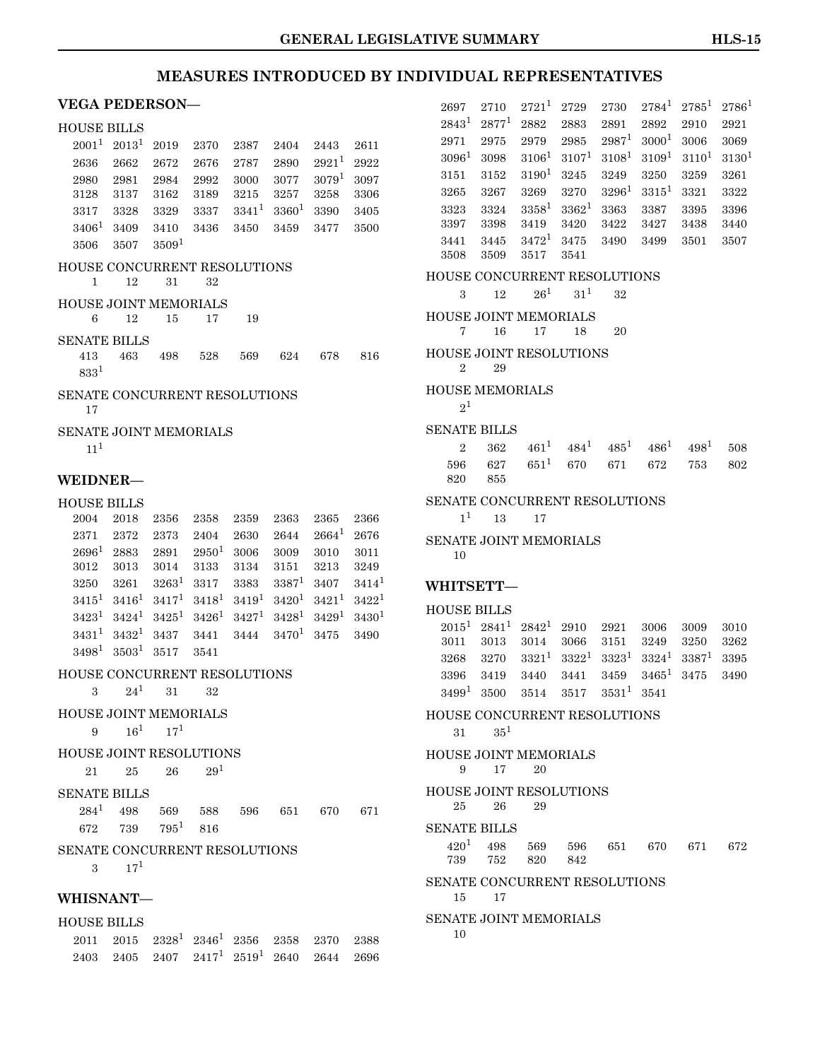### **VEGA PEDERSON—**

### HOUSE BILLS

| UOODE DILLO                         |                   |                   |          |          |             |            |            |
|-------------------------------------|-------------------|-------------------|----------|----------|-------------|------------|------------|
| $2001^{1}$                          | 2013 <sup>1</sup> | 2019              | 2370     | 2387     | 2404        | 2443       | 2611       |
| 2636                                | 2662              | 2672              | 2676     | 2787     | 2890        | $2921^{1}$ | 2922       |
| 2980                                | 2981              | 2984              | 2992     | 3000     | 3077        | $3079^{1}$ | 3097       |
| 3128                                | 3137              | 3162              | 3189     | 3215     | 3257        | 3258       | 3306       |
| 3317                                | 3328              | 3329              | 3337     | $3341^1$ | $3360^1$    | 3390       | 3405       |
| $3406^{1}$                          | 3409              | 3410              | 3436     | 3450     | 3459        | 3477       | 3500       |
| 3506                                | 3507              | 3509 <sup>1</sup> |          |          |             |            |            |
| HOUSE CONCURRENT RESOLUTIONS<br>1   | 12                | 31                | 32       |          |             |            |            |
| <b>HOUSE JOINT MEMORIALS</b>        |                   |                   |          |          |             |            |            |
| 6                                   | 12                | 15                | 17       | 19       |             |            |            |
| <b>SENATE BILLS</b>                 |                   |                   |          |          |             |            |            |
| 413                                 | 463               | 498               | 528      | 569      | 624         | 678        | 816        |
| $833^{1}$                           |                   |                   |          |          |             |            |            |
| SENATE CONCURRENT RESOLUTIONS<br>17 |                   |                   |          |          |             |            |            |
| SENATE JOINT MEMORIALS              |                   |                   |          |          |             |            |            |
| $11^{1}$                            |                   |                   |          |          |             |            |            |
|                                     |                   |                   |          |          |             |            |            |
| <b>WEIDNER—</b>                     |                   |                   |          |          |             |            |            |
| <b>HOUSE BILLS</b>                  |                   |                   |          |          |             |            |            |
| 2004                                | 2018              | 2356              | 2358     | 2359     | 2363        | 2365       | 2366       |
| 2371                                | 2372              | 2373              | 2404     | 2630     | 2644        | $2664^1$   | 2676       |
| $2696^1$                            | 2883              | 2891              | $2950^1$ | 3006     | 3009        | 3010       | 3011       |
| 3012                                | 3013              | 3014              | 3133     | 3134     | 3151        | 3213       | 3249       |
| 3250                                | 3261              | $3263^1$          | 3317     | 3383     | $3387^1$    | 3407       | $3414^1$   |
| $3415^1$                            | $3416^1$          | $3417^1$          | $3418^1$ | $3419^1$ | $3420^1$    | $3421^1$   | $3422^1$   |
| $3423^1$                            | $3424^1$          | $3425^1$          | $3426^1$ | $3427^1$ | $3428^1$    | $3429^1$   | $3430^{1}$ |
| $3431^1$                            | $3432^1$          | 3437              | 3441     | 3444     | $3470^{1}$  | 3475       | 3490       |
| $3498^1$                            | 3503 <sup>1</sup> | 3517              | 3541     |          |             |            |            |
| HOUSE CONCURRENT RESOLUTIONS        |                   |                   |          |          |             |            |            |
| 3                                   | $24^1$            | 31                | 32       |          |             |            |            |
| <b>HOUSE JOINT MEMORIALS</b>        |                   |                   |          |          |             |            |            |
| 9 $16^1$ $17^1$                     |                   |                   |          |          |             |            |            |
| <b>HOUSE JOINT RESOLUTIONS</b>      |                   |                   |          |          |             |            |            |
|                                     | 25                | 26                | $29^{1}$ |          |             |            |            |
| 21 —                                |                   |                   |          |          |             |            |            |
| <b>SENATE BILLS</b>                 |                   |                   |          |          |             |            |            |
| $284^1$                             | 498               | 569 588           |          |          | 596 651 670 |            | 671        |
|                                     | 672 739           | $795^1$ 816       |          |          |             |            |            |
| SENATE CONCURRENT RESOLUTIONS       |                   |                   |          |          |             |            |            |
| 3                                   | $17^{1}$          |                   |          |          |             |            |            |
|                                     |                   |                   |          |          |             |            |            |
| <b>WHISNANT-</b>                    |                   |                   |          |          |             |            |            |

| <b>HOUSE BILLS</b> |                                                                   |  |  |  |
|--------------------|-------------------------------------------------------------------|--|--|--|
|                    | $2011$ $2015$ $2328^1$ $2346^1$ $2356$ $2358$ $2370$ $2388$       |  |  |  |
|                    | 2403 2405 2407 2417 <sup>1</sup> 2519 <sup>1</sup> 2640 2644 2696 |  |  |  |

| 2697                                             | 2710         | $2721^1$                   | 2729         | 2730                                    | $2784^1$   | $2785^1$ | $2786^1$   |
|--------------------------------------------------|--------------|----------------------------|--------------|-----------------------------------------|------------|----------|------------|
| $2843^1$                                         | $2877^1$     | 2882                       | 2883         | 2891                                    | 2892       | 2910     | 2921       |
| 2971                                             | 2975         | 2979                       | 2985         | $2987^1$                                | $3000^{1}$ | 3006     | 3069       |
| $3096^1$                                         | 3098         | $3106^1$                   | $3107^1$     | $3108^1$                                | $3109^1$   | $3110^1$ | $3130^{1}$ |
| 3151                                             | 3152         | $3190^1$                   | 3245         | 3249                                    | 3250       | 3259     | 3261       |
| 3265                                             | 3267         | 3269                       | 3270         | $3296^1$                                | $3315^1$   | 3321     | 3322       |
| 3323                                             | 3324         | $3358^1$                   | $3362^1$     | 3363                                    | 3387       | 3395     | 3396       |
| 3397                                             | 3398         | 3419                       | 3420         | 3422                                    | 3427       | 3438     | 3440       |
| 3441<br>3508                                     | 3445<br>3509 | $3472^1$<br>3517           | 3475<br>3541 | 3490                                    | 3499       | 3501     | 3507       |
| HOUSE CONCURRENT RESOLUTIONS                     |              |                            |              |                                         |            |          |            |
| 3                                                | 12           | $26^1$                     | $31^{1}$     | 32                                      |            |          |            |
|                                                  |              |                            |              |                                         |            |          |            |
| HOUSE JOINT MEMORIALS                            |              |                            |              |                                         |            |          |            |
| 7                                                | 16           | 17                         | 18           | 20                                      |            |          |            |
| <b>HOUSE JOINT RESOLUTIONS</b><br>$\overline{2}$ | 29           |                            |              |                                         |            |          |            |
| <b>HOUSE MEMORIALS</b>                           |              |                            |              |                                         |            |          |            |
| $2^1$                                            |              |                            |              |                                         |            |          |            |
| <b>SENATE BILLS</b>                              |              |                            |              |                                         |            |          |            |
| $\overline{2}$                                   | 362          |                            |              | $461^1$ $484^1$ $485^1$ $486^1$ $498^1$ |            |          | 508        |
| 596                                              | 627          |                            |              | $651^1$ 670 671                         | 672        | 753      | 802        |
| 820                                              | 855          |                            |              |                                         |            |          |            |
| SENATE CONCURRENT RESOLUTIONS                    |              |                            |              |                                         |            |          |            |
| 1 <sup>1</sup>                                   | 13           | 17                         |              |                                         |            |          |            |
| SENATE JOINT MEMORIALS                           |              |                            |              |                                         |            |          |            |
| 10                                               |              |                            |              |                                         |            |          |            |
| WHITSETT-                                        |              |                            |              |                                         |            |          |            |
|                                                  |              |                            |              |                                         |            |          |            |
| <b>HOUSE BILLS</b>                               |              |                            |              |                                         |            |          |            |
|                                                  |              | $2015^1$ $2841^1$ $2842^1$ | 2910         | 2921                                    | 3006       | 3009     | 3010       |
| 3011                                             | 3013         | 3014                       | 3066         | 3151                                    | 3249       | 3250     | 3262       |
| 3268                                             | 3270         | $3321^1$                   | $3322^1$     | $3323^1$                                | $3324^1$   | $3387^1$ | 3395       |
| 3396                                             | 3419         | 3440                       | 3441         | 3459                                    | $3465^1$   | 3475     | 3490       |
| $3499^{1}$                                       | 3500         | 3514                       | 3517         | $3531^1$                                | 3541       |          |            |
| HOUSE CONCURRENT RESOLUTIONS                     |              |                            |              |                                         |            |          |            |
| 31 —                                             | $35^{1}$     |                            |              |                                         |            |          |            |
| <b>HOUSE JOINT MEMORIALS</b>                     |              |                            |              |                                         |            |          |            |
| 9                                                | 17           | 20                         |              |                                         |            |          |            |
| <b>HOUSE JOINT RESOLUTIONS</b>                   |              |                            |              |                                         |            |          |            |
| 25                                               | 26           | 29                         |              |                                         |            |          |            |
| <b>SENATE BILLS</b>                              |              |                            |              |                                         |            |          |            |
| $420^{1}$                                        | 498          | 569                        | 596 —        | 651 —                                   | 670 —      | 671      | 672        |
| 739                                              | 752          | 820                        | 842          |                                         |            |          |            |
| SENATE CONCURRENT RESOLUTIONS                    |              |                            |              |                                         |            |          |            |
| 15                                               | 17           |                            |              |                                         |            |          |            |
| <b>SENATE JOINT MEMORIALS</b>                    |              |                            |              |                                         |            |          |            |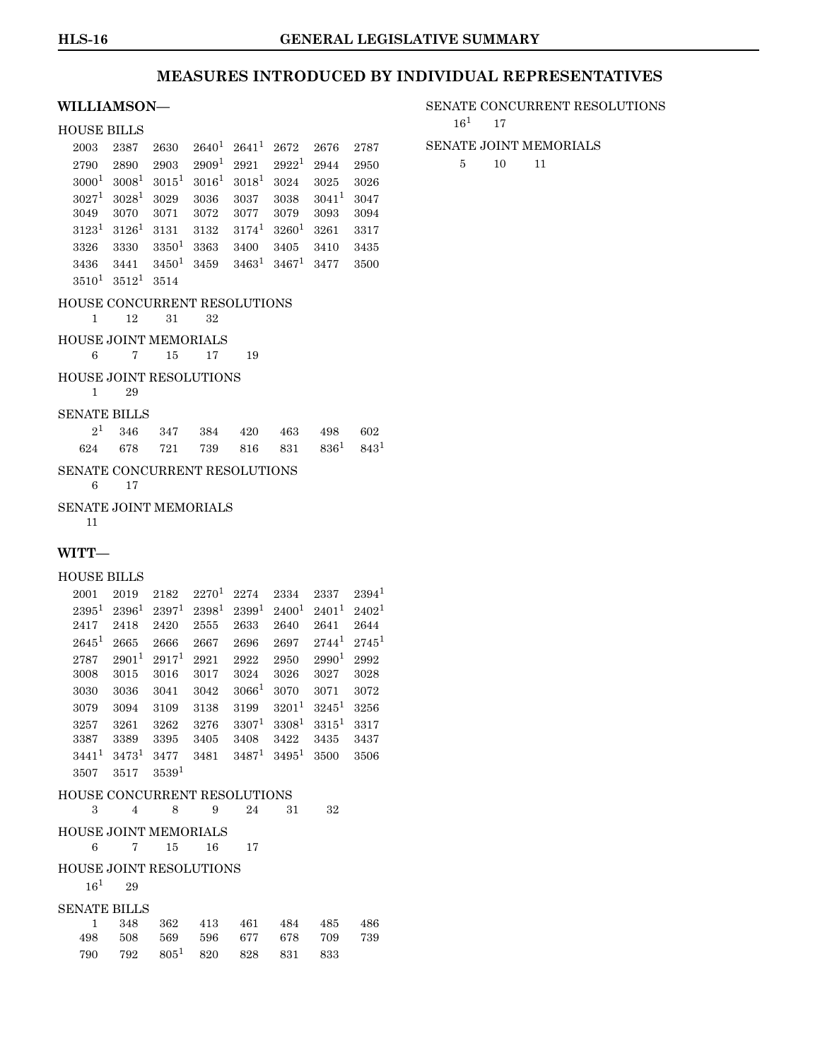#### **WILLIAMSON—**

### HOUSE BILLS  $2003 \quad 2387 \quad 2630 \quad 2640^1 \quad 2641^1 \quad 2672 \quad 2676 \quad 2787$  $2003 \quad 2387 \quad 2630 \quad 2640^1 \quad 2641^1 \quad 2672 \quad 2676 \quad 2787$  $2003 \quad 2387 \quad 2630 \quad 2640^1 \quad 2641^1 \quad 2672 \quad 2676 \quad 2787$  $2790$   $2890$   $2903$   $2909<sup>1</sup>$  $2909<sup>1</sup>$  $2909<sup>1</sup>$   $2921$   $2922<sup>1</sup>$   $2944$   $2950$  $3000^1$  $3000^1$   $3008^1$   $3015^1$   $3016^1$   $3018^1$   $3024$   $3025$   $3026$ 3027[1](#page-0-0) 3028[1](#page-0-0) 3029 3036 3037 3038 3041[1](#page-0-0) 3047 3049 3070 3071 3072 3077 3079 3093 3094  $3123^1$  $3123^1$  $3123^1$   $3126^1$   $3131$   $3132$   $3174^1$   $3260^1$   $3261$   $3317$ 3326 3330 3350[1](#page-0-0) 3363 3400 3405 3410 3435  $3436$   $3441$  $3441$   $3450^1$   $3459$   $3463^1$   $3467^1$   $3477$   $3500$  $3510^1$  $3510^1$  $3510^1$   $3512^1$   $3514$

### HOUSE CONCURRENT RESOLUTIONS

```
1 12 31 32
```
### HOUSE JOINT MEMORIALS

6 7 15 17 19

#### HOUSE JOINT RESOLUTIONS

1 29

#### SENATE BILLS

|  |  |  | $2^1$ 346 347 384 420 463 498 602                         |  |
|--|--|--|-----------------------------------------------------------|--|
|  |  |  | 624 678 721 739 816 831 836 <sup>1</sup> 843 <sup>1</sup> |  |

### SENATE CONCURRENT RESOLUTIONS

6 17

### SENATE JOINT MEMORIALS

#### 11

#### **WITT—**

#### HOUSE BILLS

| 2001     | 2019                         | 2182              | $2270^1$          | 2274              | 2334              | 2337              | $2394^1$          |
|----------|------------------------------|-------------------|-------------------|-------------------|-------------------|-------------------|-------------------|
| $2395^1$ | 2396 <sup>1</sup>            | 2397 <sup>1</sup> | 2398 <sup>1</sup> | $2399^{1}$        | 2400 <sup>1</sup> | $2401^1$          | 2402 <sup>1</sup> |
| 2417     | 2418                         | 2420              | 2555              | 2633              | 2640              | 2641              | 2644              |
| $2645^1$ | 2665                         | 2666              | 2667              | 2696              | 2697              | $2744^1$          | $2745^1$          |
| 2787     | $2901^{1}$                   | 2917 <sup>1</sup> | 2921              | 2922              | 2950              | 2990 <sup>1</sup> | 2992              |
| 3008     | 3015                         | 3016              | 3017              | 3024              | 3026              | 3027              | 3028              |
| 3030     | 3036                         | 3041              | 3042              | 3066 <sup>1</sup> | 3070              | 3071              | 3072              |
| 3079     | 3094                         | 3109              | 3138              | 3199              | $3201^1$          | $3245^1$          | 3256              |
| 3257     | 3261                         | 3262              | 3276              | $3307^1$          | $3308^1$          | $3315^1$          | 3317              |
| 3387     | 3389                         | 3395              | 3405              | 3408              | 3422              | 3435              | 3437              |
| $3441^1$ | $3473^1$                     | 3477              | 3481              | $3487^1$          | $3495^1$          | 3500              | 3506              |
| 3507     | 3517                         | 3539 <sup>1</sup> |                   |                   |                   |                   |                   |
|          | HOUSE CONCURRENT RESOLUTIONS |                   |                   |                   |                   |                   |                   |

| 3                   |     | 8<br>4                         | 9   | 24  | 31  | 32  |     |
|---------------------|-----|--------------------------------|-----|-----|-----|-----|-----|
|                     |     | <b>HOUSE JOINT MEMORIALS</b>   |     |     |     |     |     |
| 6                   |     | 15<br>7                        | 16  | 17  |     |     |     |
|                     |     | <b>HOUSE JOINT RESOLUTIONS</b> |     |     |     |     |     |
| $16^{1}$            |     | 29                             |     |     |     |     |     |
| <b>SENATE BILLS</b> |     |                                |     |     |     |     |     |
|                     | 348 | 362                            | 413 | 461 | 484 | 485 | 486 |
| 498                 | 508 | 569                            | 596 | 677 | 678 | 709 | 739 |

790 792 805[1](#page-0-0) 820 828 831 833

#### SENATE CONCURRENT RESOLUTIONS

 $16^1$  $16^1$  17

#### SENATE JOINT MEMORIALS

5 10 11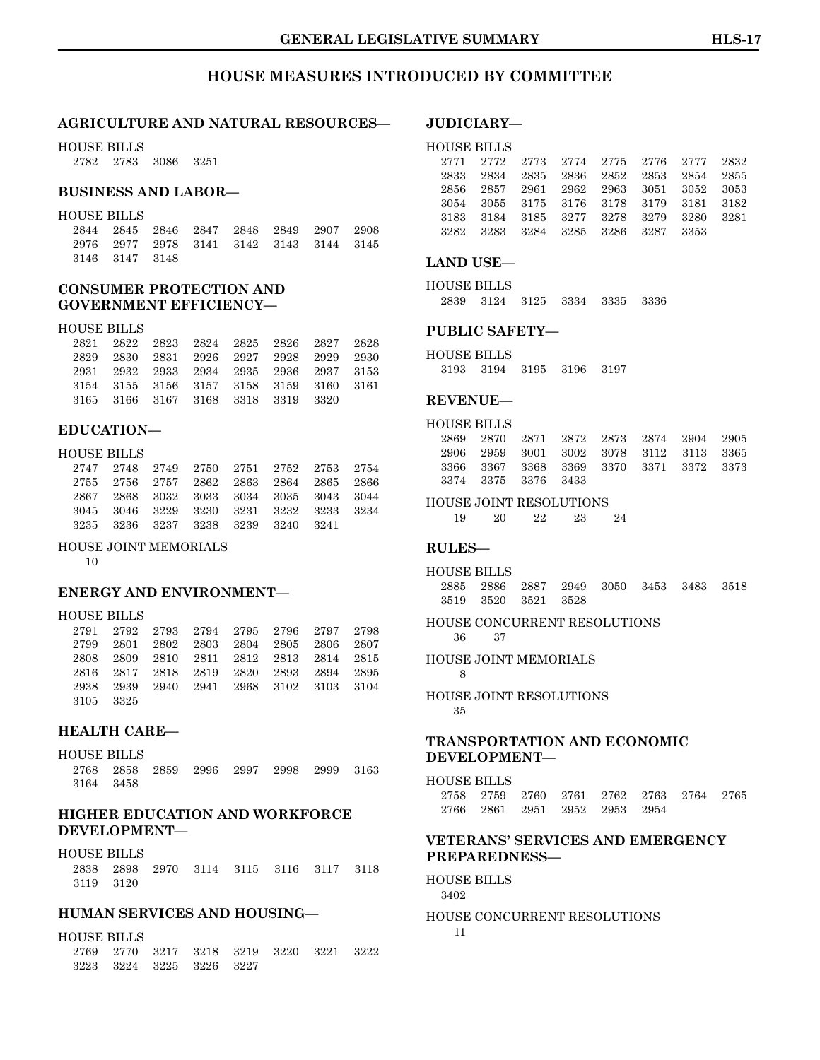### **HOUSE MEASURES INTRODUCED BY COMMITTEE**

#### **AGRICULTURE AND NATURAL RESOURCES—**

HOUSE BILLS

2782 2783 3086 3251

### **BUSINESS AND LABOR—**

#### HOUSE BILLS

|                |  | 2844 2845 2846 2847 2848 2849 2907 2908 |  |  |
|----------------|--|-----------------------------------------|--|--|
|                |  | 2976 2977 2978 3141 3142 3143 3144 3145 |  |  |
| 3146 3147 3148 |  |                                         |  |  |

### **CONSUMER PROTECTION AND GOVERNMENT EFFICIENCY—**

#### HOUSE BILLS

|  |                                    |  | 2821 2822 2823 2824 2825 2826 2827 2828 |  |
|--|------------------------------------|--|-----------------------------------------|--|
|  |                                    |  | 2829 2830 2831 2926 2927 2928 2929 2930 |  |
|  |                                    |  | 2931 2932 2933 2934 2935 2936 2937 3153 |  |
|  |                                    |  | 3154 3155 3156 3157 3158 3159 3160 3161 |  |
|  | 3165 3166 3167 3168 3318 3319 3320 |  |                                         |  |

#### **EDUCATION—**

#### HOUSE BILLS

| 2747 2748 2749 2750 2751 2752 2753 2754 |  |  |  |
|-----------------------------------------|--|--|--|
| 2755 2756 2757 2862 2863 2864 2865 2866 |  |  |  |
| 2867 2868 3032 3033 3034 3035 3043 3044 |  |  |  |
| 3045 3046 3229 3230 3231 3232 3233 3234 |  |  |  |
| 3235 3236 3237 3238 3239 3240 3241      |  |  |  |

#### HOUSE JOINT MEMORIALS

10

#### **ENERGY AND ENVIRONMENT—**

#### HOUSE BILLS

| 2791 2792 2793 2794 2795 2796 2797 2798 |  |  |  |
|-----------------------------------------|--|--|--|
| 2799 2801 2802 2803 2804 2805 2806 2807 |  |  |  |
| 2808 2809 2810 2811 2812 2813 2814 2815 |  |  |  |
| 2816 2817 2818 2819 2820 2893 2894 2895 |  |  |  |
| 2938 2939 2940 2941 2968 3102 3103 3104 |  |  |  |
| 3105 3325                               |  |  |  |

#### **HEALTH CARE—**

HOUSE BILLS

2768 2858 2859 2996 2997 2998 2999 3163 3164 3458

### **HIGHER EDUCATION AND WORKFORCE DEVELOPMENT—**

#### HOUSE BILLS

2838 2898 2970 3114 3115 3116 3117 3118 3119 3120

### **HUMAN SERVICES AND HOUSING—**

#### HOUSE BILLS

|  |                          | 2769 2770 3217 3218 3219 3220 3221 3222 |  |  |
|--|--------------------------|-----------------------------------------|--|--|
|  | 3223 3224 3225 3226 3227 |                                         |  |  |

#### **JUDICIARY—**

#### HOUSE BILLS

|  |  |                                    | 2771 2772 2773 2774 2775 2776 2777 2832 |  |
|--|--|------------------------------------|-----------------------------------------|--|
|  |  |                                    | 2833 2834 2835 2836 2852 2853 2854 2855 |  |
|  |  |                                    | 2856 2857 2961 2962 2963 3051 3052 3053 |  |
|  |  |                                    | 3054 3055 3175 3176 3178 3179 3181 3182 |  |
|  |  |                                    | 3183 3184 3185 3277 3278 3279 3280 3281 |  |
|  |  | 3282 3283 3284 3285 3286 3287 3353 |                                         |  |
|  |  |                                    |                                         |  |

#### **LAND USE—**

HOUSE BILLS 2839 3124 3125 3334 3335 3336

### **PUBLIC SAFETY—**

HOUSE BILLS 3193 3194 3195 3196 3197

#### **REVENUE—**

| HOUSE BILLS |                     |                                         |  |  |
|-------------|---------------------|-----------------------------------------|--|--|
|             |                     | 2869 2870 2871 2872 2873 2874 2904 2905 |  |  |
|             |                     | 2906 2959 3001 3002 3078 3112 3113 3365 |  |  |
|             |                     | 3366 3367 3368 3369 3370 3371 3372 3373 |  |  |
|             | 3374 3375 3376 3433 |                                         |  |  |

HOUSE JOINT RESOLUTIONS

19 20 22 23 24

#### **RULES—**

HOUSE BILLS 2885 2886 2887 2949 3050 3453 3483 3518 3519 3520 3521 3528

HOUSE CONCURRENT RESOLUTIONS 36 37

HOUSE JOINT MEMORIALS 8

HOUSE JOINT RESOLUTIONS 35

### **TRANSPORTATION AND ECONOMIC DEVELOPMENT—**

#### HOUSE BILLS 2758 2759 2760 2761 2762 2763 2764 2765 2766 2861 2951 2952 2953 2954

### **VETERANS' SERVICES AND EMERGENCY PREPAREDNESS—**

#### HOUSE BILLS

3402

#### HOUSE CONCURRENT RESOLUTIONS 11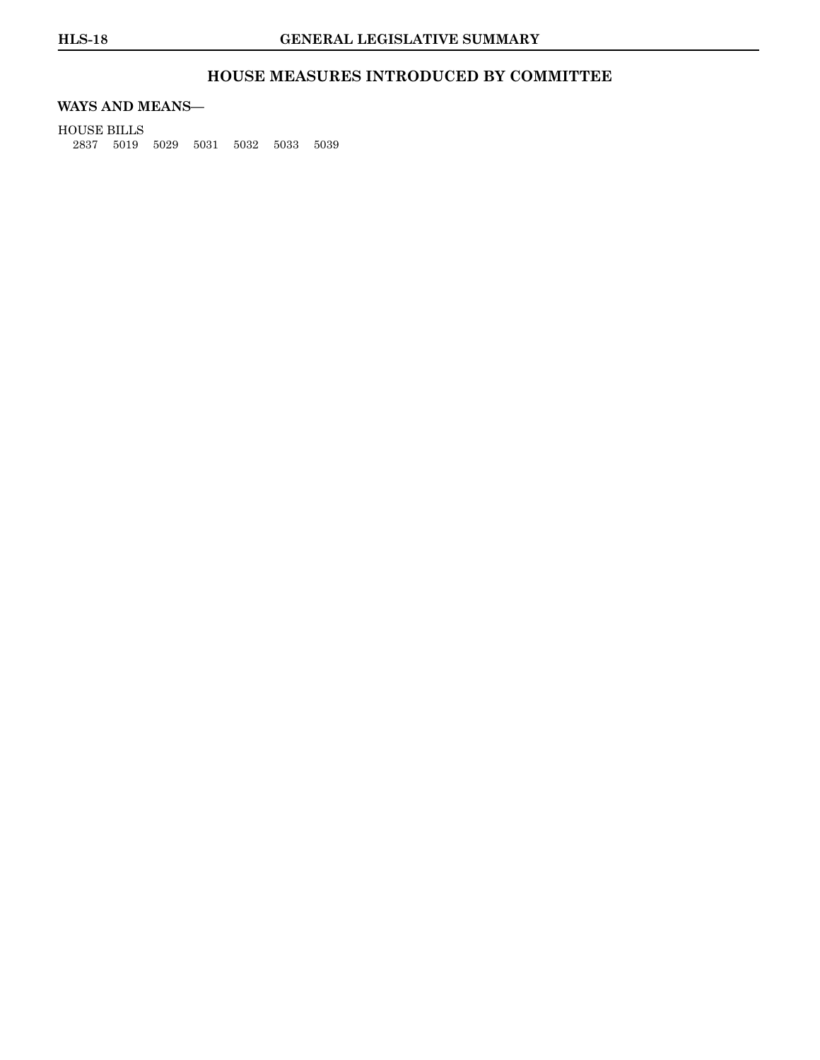### **HOUSE MEASURES INTRODUCED BY COMMITTEE**

### **WAYS AND MEANS—**

HOUSE BILLS 2837 5019 5029 5031 5032 5033 5039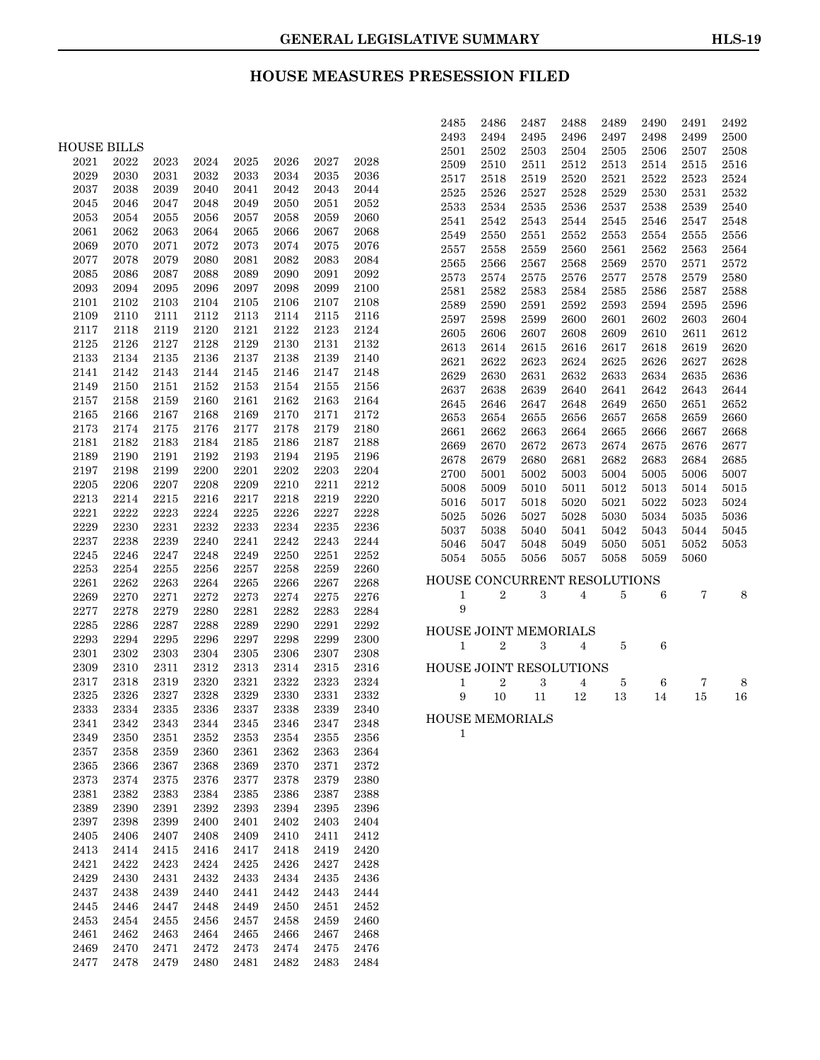### **HOUSE MEASURES PRESESSION FILED**

|                     |                     |              |              |                     |              |                     |                     | 2488<br>2489<br>2492<br>2485<br>2486<br>2487<br>2490<br>2491                      |
|---------------------|---------------------|--------------|--------------|---------------------|--------------|---------------------|---------------------|-----------------------------------------------------------------------------------|
|                     |                     |              |              |                     |              |                     |                     | 2493<br>2494<br>2495<br>2496<br>2497<br>2499<br>2500<br>2498                      |
| <b>HOUSE BILLS</b>  |                     |              |              |                     |              |                     |                     | 2501<br>2502<br>2503<br>2504<br>2505<br>2506<br>2507<br>2508                      |
| 2021                | 2022                | 2023         | 2024         | 2025                | 2026         | 2027                | 2028                | 2510<br>2511<br>2512<br>2513<br>2516<br>2509<br>2514<br>2515                      |
| 2029                | 2030                | 2031         | 2032         | 2033                | 2034         | $\boldsymbol{2035}$ | 2036                | 2524<br>2517<br>2518<br>2519<br>2520<br>2521<br>2522<br>2523                      |
| 2037                | 2038                | 2039         | 2040         | 2041                | 2042         | 2043                | 2044                | 2526<br>2532<br>2525<br>2527<br>2528<br>2529<br>2530<br>2531                      |
| 2045                | 2046                | 2047         | 2048         | 2049                | 2050         | 2051                | 2052                | 2533<br>2534<br>2535<br>2540<br>2536<br>2537<br>2538<br>2539                      |
| 2053                | 2054                | 2055         | 2056         | 2057                | 2058         | 2059                | 2060                | 2541<br>2542<br>2543<br>2548<br>2544<br>2545<br>2546<br>2547                      |
| 2061                | 2062                | 2063         | 2064         | 2065                | 2066         | 2067                | 2068                | 2549<br>2550<br>2551<br>2552<br>2553<br>2555<br>2556<br>2554                      |
| 2069                | 2070                | 2071         | 2072         | 2073                | 2074         | 2075                | 2076                | 2564<br>2557<br>2558<br>2559<br>2560<br>2561<br>2562<br>2563                      |
| 2077                | 2078                | 2079         | 2080         | 2081                | 2082         | 2083                | 2084                | 2566<br>2572<br>2565<br>2567<br>2568<br>2569<br>2570<br>2571                      |
| 2085                | 2086                | 2087         | 2088         | 2089                | 2090         | 2091                | 2092                | 2573<br>2574<br>2575<br>2577<br>2578<br>2579<br>2580<br>2576                      |
| 2093                | 2094                | 2095         | 2096         | 2097                | 2098         | 2099                | 2100                | 2582<br>2588<br>2581<br>2583<br>2585<br>2587<br>2584<br>2586                      |
| 2101                | 2102                | 2103         | 2104         | 2105                | 2106         | 2107                | 2108                | 2589<br>2590<br>2591<br>2592<br>2593<br>2595<br>2596<br>2594                      |
| 2109                | 2110                | 2111         | 2112         | 2113                | 2114         | 2115                | 2116                | 2604<br>2597<br>2598<br>2599<br>2600<br>2601<br>2602<br>2603                      |
| 2117                | 2118                | 2119         | 2120         | 2121                | 2122         | 2123                | 2124                | 2605<br>2606<br>2607<br>2612<br>2608<br>2609<br>2610<br>2611                      |
| 2125                | 2126                | 2127         | 2128         | 2129                | 2130         | 2131                | 2132                | 2620<br>2613<br>2614<br>2615<br>2616<br>2617<br>2619<br>2618                      |
| 2133                | 2134                | 2135         | 2136         | 2137                | 2138         | 2139                | 2140                | 2622<br>2628<br>2621<br>2623<br>2624<br>2625<br>2626<br>2627                      |
| 2141                | 2142                | 2143         | 2144         | 2145                | 2146         | 2147                | 2148                | 2630<br>2633<br>2636<br>2629<br>2631<br>2632<br>2634<br>2635                      |
| 2149                | 2150<br>2158        | 2151<br>2159 | 2152         | 2153                | 2154         | 2155                | 2156                | 2637<br>2638<br>2639<br>2644<br>2640<br>2641<br>2642<br>2643                      |
| 2157                | 2166                | 2167         | 2160         | 2161                | 2162         | 2163                | 2164                | 2652<br>2645<br>2646<br>2647<br>2648<br>2649<br>2650<br>2651                      |
| 2165                |                     |              | 2168         | 2169                | 2170         | 2171                | 2172                | 2653<br>2654<br>2655<br>2659<br>2660<br>2656<br>2657<br>2658                      |
| 2173<br>2181        | 2174<br>2182        | 2175<br>2183 | 2176<br>2184 | 2177<br>2185        | 2178<br>2186 | 2179<br>2187        | 2180<br>2188        | 2661<br>2662<br>2663<br>2664<br>2665<br>2667<br>2668<br>2666                      |
| 2189                | 2190                | 2191         | 2192         | 2193                | 2194         | 2195                | 2196                | 2670<br>2672<br>2677<br>2669<br>2673<br>2674<br>2675<br>2676                      |
| 2197                | 2198                | 2199         | 2200         | 2201                | 2202         | 2203                | 2204                | 2679<br>2685<br>2678<br>2680<br>2681<br>2682<br>2683<br>2684                      |
| 2205                | 2206                | 2207         | 2208         | 2209                | 2210         | 2211                | 2212                | 2700<br>5001<br>5002<br>5004<br>5006<br>5007<br>5003<br>5005                      |
| 2213                | 2214                | 2215         | 2216         | 2217                | 2218         | 2219                | 2220                | 5008<br>5009<br>5010<br>5011<br>5012<br>5013<br>5014<br>5015                      |
| 2221                | 2222                | 2223         | 2224         | 2225                | 2226         | 2227                | 2228                | 5017<br>5021<br>5024<br>5016<br>5018<br>5020<br>5022<br>5023                      |
| 2229                | 2230                | 2231         | 2232         | 2233                | 2234         | 2235                | 2236                | 5025<br>5026<br>5030<br>5035<br>5036<br>5027<br>5028<br>5034                      |
| 2237                | 2238                | 2239         | 2240         | 2241                | 2242         | 2243                | 2244                | 5037<br>5038<br>5045<br>5040<br>5041<br>5042<br>5043<br>5044                      |
| 2245                | 2246                | 2247         | 2248         | 2249                | 2250         | 2251                | 2252                | 5046<br>5047<br>5048<br>5050<br>5052<br>5053<br>5049<br>5051<br>5055              |
| 2253                | 2254                | 2255         | 2256         | 2257                | 2258         | 2259                | 2260                | 5054<br>5056<br>5057<br>5058<br>5059<br>5060                                      |
| 2261                | 2262                | 2263         | 2264         | 2265                | 2266         | 2267                | 2268                | CONCURRENT RESOLUTIONS<br><b>HOUSE</b>                                            |
| 2269                | 2270                | 2271         | 2272         | 2273                | 2274         | 2275                | 2276                | $\boldsymbol{2}$<br>$\rm 3$<br>$\overline{5}$<br>6<br>7<br>8<br>$\mathbf{1}$<br>4 |
| 2277                | 2278                | 2279         | 2280         | 2281                | 2282         | 2283                | 2284                | 9                                                                                 |
| 2285                | 2286                | 2287         | 2288         | 2289                | 2290         | 2291                | 2292                |                                                                                   |
| 2293                | 2294                | 2295         | 2296         | 2297                | 2298         | 2299                | 2300                | <b>HOUSE JOINT MEMORIALS</b>                                                      |
| 2301                | 2302                | 2303         | 2304         | 2305                | 2306         | 2307                | 2308                | $\overline{2}$<br>3<br>5<br>6<br>$\mathbf{1}$<br>4                                |
| 2309                | 2310                | 2311         | 2312         | 2313                | 2314         | 2315                | 2316                | HOUSE JOINT RESOLUTIONS                                                           |
| 2317                | 2318                | 2319         | 2320         | 2321                | 2322         | 2323                | 2324                | $\overline{2}$<br>$\rm 3$<br>5<br>8<br>$\mathbf{1}$<br>4<br>6<br>7                |
| 2325                | 2326                | 2327         | 2328         | 2329                | 2330         | 2331                | 2332                | 9<br>12<br>13<br>10<br>11<br>14<br>16<br>15                                       |
| 2333                | 2334                | 2335         | 2336         | 2337                | 2338         | 2339                | 2340                |                                                                                   |
| 2341                | 2342                | $\bf 2343$   | $\bf 2344$   | 2345                | 2346         | 2347                | 2348                | HOUSE MEMORIALS                                                                   |
| 2349                | $\boldsymbol{2350}$ | 2351         | $\bf 2352$   | $\bf 2353$          | 2354         | $\bf 2355$          | $\bf 2356$          | $\mathbf{1}$                                                                      |
| 2357                | 2358                | 2359         | 2360         | 2361                | 2362         | 2363                | 2364                |                                                                                   |
| $\boldsymbol{2365}$ | 2366                | 2367         | 2368         | 2369                | 2370         | 2371                | $\bf 2372$          |                                                                                   |
| 2373                | 2374                | 2375         | $\bf 2376$   | $\bf 2377$          | 2378         | 2379                | 2380                |                                                                                   |
| 2381                | 2382                | 2383         | 2384         | $\boldsymbol{2385}$ | 2386         | 2387                | 2388                |                                                                                   |
| 2389                | 2390                | 2391         | 2392         | 2393                | 2394         | 2395                | 2396                |                                                                                   |
| 2397                | 2398                | 2399         | 2400         | 2401                | 2402         | 2403                | 2404                |                                                                                   |
| $\boldsymbol{2405}$ | 2406                | 2407         | 2408         | 2409                | 2410         | 2411                | $\bf 2412$          |                                                                                   |
| 2413                | 2414                | 2415         | 2416         | 2417                | 2418         | 2419                | 2420                |                                                                                   |
| 2421                | 2422                | 2423         | 2424         | 2425                | 2426         | 2427                | 2428                |                                                                                   |
| 2429                | 2430                | 2431         | 2432         | 2433                | 2434         | 2435                | 2436                |                                                                                   |
| 2437                | 2438                | 2439         | 2440         | 2441                | 2442         | 2443                | 2444                |                                                                                   |
| $\bf 2445$          | 2446                | 2447         | 2448         | 2449                | 2450         | 2451                | 2452                |                                                                                   |
| 2453                | 2454                | 2455         | 2456         | 2457                | 2458         | 2459                | 2460                |                                                                                   |
| 2461                | 2462                | 2463         | 2464         | 2465                | 2466         | 2467                | 2468                |                                                                                   |
| 2469                | 2470                | 2471         | 2472         | 2473                | 2474         | 2475                | 2476                |                                                                                   |
| 2477                | 2478                | 2479         | 2480         | 2481                | 2482         | $\boldsymbol{2483}$ | $\boldsymbol{2484}$ |                                                                                   |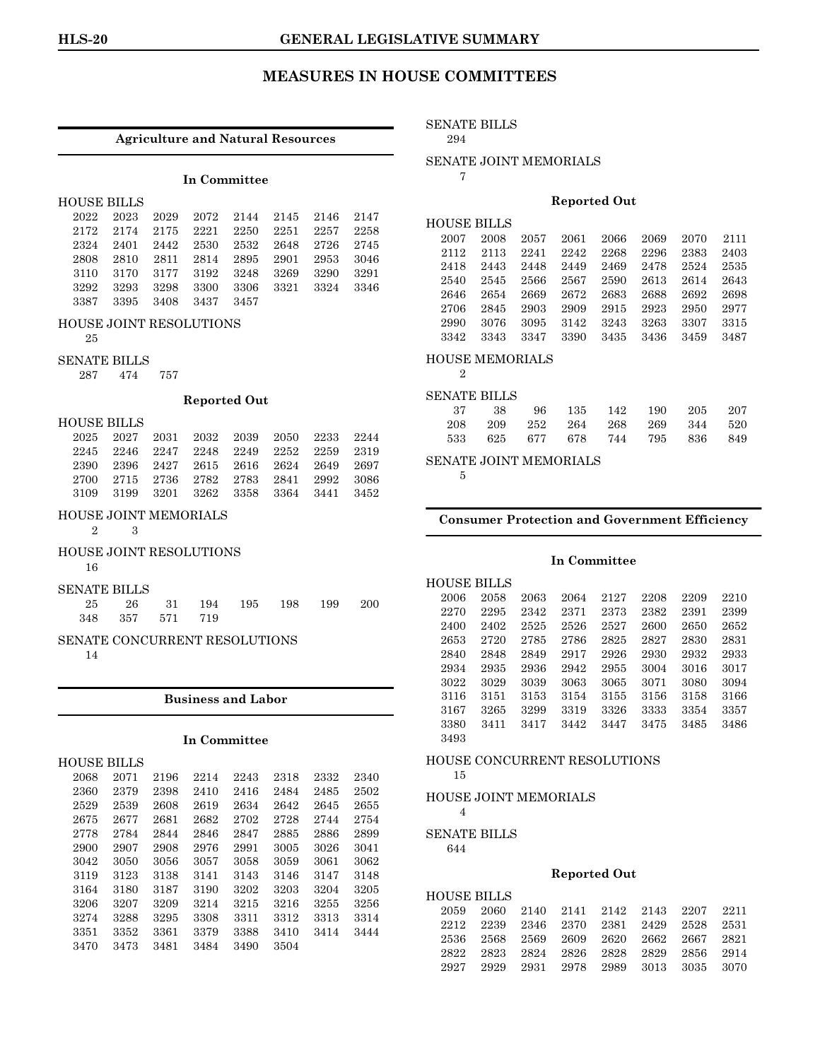#### **Agriculture and Natural Resources**

#### **In Committee**

| <b>HOUSE BILLS</b> |  |
|--------------------|--|
|                    |  |
|                    |  |

|                          |  | 2022 2023 2029 2072 2144 2145 2146 2147 |  |  |
|--------------------------|--|-----------------------------------------|--|--|
|                          |  | 2172 2174 2175 2221 2250 2251 2257 2258 |  |  |
|                          |  | 2324 2401 2442 2530 2532 2648 2726 2745 |  |  |
|                          |  | 2808 2810 2811 2814 2895 2901 2953 3046 |  |  |
|                          |  | 3110 3170 3177 3192 3248 3269 3290 3291 |  |  |
|                          |  | 3292 3293 3298 3300 3306 3321 3324 3346 |  |  |
| 3387 3395 3408 3437 3457 |  |                                         |  |  |

#### HOUSE JOINT RESOLUTIONS

25

#### SENATE BILLS

287 474 757

#### **Reported Out**

HOUSE BILLS

| 2025 2027 2031 2032 2039 2050 2233 2244 |  |  |  |
|-----------------------------------------|--|--|--|
| 2245 2246 2247 2248 2249 2252 2259 2319 |  |  |  |
| 2390 2396 2427 2615 2616 2624 2649 2697 |  |  |  |
| 2700 2715 2736 2782 2783 2841 2992 3086 |  |  |  |
| 3109 3199 3201 3262 3358 3364 3441 3452 |  |  |  |

#### HOUSE JOINT MEMORIALS

2 3

### HOUSE JOINT RESOLUTIONS

16

#### SENATE BILLS

| 25 26 31 194 195 198 199 200 |  |  |  |
|------------------------------|--|--|--|
| 348 357 571 719              |  |  |  |

## SENATE CONCURRENT RESOLUTIONS

14

#### **Business and Labor**

#### **In Committee**

| HOUSE BILLS |      |      |      |      |      |      |      |
|-------------|------|------|------|------|------|------|------|
| 2068        | 2071 | 2196 | 2214 | 2243 | 2318 | 2332 | 2340 |
| 2360        | 2379 | 2398 | 2410 | 2416 | 2484 | 2485 | 2502 |
| 2529        | 2539 | 2608 | 2619 | 2634 | 2642 | 2645 | 2655 |
| 2675        | 2677 | 2681 | 2682 | 2702 | 2728 | 2744 | 2754 |
| 2778        | 2784 | 2844 | 2846 | 2847 | 2885 | 2886 | 2899 |
| 2900        | 2907 | 2908 | 2976 | 2991 | 3005 | 3026 | 3041 |
| 3042        | 3050 | 3056 | 3057 | 3058 | 3059 | 3061 | 3062 |
| 3119        | 3123 | 3138 | 3141 | 3143 | 3146 | 3147 | 3148 |
| 3164        | 3180 | 3187 | 3190 | 3202 | 3203 | 3204 | 3205 |
| 3206        | 3207 | 3209 | 3214 | 3215 | 3216 | 3255 | 3256 |
| 3274        | 3288 | 3295 | 3308 | 3311 | 3312 | 3313 | 3314 |
| 3351        | 3352 | 3361 | 3379 | 3388 | 3410 | 3414 | 3444 |
| 3470        | 3473 | 3481 | 3484 | 3490 | 3504 |      |      |
|             |      |      |      |      |      |      |      |

### SENATE BILLS

#### 294

SENATE JOINT MEMORIALS

7

#### **Reported Out**

| <b>HOUSE BILLS</b> |      |      |      |      |      |      |      |
|--------------------|------|------|------|------|------|------|------|
| 2007               | 2008 | 2057 | 2061 | 2066 | 2069 | 2070 | 2111 |
| 2112               | 2113 | 2241 | 2242 | 2268 | 2296 | 2383 | 2403 |
| 2418               | 2443 | 2448 | 2449 | 2469 | 2478 | 2524 | 2535 |
| 2540               | 2545 | 2566 | 2567 | 2590 | 2613 | 2614 | 2643 |
| 2646               | 2654 | 2669 | 2672 | 2683 | 2688 | 2692 | 2698 |
| 2706               | 2845 | 2903 | 2909 | 2915 | 2923 | 2950 | 2977 |
| 2990               | 3076 | 3095 | 3142 | 3243 | 3263 | 3307 | 3315 |
| 3342               | 3343 | 3347 | 3390 | 3435 | 3436 | 3459 | 3487 |

#### HOUSE MEMORIALS

### 2 SENATE BILLS

|  |  | 37 38 96 135 142 190 205 207    |  |  |
|--|--|---------------------------------|--|--|
|  |  | 208 209 252 264 268 269 344 520 |  |  |
|  |  | 533 625 677 678 744 795 836 849 |  |  |

### SENATE JOINT MEMORIALS

5

#### **Consumer Protection and Government Efficiency**

#### **In Committee**

| <b>HOUSE BILLS</b> |      |      |      |      |      |      |      |
|--------------------|------|------|------|------|------|------|------|
| 2006               | 2058 | 2063 | 2064 | 2127 | 2208 | 2209 | 2210 |
| 2270               | 2295 | 2342 | 2371 | 2373 | 2382 | 2391 | 2399 |
| 2400               | 2402 | 2525 | 2526 | 2527 | 2600 | 2650 | 2652 |
| 2653               | 2720 | 2785 | 2786 | 2825 | 2827 | 2830 | 2831 |
| 2840               | 2848 | 2849 | 2917 | 2926 | 2930 | 2932 | 2933 |
| 2934               | 2935 | 2936 | 2942 | 2955 | 3004 | 3016 | 3017 |
| 3022               | 3029 | 3039 | 3063 | 3065 | 3071 | 3080 | 3094 |
| 3116               | 3151 | 3153 | 3154 | 3155 | 3156 | 3158 | 3166 |
| 3167               | 3265 | 3299 | 3319 | 3326 | 3333 | 3354 | 3357 |
| 3380               | 3411 | 3417 | 3442 | 3447 | 3475 | 3485 | 3486 |
| 3493               |      |      |      |      |      |      |      |

#### HOUSE CONCURRENT RESOLUTIONS

15

HOUSE JOINT MEMORIALS

# 4

SENATE BILLS

644

#### **Reported Out**

| <b>HOUSE BILLS</b> |                                    |                                    |  |      |
|--------------------|------------------------------------|------------------------------------|--|------|
| 2059               |                                    | 2060 2140 2141 2142 2143 2207 2211 |  |      |
|                    | 2212 2239 2346 2370 2381 2429 2528 |                                    |  | 2531 |
| 2536               |                                    | 2568 2569 2609 2620 2662 2667 2821 |  |      |
| 2822               |                                    | 2823 2824 2826 2828 2829 2856      |  | 2914 |
| 2927               |                                    | 2929 2931 2978 2989 3013 3035      |  | 3070 |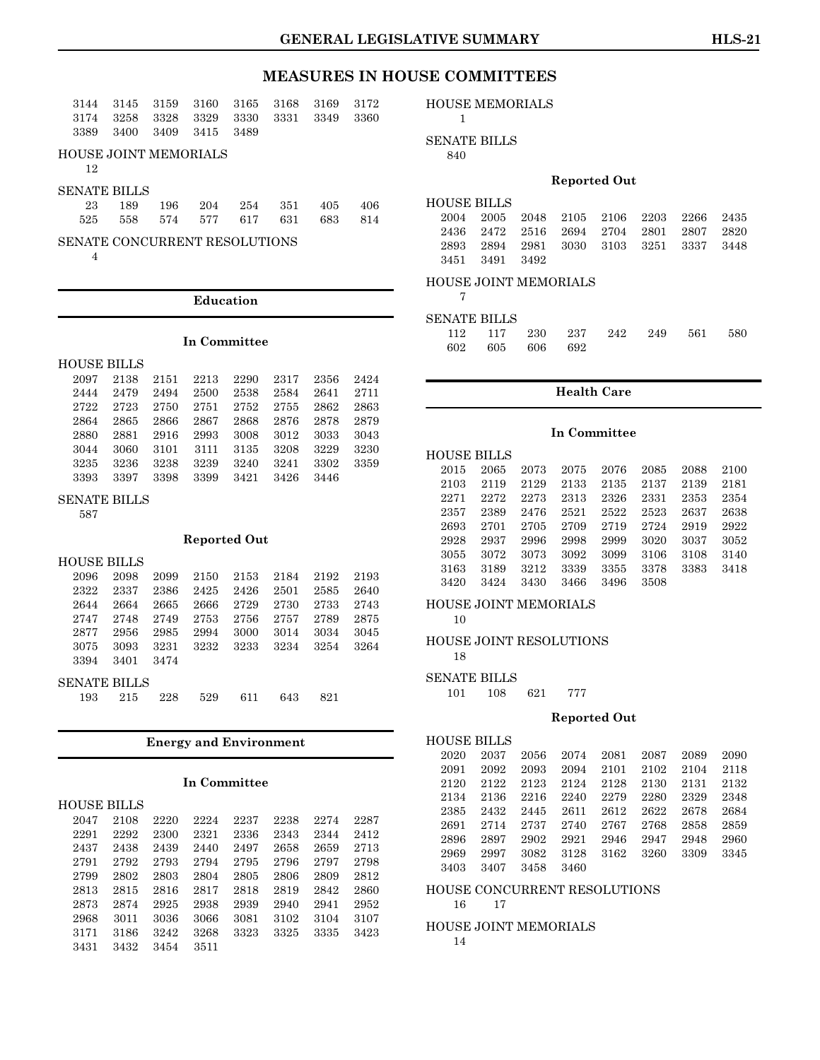| 3144 | 3145                  | 3159 | 3160 | 3165 | 3168 | 3169 | 3172 |
|------|-----------------------|------|------|------|------|------|------|
| 3174 | 3258                  | 3328 | 3329 | 3330 | 3331 | 3349 | 3360 |
| 3389 | 3400                  | 3409 | 3415 | 3489 |      |      |      |
| 12   | HOUSE JOINT MEMORIALS |      |      |      |      |      |      |
|      | SENATE BILLS          |      |      |      |      |      |      |
| 23   | 189                   | 196  | 204  | 254  | 351  | 405  | 406  |
| 525  | 558                   | 574  | 577  | 617  | 631  | 683  | 814  |

SENATE CONCURRENT RESOLUTIONS

4

#### **Education**

#### **In Committee**

| <b>HOUSE BILLS</b> |      |      |      |      |      |      |      |
|--------------------|------|------|------|------|------|------|------|
| 2097               | 2138 | 2151 | 2213 | 2290 | 2317 | 2356 | 2424 |
| 2444               | 2479 | 2494 | 2500 | 2538 | 2584 | 2641 | 2711 |
| 2722               | 2723 | 2750 | 2751 | 2752 | 2755 | 2862 | 2863 |
| 2864               | 2865 | 2866 | 2867 | 2868 | 2876 | 2878 | 2879 |
| 2880               | 2881 | 2916 | 2993 | 3008 | 3012 | 3033 | 3043 |
| 3044               | 3060 | 3101 | 3111 | 3135 | 3208 | 3229 | 3230 |
| 3235               | 3236 | 3238 | 3239 | 3240 | 3241 | 3302 | 3359 |
| 3393               | 3397 | 3398 | 3399 | 3421 | 3426 | 3446 |      |

SENATE BILLS

587

#### **Reported Out**

| <b>HOUSE BILLS</b>  |      |      |      |      |      |      |      |
|---------------------|------|------|------|------|------|------|------|
| 2096                | 2098 | 2099 | 2150 | 2153 | 2184 | 2192 | 2193 |
| 2322                | 2337 | 2386 | 2425 | 2426 | 2501 | 2585 | 2640 |
| 2644                | 2664 | 2665 | 2666 | 2729 | 2730 | 2733 | 2743 |
| 2747                | 2748 | 2749 | 2753 | 2756 | 2757 | 2789 | 2875 |
| 2877                | 2956 | 2985 | 2994 | 3000 | 3014 | 3034 | 3045 |
| 3075                | 3093 | 3231 | 3232 | 3233 | 3234 | 3254 | 3264 |
| 3394                | 3401 | 3474 |      |      |      |      |      |
| <b>SENATE BILLS</b> |      |      |      |      |      |      |      |
|                     |      |      |      |      |      |      |      |

|  | 193 215 228 529 611 643 821 |  |  |
|--|-----------------------------|--|--|
|  |                             |  |  |

#### **Energy and Environment**

#### **In Committee**

|      | <b>HOUSE BILLS</b> |      |      |      |      |      |      |
|------|--------------------|------|------|------|------|------|------|
| 2047 | 2108               | 2220 | 2224 | 2237 | 2238 | 2274 | 2287 |
| 2291 | 2292               | 2300 | 2321 | 2336 | 2343 | 2344 | 2412 |
| 2437 | 2438               | 2439 | 2440 | 2497 | 2658 | 2659 | 2713 |
| 2791 | 2792               | 2793 | 2794 | 2795 | 2796 | 2797 | 2798 |
| 2799 | 2802               | 2803 | 2804 | 2805 | 2806 | 2809 | 2812 |
| 2813 | 2815               | 2816 | 2817 | 2818 | 2819 | 2842 | 2860 |
| 2873 | 2874               | 2925 | 2938 | 2939 | 2940 | 2941 | 2952 |
| 2968 | 3011               | 3036 | 3066 | 3081 | 3102 | 3104 | 3107 |
| 3171 | 3186               | 3242 | 3268 | 3323 | 3325 | 3335 | 3423 |
| 3431 | 3432               | 3454 | 3511 |      |      |      |      |

### HOUSE MEMORIALS

|--|

SENATE BILLS

840

#### **Reported Out**

| <b>HOUSE BILLS</b> |                                         |  |  |  |
|--------------------|-----------------------------------------|--|--|--|
|                    | 2004 2005 2048 2105 2106 2203 2266 2435 |  |  |  |
|                    | 2436 2472 2516 2694 2704 2801 2807 2820 |  |  |  |
|                    | 2893 2894 2981 3030 3103 3251 3337 3448 |  |  |  |
|                    | 3451 3491 3492                          |  |  |  |

#### HOUSE JOINT MEMORIALS

| of the |
|--------|
|        |

#### SENATE BILLS

|  |                 |  | 112 117 230 237 242 249 561 580 |  |
|--|-----------------|--|---------------------------------|--|
|  | 602 605 606 692 |  |                                 |  |

### **Health Care**

#### **In Committee**

| <b>HOUSE BILLS</b> |      |      |      |      |      |      |      |
|--------------------|------|------|------|------|------|------|------|
| 2015               | 2065 | 2073 | 2075 | 2076 | 2085 | 2088 | 2100 |
| 2103               | 2119 | 2129 | 2133 | 2135 | 2137 | 2139 | 2181 |
| 2271               | 2272 | 2273 | 2313 | 2326 | 2331 | 2353 | 2354 |
| 2357               | 2389 | 2476 | 2521 | 2522 | 2523 | 2637 | 2638 |
| 2693               | 2701 | 2705 | 2709 | 2719 | 2724 | 2919 | 2922 |
| 2928               | 2937 | 2996 | 2998 | 2999 | 3020 | 3037 | 3052 |
| 3055               | 3072 | 3073 | 3092 | 3099 | 3106 | 3108 | 3140 |
| 3163               | 3189 | 3212 | 3339 | 3355 | 3378 | 3383 | 3418 |
| 3420               | 3424 | 3430 | 3466 | 3496 | 3508 |      |      |

#### HOUSE JOINT MEMORIALS

10

#### HOUSE JOINT RESOLUTIONS 18

#### SENATE BILLS

101 108 621 777

#### **Reported Out**

| <b>HOUSE BILLS</b> |      |      |      |      |      |      |      |
|--------------------|------|------|------|------|------|------|------|
| 2020               | 2037 | 2056 | 2074 | 2081 | 2087 | 2089 | 2090 |
| 2091               | 2092 | 2093 | 2094 | 2101 | 2102 | 2104 | 2118 |
| 2120               | 2122 | 2123 | 2124 | 2128 | 2130 | 2131 | 2132 |
| 2134               | 2136 | 2216 | 2240 | 2279 | 2280 | 2329 | 2348 |
| 2385               | 2432 | 2445 | 2611 | 2612 | 2622 | 2678 | 2684 |
| 2691               | 2714 | 2737 | 2740 | 2767 | 2768 | 2858 | 2859 |
| 2896               | 2897 | 2902 | 2921 | 2946 | 2947 | 2948 | 2960 |
| 2969               | 2997 | 3082 | 3128 | 3162 | 3260 | 3309 | 3345 |
| 3403               | 3407 | 3458 | 3460 |      |      |      |      |

#### HOUSE CONCURRENT RESOLUTIONS 16 17

HOUSE JOINT MEMORIALS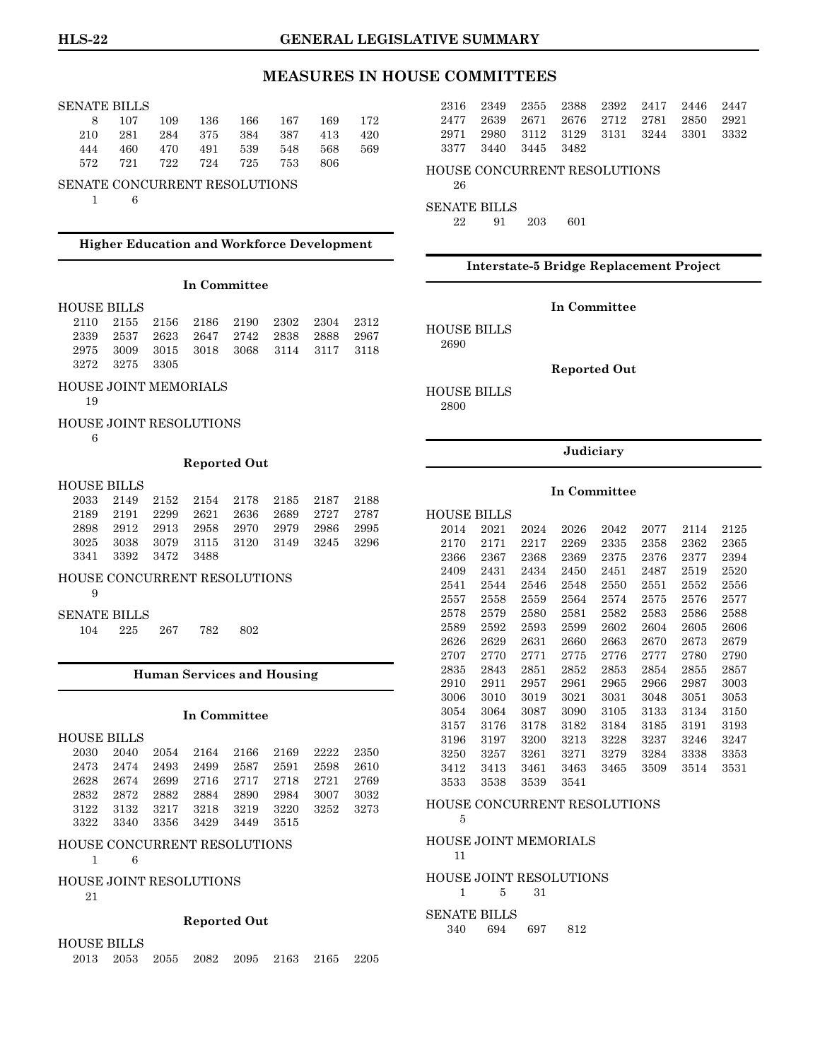#### SENATE BILLS

|  | 8 107 109 136 166 167 169 172   |  |  |  |
|--|---------------------------------|--|--|--|
|  | 210 281 284 375 384 387 413 420 |  |  |  |
|  | 444 460 470 491 539 548 568 569 |  |  |  |
|  | 572 721 722 724 725 753 806     |  |  |  |
|  |                                 |  |  |  |

### SENATE CONCURRENT RESOLUTIONS

1 6

### **Higher Education and Workforce Development**

#### **In Committee**

#### HOUSE BILLS

|                |  | 2110 2155 2156 2186 2190 2302 2304 2312 |  |  |
|----------------|--|-----------------------------------------|--|--|
|                |  | 2339 2537 2623 2647 2742 2838 2888 2967 |  |  |
|                |  | 2975 3009 3015 3018 3068 3114 3117 3118 |  |  |
| 3272 3275 3305 |  |                                         |  |  |

#### HOUSE JOINT MEMORIALS

19

#### HOUSE JOINT RESOLUTIONS

6

#### **Reported Out**

#### HOUSE BILLS

|                     |  |  | 2033 2149 2152 2154 2178 2185 2187 2188 |  |
|---------------------|--|--|-----------------------------------------|--|
|                     |  |  | 2189 2191 2299 2621 2636 2689 2727 2787 |  |
|                     |  |  | 2898 2912 2913 2958 2970 2979 2986 2995 |  |
|                     |  |  | 3025 3038 3079 3115 3120 3149 3245 3296 |  |
| 3341 3392 3472 3488 |  |  |                                         |  |

#### HOUSE CONCURRENT RESOLUTIONS

- 9
- SENATE BILLS
- 104 225 267 782 802

#### **Human Services and Housing**

### **In Committee**

|  |  | 2030 2040 2054 2164 2166 2169 2222 2350 |  |  |
|--|--|-----------------------------------------|--|--|
|  |  | 2473 2474 2493 2499 2587 2591 2598 2610 |  |  |
|  |  | 2628 2674 2699 2716 2717 2718 2721 2769 |  |  |
|  |  | 2832 2872 2882 2884 2890 2984 3007 3032 |  |  |
|  |  | 3122 3132 3217 3218 3219 3220 3252 3273 |  |  |
|  |  | 3322 3340 3356 3429 3449 3515           |  |  |

#### HOUSE CONCURRENT RESOLUTIONS

1 6

#### HOUSE JOINT RESOLUTIONS

21

#### **Reported Out**

HOUSE BILLS

|  | 2013 2053 2055 2082 2095 2163 2165 2205 |  |  |  |
|--|-----------------------------------------|--|--|--|
|  |                                         |  |  |  |

|  | 2316 2349 2355 2388 2392 2417 2446 2447 |  |  |  |
|--|-----------------------------------------|--|--|--|
|  | 2477 2639 2671 2676 2712 2781 2850 2921 |  |  |  |
|  | 2971 2980 3112 3129 3131 3244 3301 3332 |  |  |  |
|  | 3377 3440 3445 3482                     |  |  |  |

#### HOUSE CONCURRENT RESOLUTIONS

# 26

SENATE BILLS

22 91 203 601

#### **Interstate-5 Bridge Replacement Project**

#### **In Committee**

HOUSE BILLS 2690

#### **Reported Out**

HOUSE BILLS 2800

#### **Judiciary**

#### **In Committee**

| HOUSE BILLS |      |      |      |      |      |      |      |
|-------------|------|------|------|------|------|------|------|
| 2014        | 2021 | 2024 | 2026 | 2042 | 2077 | 2114 | 2125 |
| 2170        | 2171 | 2217 | 2269 | 2335 | 2358 | 2362 | 2365 |
| 2366        | 2367 | 2368 | 2369 | 2375 | 2376 | 2377 | 2394 |
| 2409        | 2431 | 2434 | 2450 | 2451 | 2487 | 2519 | 2520 |
| 2541        | 2544 | 2546 | 2548 | 2550 | 2551 | 2552 | 2556 |
| 2557        | 2558 | 2559 | 2564 | 2574 | 2575 | 2576 | 2577 |
| 2578        | 2579 | 2580 | 2581 | 2582 | 2583 | 2586 | 2588 |
| 2589        | 2592 | 2593 | 2599 | 2602 | 2604 | 2605 | 2606 |
| 2626        | 2629 | 2631 | 2660 | 2663 | 2670 | 2673 | 2679 |
| 2707        | 2770 | 2771 | 2775 | 2776 | 2777 | 2780 | 2790 |
| 2835        | 2843 | 2851 | 2852 | 2853 | 2854 | 2855 | 2857 |
| 2910        | 2911 | 2957 | 2961 | 2965 | 2966 | 2987 | 3003 |
| 3006        | 3010 | 3019 | 3021 | 3031 | 3048 | 3051 | 3053 |
| 3054        | 3064 | 3087 | 3090 | 3105 | 3133 | 3134 | 3150 |
| 3157        | 3176 | 3178 | 3182 | 3184 | 3185 | 3191 | 3193 |
| 3196        | 3197 | 3200 | 3213 | 3228 | 3237 | 3246 | 3247 |
| 3250        | 3257 | 3261 | 3271 | 3279 | 3284 | 3338 | 3353 |
| 3412        | 3413 | 3461 | 3463 | 3465 | 3509 | 3514 | 3531 |
| 3533        | 3538 | 3539 | 3541 |      |      |      |      |
|             |      |      |      |      |      |      |      |

#### HOUSE CONCURRENT RESOLUTIONS

# 5

HOUSE JOINT MEMORIALS 11

HOUSE JOINT RESOLUTIONS

1 5 31

#### SENATE BILLS 340 694 697 812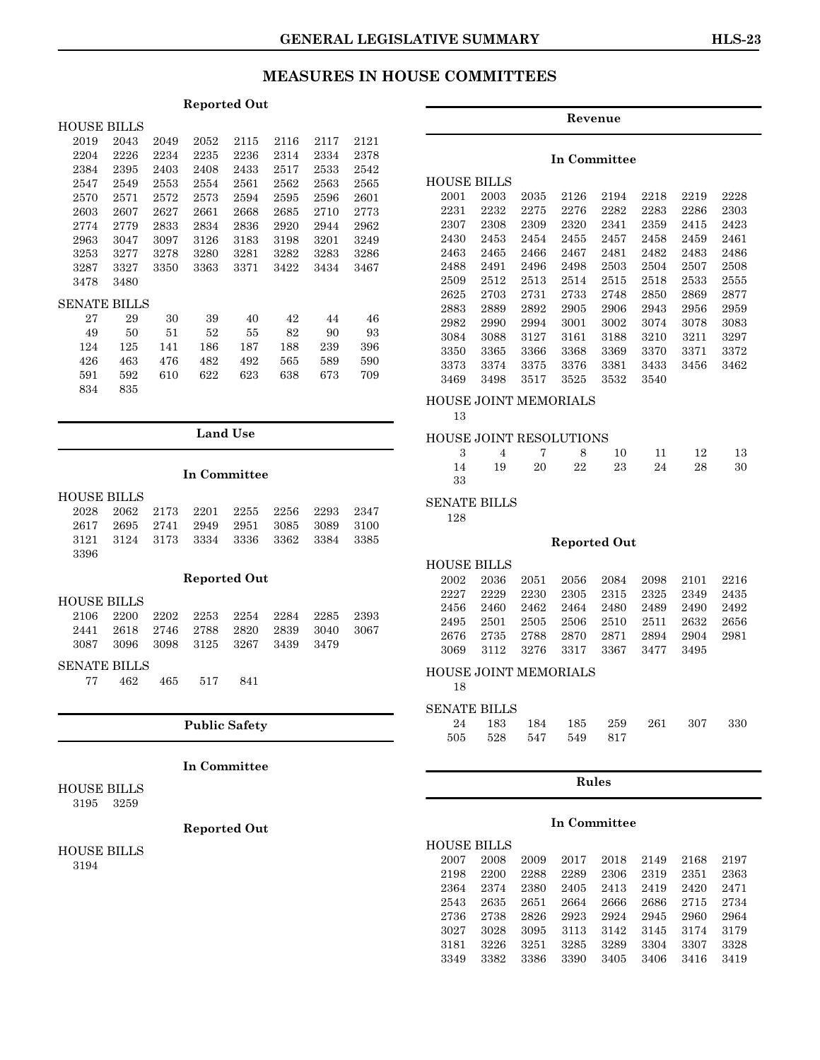#### **Reported Out**

| HOUSE BILLS  |      |      |      |      |      |      |      |
|--------------|------|------|------|------|------|------|------|
| 2019         | 2043 | 2049 | 2052 | 2115 | 2116 | 2117 | 2121 |
| 2204         | 2226 | 2234 | 2235 | 2236 | 2314 | 2334 | 2378 |
| 2384         | 2395 | 2403 | 2408 | 2433 | 2517 | 2533 | 2542 |
| 2547         | 2549 | 2553 | 2554 | 2561 | 2562 | 2563 | 2565 |
| 2570         | 2571 | 2572 | 2573 | 2594 | 2595 | 2596 | 2601 |
| 2603         | 2607 | 2627 | 2661 | 2668 | 2685 | 2710 | 2773 |
| 2774         | 2779 | 2833 | 2834 | 2836 | 2920 | 2944 | 2962 |
| 2963         | 3047 | 3097 | 3126 | 3183 | 3198 | 3201 | 3249 |
| 3253         | 3277 | 3278 | 3280 | 3281 | 3282 | 3283 | 3286 |
| 3287         | 3327 | 3350 | 3363 | 3371 | 3422 | 3434 | 3467 |
| 3478         | 3480 |      |      |      |      |      |      |
| SENATE BILLS |      |      |      |      |      |      |      |
| 27           | 29   | 30   | 39   | 40   | 42   | 44   | 46   |
| 49           | 50   | 51   | 52   | 55   | 82   | 90   | 93   |
| 124          | 125  | 141  | 186  | 187  | 188  | 239  | 396  |
| 426          | 463  | 476  | 482  | 492  | 565  | 589  | 590  |
| 591          | 592  | 610  | 622  | 623  | 638  | 673  | 709  |
| 834          | 835  |      |      |      |      |      |      |

#### **Land Use**

#### **In Committee**

| <b>HOUSE BILLS</b>  |      |      |      |                     |      |      |      |  |
|---------------------|------|------|------|---------------------|------|------|------|--|
| 2028                | 2062 | 2173 | 2201 | 2255                | 2256 | 2293 | 2347 |  |
| 2617                | 2695 | 2741 | 2949 | 2951                | 3085 | 3089 | 3100 |  |
| 3121                | 3124 | 3173 | 3334 | 3336                | 3362 | 3384 | 3385 |  |
| 3396                |      |      |      |                     |      |      |      |  |
|                     |      |      |      |                     |      |      |      |  |
|                     |      |      |      | <b>Reported Out</b> |      |      |      |  |
| <b>HOUSE BILLS</b>  |      |      |      |                     |      |      |      |  |
| 2106                | 2200 | 2202 | 2253 | 2254                | 2284 | 2285 | 2393 |  |
| 2441                | 2618 | 2746 | 2788 | 2820                | 2839 | 3040 | 3067 |  |
| 3087                | 3096 | 3098 | 3125 | 3267                | 3439 | 3479 |      |  |
| <b>SENATE BILLS</b> |      |      |      |                     |      |      |      |  |
| 77                  | 462  | 465  | 517  | 841                 |      |      |      |  |

### **Public Safety**

#### **In Committee**

HOUSE BILLS 3195 3259

### **Reported Out**

HOUSE BILLS 3194

### **Revenue**

#### **In Committee**

| HOUSE BILLS |      |      |      |      |      |      |      |
|-------------|------|------|------|------|------|------|------|
| 2001        | 2003 | 2035 | 2126 | 2194 | 2218 | 2219 | 2228 |
| 2231        | 2232 | 2275 | 2276 | 2282 | 2283 | 2286 | 2303 |
| 2307        | 2308 | 2309 | 2320 | 2341 | 2359 | 2415 | 2423 |
| 2430        | 2453 | 2454 | 2455 | 2457 | 2458 | 2459 | 2461 |
| 2463        | 2465 | 2466 | 2467 | 2481 | 2482 | 2483 | 2486 |
| 2488        | 2491 | 2496 | 2498 | 2503 | 2504 | 2507 | 2508 |
| 2509        | 2512 | 2513 | 2514 | 2515 | 2518 | 2533 | 2555 |
| 2625        | 2703 | 2731 | 2733 | 2748 | 2850 | 2869 | 2877 |
| 2883        | 2889 | 2892 | 2905 | 2906 | 2943 | 2956 | 2959 |
| 2982        | 2990 | 2994 | 3001 | 3002 | 3074 | 3078 | 3083 |
| 3084        | 3088 | 3127 | 3161 | 3188 | 3210 | 3211 | 3297 |
| 3350        | 3365 | 3366 | 3368 | 3369 | 3370 | 3371 | 3372 |
| 3373        | 3374 | 3375 | 3376 | 3381 | 3433 | 3456 | 3462 |
| 3469        | 3498 | 3517 | 3525 | 3532 | 3540 |      |      |

### HOUSE JOINT MEMORIALS

#### 13

### HOUSE JOINT RESOLUTIONS

|      |  |  | 3 4 7 8 10 11 12 13     |  |
|------|--|--|-------------------------|--|
|      |  |  | 14 19 20 22 23 24 28 30 |  |
| - 33 |  |  |                         |  |

### SENATE BILLS

128

#### **Reported Out**

#### HOUSE BILLS 2002 2036 2051 2056 2084 2098 2101 2216

|  |  | 2227 2229 2230 2305 2315 2325 2349 2435 |  |  |
|--|--|-----------------------------------------|--|--|
|  |  | 2456 2460 2462 2464 2480 2489 2490 2492 |  |  |
|  |  | 2495 2501 2505 2506 2510 2511 2632 2656 |  |  |
|  |  | 2676 2735 2788 2870 2871 2894 2904 2981 |  |  |
|  |  | 3069 3112 3276 3317 3367 3477 3495      |  |  |

#### HOUSE JOINT MEMORIALS

18

#### SENATE BILLS

|                     |  |  | 24 183 184 185 259 261 307 330 |  |
|---------------------|--|--|--------------------------------|--|
| 505 528 547 549 817 |  |  |                                |  |

#### **Rules**

#### **In Committee**

| <b>HOUSE BILLS</b> |      |      |      |      |      |      |      |
|--------------------|------|------|------|------|------|------|------|
| 2007               | 2008 | 2009 | 2017 | 2018 | 2149 | 2168 | 2197 |
| 2198               | 2200 | 2288 | 2289 | 2306 | 2319 | 2351 | 2363 |
| 2364               | 2374 | 2380 | 2405 | 2413 | 2419 | 2420 | 2471 |
| 2543               | 2635 | 2651 | 2664 | 2666 | 2686 | 2715 | 2734 |
| 2736               | 2738 | 2826 | 2923 | 2924 | 2945 | 2960 | 2964 |
| 3027               | 3028 | 3095 | 3113 | 3142 | 3145 | 3174 | 3179 |
| 3181               | 3226 | 3251 | 3285 | 3289 | 3304 | 3307 | 3328 |
| 3349               | 3382 | 3386 | 3390 | 3405 | 3406 | 3416 | 3419 |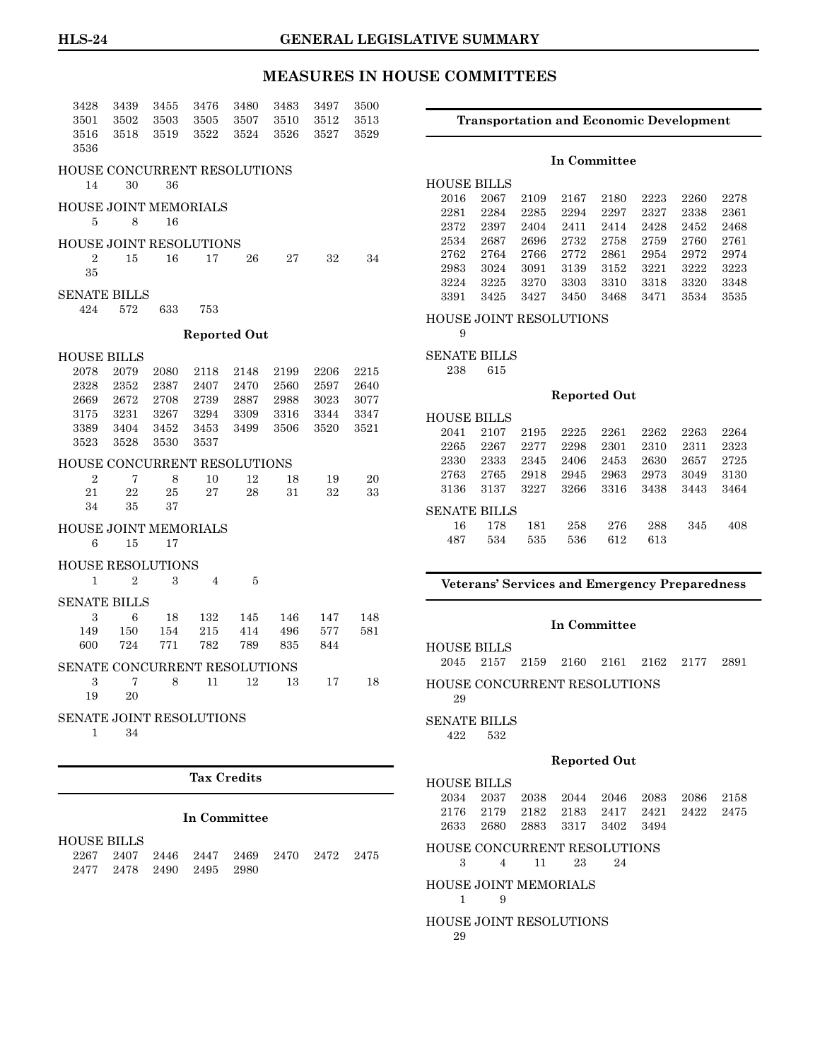| 3428                                             | 3439           | 3455 | 3476           | 3480                | 3483 | 3497 | 3500 |  |
|--------------------------------------------------|----------------|------|----------------|---------------------|------|------|------|--|
| 3501                                             | 3502           | 3503 | 3505           | 3507                | 3510 | 3512 | 3513 |  |
| 3516<br>3536                                     | 3518           | 3519 | 3522           | 3524                | 3526 | 3527 | 3529 |  |
| HOUSE CONCURRENT RESOLUTIONS                     |                |      |                |                     |      |      |      |  |
| 14                                               | 30             | 36   |                |                     |      |      |      |  |
| HOUSE JOINT MEMORIALS                            |                |      |                |                     |      |      |      |  |
| 5                                                | 8              | 16   |                |                     |      |      |      |  |
|                                                  |                |      |                |                     |      |      |      |  |
| <b>HOUSE JOINT RESOLUTIONS</b><br>$\overline{2}$ | 15             | 16   | 17             | 26                  | 27   | 32   | 34   |  |
| 35                                               |                |      |                |                     |      |      |      |  |
|                                                  |                |      |                |                     |      |      |      |  |
| <b>SENATE BILLS</b><br>424                       | 572            | 633  | 753            |                     |      |      |      |  |
|                                                  |                |      |                |                     |      |      |      |  |
|                                                  |                |      |                | <b>Reported Out</b> |      |      |      |  |
| <b>HOUSE BILLS</b>                               |                |      |                |                     |      |      |      |  |
| 2078                                             | 2079           | 2080 | 2118           | 2148                | 2199 | 2206 | 2215 |  |
| 2328                                             | 2352           | 2387 | 2407           | 2470                | 2560 | 2597 | 2640 |  |
| 2669                                             | 2672           | 2708 | 2739           | 2887                | 2988 | 3023 | 3077 |  |
| 3175                                             | 3231           | 3267 | 3294           | 3309                | 3316 | 3344 | 3347 |  |
| 3389                                             | 3404           | 3452 | 3453           | 3499                | 3506 | 3520 | 3521 |  |
| 3523                                             | 3528           | 3530 | 3537           |                     |      |      |      |  |
| <b>HOUSE CONCURRENT RESOLUTIONS</b>              |                |      |                |                     |      |      |      |  |
| $\overline{2}$                                   | 7              | 8    | 10             | 12                  | 18   | 19   | 20   |  |
| 21                                               | 22             | 25   | 27             | 28                  | 31   | 32   | 33   |  |
| 34                                               | 35             | 37   |                |                     |      |      |      |  |
| HOUSE JOINT MEMORIALS                            |                |      |                |                     |      |      |      |  |
| 6                                                | 15             | 17   |                |                     |      |      |      |  |
| <b>HOUSE RESOLUTIONS</b>                         |                |      |                |                     |      |      |      |  |
| 1                                                | $\overline{2}$ | 3    | $\overline{4}$ | 5                   |      |      |      |  |
| <b>SENATE BILLS</b>                              |                |      |                |                     |      |      |      |  |
| 3                                                | 6              | 18   | 132            | 145                 | 146  | 147  | 148  |  |
| 149                                              | 150            | 154  | 215            | 414                 | 496  | 577  | 581  |  |
| 600                                              | 724            | 771  | 782            | 789                 | 835  | 844  |      |  |
| SENATE CONCURRENT RESOLUTIONS                    |                |      |                |                     |      |      |      |  |
| 3                                                | 7              | 8    | 11             | 12                  | 13   | 17   | 18   |  |
| 19                                               | 20             |      |                |                     |      |      |      |  |
|                                                  |                |      |                |                     |      |      |      |  |
| SENATE JOINT RESOLUTIONS<br>1                    | 34             |      |                |                     |      |      |      |  |
|                                                  |                |      |                |                     |      |      |      |  |
|                                                  |                |      |                |                     |      |      |      |  |

# **Tax Credits**

#### **In Committee**

HOUSE BILLS

|  |  |                          |  | 2267 2407 2446 2447 2469 2470 2472 2475 |  |
|--|--|--------------------------|--|-----------------------------------------|--|
|  |  | 2477 2478 2490 2495 2980 |  |                                         |  |

#### **Transportation and Economic Development**

#### **In Committee**

| HOUSE BILLS |      |      |      |      |      |      |      |
|-------------|------|------|------|------|------|------|------|
| 2016        | 2067 | 2109 | 2167 | 2180 | 2223 | 2260 | 2278 |
| 2281        | 2284 | 2285 | 2294 | 2297 | 2327 | 2338 | 2361 |
| 2372        | 2397 | 2404 | 2411 | 2414 | 2428 | 2452 | 2468 |
| 2534        | 2687 | 2696 | 2732 | 2758 | 2759 | 2760 | 2761 |
| 2762        | 2764 | 2766 | 2772 | 2861 | 2954 | 2972 | 2974 |
| 2983        | 3024 | 3091 | 3139 | 3152 | 3221 | 3222 | 3223 |
| 3224        | 3225 | 3270 | 3303 | 3310 | 3318 | 3320 | 3348 |
| 3391        | 3425 | 3427 | 3450 | 3468 | 3471 | 3534 | 3535 |

#### HOUSE JOINT RESOLUTIONS

9

### SENATE BILLS

238 615

#### **Reported Out**

| HOUSE BILLS  |      |      |      |      |      |      |      |
|--------------|------|------|------|------|------|------|------|
| 2041         | 2107 | 2195 | 2225 | 2261 | 2262 | 2263 | 2264 |
| 2265         | 2267 | 2277 | 2298 | 2301 | 2310 | 2311 | 2323 |
| 2330         | 2333 | 2345 | 2406 | 2453 | 2630 | 2657 | 2725 |
| 2763         | 2765 | 2918 | 2945 | 2963 | 2973 | 3049 | 3130 |
| 3136         | 3137 | 3227 | 3266 | 3316 | 3438 | 3443 | 3464 |
| SENATE BILLS |      |      |      |      |      |      |      |
| 16           | 178  | 181  | 258  | 276  | 288  | 345  | 408  |
| 487          | 534  | 535  | 536  | 612  | 613  |      |      |

#### **Veterans' Services and Emergency Preparedness**

#### **In Committee**

HOUSE BILLS

2045 2157 2159 2160 2161 2162 2177 2891 HOUSE CONCURRENT RESOLUTIONS 29

#### SENATE BILLS

422 532

#### **Reported Out**

#### HOUSE BILLS 2034 2037 2038 2044 2046 2083 2086 2158 2176 2179 2182 2183 2417 2421 2422 2475 2633 2680 2883 3317 3402 3494

HOUSE CONCURRENT RESOLUTIONS

3 4 11 23 24

HOUSE JOINT MEMORIALS

1 9

HOUSE JOINT RESOLUTIONS 29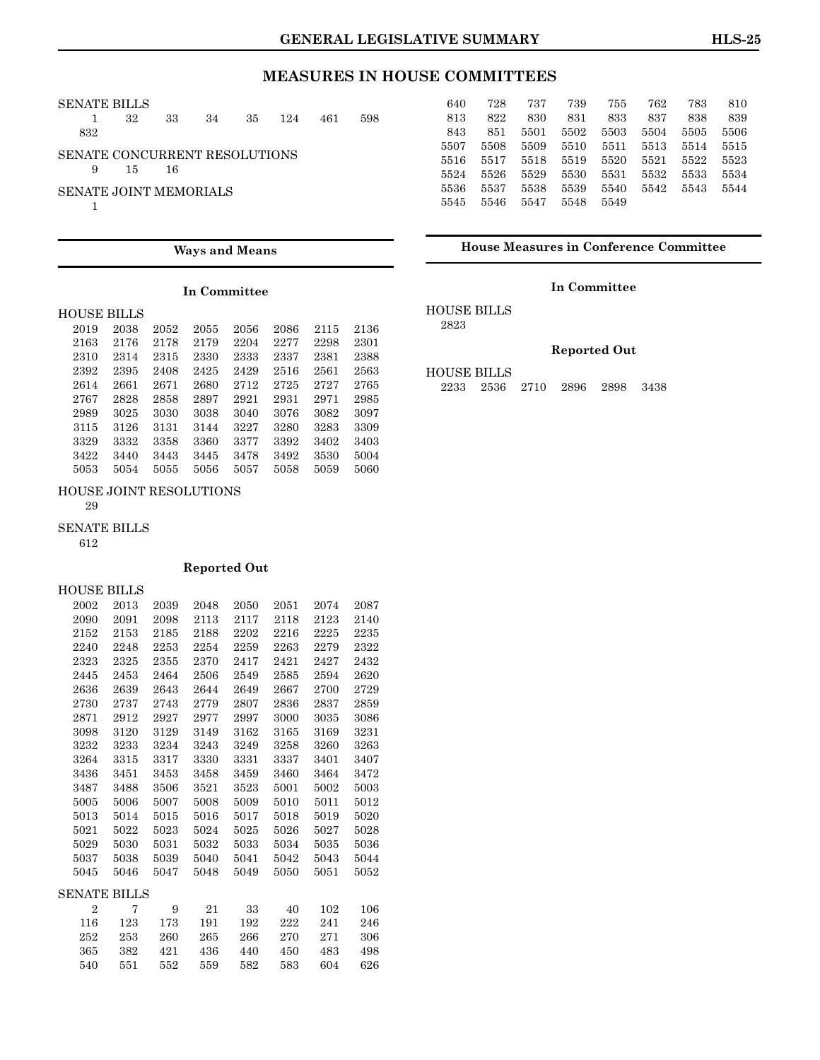### SENATE BILLS

|                               | 32 | 33   | - 34 | 35 124 461 | 598 |
|-------------------------------|----|------|------|------------|-----|
| 832                           |    |      |      |            |     |
| SENATE CONCURRENT RESOLUTIONS |    |      |      |            |     |
| 9                             | 15 | - 16 |      |            |     |
| <b>SENATE JOINT MEMORIALS</b> |    |      |      |            |     |
|                               |    |      |      |            |     |

| 640  | 728  | 737  | 739  | 755  | 762  | 783  | 810  |
|------|------|------|------|------|------|------|------|
| 813  | 822  | 830  | 831  | 833  | 837  | 838  | 839  |
| 843  | 851  | 5501 | 5502 | 5503 | 5504 | 5505 | 5506 |
| 5507 | 5508 | 5509 | 5510 | 5511 | 5513 | 5514 | 5515 |
| 5516 | 5517 | 5518 | 5519 | 5520 | 5521 | 5522 | 5523 |
| 5524 | 5526 | 5529 | 5530 | 5531 | 5532 | 5533 | 5534 |
| 5536 | 5537 | 5538 | 5539 | 5540 | 5542 | 5543 | 5544 |
| 5545 | 5546 | 5547 | 5548 | 5549 |      |      |      |

#### **Ways and Means**

#### **In Committee**

#### HOUSE BILLS

| 2019 | 2038 | 2052 | 2055 | 2056 | 2086 | 2115 | 2136 |
|------|------|------|------|------|------|------|------|
| 2163 | 2176 | 2178 | 2179 | 2204 | 2277 | 2298 | 2301 |
| 2310 | 2314 | 2315 | 2330 | 2333 | 2337 | 2381 | 2388 |
| 2392 | 2395 | 2408 | 2425 | 2429 | 2516 | 2561 | 2563 |
| 2614 | 2661 | 2671 | 2680 | 2712 | 2725 | 2727 | 2765 |
| 2767 | 2828 | 2858 | 2897 | 2921 | 2931 | 2971 | 2985 |
| 2989 | 3025 | 3030 | 3038 | 3040 | 3076 | 3082 | 3097 |
| 3115 | 3126 | 3131 | 3144 | 3227 | 3280 | 3283 | 3309 |
| 3329 | 3332 | 3358 | 3360 | 3377 | 3392 | 3402 | 3403 |
| 3422 | 3440 | 3443 | 3445 | 3478 | 3492 | 3530 | 5004 |
| 5053 | 5054 | 5055 | 5056 | 5057 | 5058 | 5059 | 5060 |

#### HOUSE JOINT RESOLUTIONS

29

#### SENATE BILLS

612

#### **Reported Out**

HOUSE BILLS

| 2002           | 2013 | 2039 | 2048 | 2050 | 2051 | 2074 | 2087 |
|----------------|------|------|------|------|------|------|------|
| 2090           | 2091 | 2098 | 2113 | 2117 | 2118 | 2123 | 2140 |
| 2152           | 2153 | 2185 | 2188 | 2202 | 2216 | 2225 | 2235 |
| 2240           | 2248 | 2253 | 2254 | 2259 | 2263 | 2279 | 2322 |
| 2323           | 2325 | 2355 | 2370 | 2417 | 2421 | 2427 | 2432 |
| 2445           | 2453 | 2464 | 2506 | 2549 | 2585 | 2594 | 2620 |
| 2636           | 2639 | 2643 | 2644 | 2649 | 2667 | 2700 | 2729 |
| 2730           | 2737 | 2743 | 2779 | 2807 | 2836 | 2837 | 2859 |
| 2871           | 2912 | 2927 | 2977 | 2997 | 3000 | 3035 | 3086 |
| 3098           | 3120 | 3129 | 3149 | 3162 | 3165 | 3169 | 3231 |
| 3232           | 3233 | 3234 | 3243 | 3249 | 3258 | 3260 | 3263 |
| 3264           | 3315 | 3317 | 3330 | 3331 | 3337 | 3401 | 3407 |
| 3436           | 3451 | 3453 | 3458 | 3459 | 3460 | 3464 | 3472 |
| 3487           | 3488 | 3506 | 3521 | 3523 | 5001 | 5002 | 5003 |
| 5005           | 5006 | 5007 | 5008 | 5009 | 5010 | 5011 | 5012 |
| 5013           | 5014 | 5015 | 5016 | 5017 | 5018 | 5019 | 5020 |
| 5021           | 5022 | 5023 | 5024 | 5025 | 5026 | 5027 | 5028 |
| 5029           | 5030 | 5031 | 5032 | 5033 | 5034 | 5035 | 5036 |
| 5037           | 5038 | 5039 | 5040 | 5041 | 5042 | 5043 | 5044 |
| 5045           | 5046 | 5047 | 5048 | 5049 | 5050 | 5051 | 5052 |
| SENATE BILLS   |      |      |      |      |      |      |      |
| $\overline{2}$ | 7    | 9    | 21   | 33   | 40   | 102  | 106  |
| 116            | 123  | 173  | 191  | 192  | 222  | 241  | 246  |
| 252            | 253  | 260  | 265  | 266  | 270  | 271  | 306  |
| 365            | 382  | 421  | 436  | 440  | 450  | 483  | 498  |
| 540            | 551  | 552  | 559  | 582  | 583  | 604  | 626  |
|                |      |      |      |      |      |      |      |

**House Measures in Conference Committee**

### **In Committee**

HOUSE BILLS 2823

# **Reported Out**

HOUSE BILLS

2233 2536 2710 2896 2898 3438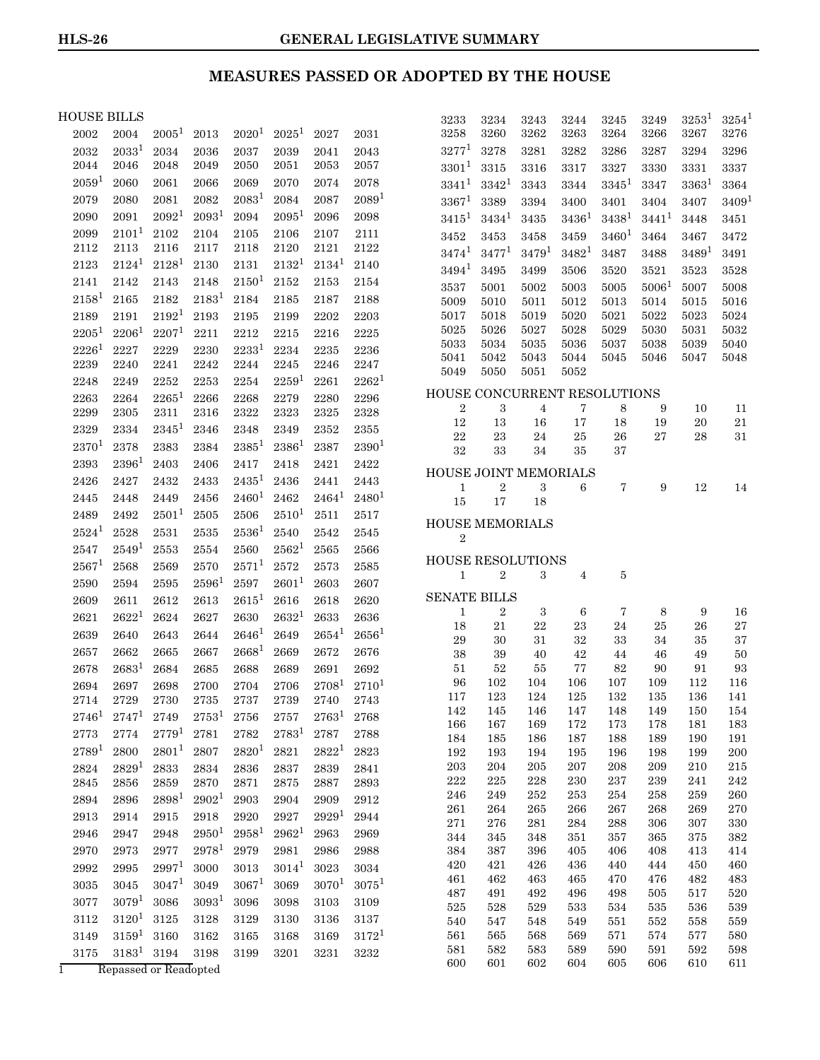## **MEASURES PASSED OR ADOPTED BY THE HOUSE**

### HOUSE BILLS

| IOUSE BILLS |                   |                   |                   |                   |            |                   |            | 3233                                     | 3234           | 3243              | 3244         | 3245       | 3249              | $3253^1$      | $3254^1$          |
|-------------|-------------------|-------------------|-------------------|-------------------|------------|-------------------|------------|------------------------------------------|----------------|-------------------|--------------|------------|-------------------|---------------|-------------------|
| 2002        | 2004              | $2005^1$          | 2013              | 2020 <sup>1</sup> | $2025^1$   | 2027              | 2031       | 3258                                     | 3260           | 3262              | 3263         | 3264       | 3266              | 3267          | 3276              |
| 2032        | $2033^1$          | 2034              | 2036              | 2037              | 2039       | 2041              | 2043       | $3277^1$                                 | 3278           | 3281              | 3282         | 3286       | 3287              | 3294          | 3296              |
| 2044        | 2046              | 2048              | 2049              | 2050              | 2051       | 2053              | 2057       | $3301^{1}$                               | 3315           | 3316              | 3317         | 3327       | 3330              | 3331          | 3337              |
| $2059^1$    | 2060              | 2061              | 2066              | 2069              | 2070       | 2074              | 2078       | $3341^{1}$                               | $3342^1$       | 3343              | 3344         | $3345^1$   | 3347              | $3363^1$      | 3364              |
| 2079        | 2080              | 2081              | 2082              | $2083^1$          | 2084       | 2087              | $2089^1$   | $3367^1$                                 | 3389           | 3394              | 3400         | 3401       | 3404              | 3407          | 3409 <sup>1</sup> |
| 2090        | 2091              | 2092 <sup>1</sup> | 2093 <sup>1</sup> | 2094              | $2095^1$   | 2096              | 2098       | $3415^1$                                 | $3434^1$       | 3435              | $3436^1$     | $3438^1$   | $3441^1$          | 3448          | 3451              |
| 2099        | $2101^{1}$        | 2102              | 2104              | 2105              | 2106       | 2107              | 2111       | 3452                                     | 3453           | 3458              | 3459         | $3460^1$   | 3464              | 3467          | 3472              |
| 2112        | 2113              | 2116              | 2117              | 2118              | 2120       | 2121              | 2122       | $3474^1$                                 | $3477^1$       | 3479 <sup>1</sup> | $3482^1$     | 3487       | 3488              | $3489^1$      | 3491              |
| 2123        | $2124^1$          | $2128^1$          | 2130              | 2131              | $2132^1$   | $2134^1$          | 2140       | $3494^1$                                 | 3495           | 3499              | 3506         | 3520       | 3521              | 3523          | 3528              |
| 2141        | 2142              | 2143              | 2148              | $2150^1$          | 2152       | 2153              | 2154       | 3537                                     | 5001           | 5002              | 5003         | 5005       | 5006 <sup>1</sup> | 5007          | 5008              |
| $2158^1$    | 2165              | 2182              | $2183^1$          | 2184              | 2185       | 2187              | 2188       | 5009                                     | 5010           | 5011              | 5012         | 5013       | 5014              | 5015          | 5016              |
| 2189        | 2191              | $2192^1$          | 2193              | 2195              | 2199       | 2202              | 2203       | 5017                                     | 5018           | 5019              | 5020         | 5021       | 5022              | 5023          | 5024              |
| $2205^{1}$  | $2206^1$          | $2207^1$          | 2211              | 2212              | 2215       | 2216              | 2225       | 5025                                     | 5026           | 5027              | 5028         | 5029       | 5030              | $_{\rm 5031}$ | 5032              |
| $2226^1$    | 2227              | 2229              | 2230              | $2233^1$          | 2234       | 2235              | 2236       | 5033                                     | 5034           | 5035              | 5036         | 5037       | 5038              | 5039          | 5040              |
| 2239        | 2240              | 2241              | 2242              | 2244              | 2245       | 2246              | 2247       | 5041<br>5049                             | 5042<br>5050   | 5043<br>5051      | 5044<br>5052 | 5045       | 5046              | 5047          | 5048              |
| 2248        | 2249              | 2252              | 2253              | 2254              | $2259^1$   | 2261              | $2262^1$   |                                          |                |                   |              |            |                   |               |                   |
| 2263        | 2264              | $2265^1$          | 2266              | 2268              | 2279       | 2280              | 2296       | HOUSE CONCURRENT RESOLUTIONS             |                |                   |              |            |                   |               |                   |
| 2299        | 2305              | 2311              | 2316              | 2322              | 2323       | 2325              | 2328       | $\boldsymbol{2}$<br>12                   | 3<br>13        | 4<br>16           | 7<br>17      | 8<br>18    | 9<br>19           | 10<br>20      | 11<br>21          |
| 2329        | 2334              | $2345^1$          | 2346              | 2348              | 2349       | 2352              | 2355       | $\bf{22}$                                | 23             | $\bf 24$          | $\rm 25$     | ${\bf 26}$ | 27                | 28            | 31                |
| $2370^{1}$  | 2378              | 2383              | 2384              | $2385^1$          | $2386^1$   | 2387              | $2390^1$   | 32                                       | 33             | 34                | 35           | 37         |                   |               |                   |
| 2393        | $2396^1$          | 2403              | 2406              | 2417              | 2418       | 2421              | 2422       | HOUSE JOINT MEMORIALS                    |                |                   |              |            |                   |               |                   |
| 2426        | 2427              | 2432              | 2433              | $2435^1$          | 2436       | 2441              | 2443       | $\mathbf{1}$                             | $\sqrt{2}$     | $\rm 3$           | 6            | 7          | 9                 | 12            | 14                |
| 2445        | 2448              | 2449              | 2456              | $2460^1$          | 2462       | $2464^1$          | $2480^1$   | 15                                       | 17             | 18                |              |            |                   |               |                   |
| 2489        | 2492              | $2501^1$          | 2505              | 2506              | $2510^1$   | 2511              | 2517       |                                          |                |                   |              |            |                   |               |                   |
| $2524^1$    | 2528              | 2531              | 2535              | $2536^1$          | 2540       | 2542              | 2545       | <b>HOUSE MEMORIALS</b><br>$\overline{2}$ |                |                   |              |            |                   |               |                   |
| 2547        | $2549^1$          | 2553              | 2554              | 2560              | $2562^1$   | 2565              | 2566       |                                          |                |                   |              |            |                   |               |                   |
| $2567^1$    | 2568              | 2569              | 2570              | $2571^1$          | 2572       | 2573              | 2585       | <b>HOUSE RESOLUTIONS</b>                 |                |                   |              |            |                   |               |                   |
| 2590        | 2594              | 2595              | 2596 <sup>1</sup> | 2597              | $2601^1$   | 2603              | 2607       | $\mathbf{1}$                             | $\overline{2}$ | 3                 | 4            | 5          |                   |               |                   |
| 2609        | 2611              | 2612              | 2613              | $2615^1$          | 2616       | 2618              | 2620       | <b>SENATE BILLS</b>                      |                |                   |              |            |                   |               |                   |
| 2621        | 2622 <sup>1</sup> | 2624              | 2627              | 2630              | $2632^1$   | 2633              | 2636       | $\mathbf{1}$                             | $\overline{2}$ | 3                 | 6            | 7          | 8                 | 9             | 16                |
| 2639        | 2640              | 2643              | 2644              | $2646^{1}$        | 2649       | $2654^1$          | $2656^1$   | 18                                       | 21             | 22                | 23           | 24         | 25                | 26            | 27                |
| 2657        | 2662              | 2665              | 2667              | $2668^1$          | 2669       | 2672              | 2676       | 29<br>38                                 | 30<br>39       | 31<br>40          | 32<br>42     | 33<br>44   | 34<br>46          | 35<br>49      | 37<br>50          |
| 2678        | $2683^1$          | 2684              | 2685              | 2688              | 2689       | 2691              | 2692       | 51                                       | 52             | 55                | 77           | 82         | 90                | 91            | 93                |
| 2694        | 2697              | 2698              | 2700              | 2704              | 2706       | $2708^1$          | $2710^{1}$ | 96                                       | 102            | 104               | 106          | 107        | 109               | 112           | 116               |
| 2714        | 2729              | 2730              | 2735              | 2737              | 2739       | 2740              | 2743       | 117                                      | 123            | 124               | 125          | 132        | 135               | 136           | 141               |
| $2746^1$    | $2747^1$          | 2749              | $2753^1$          | $\bf 2756$        | $\bf 2757$ | $2763^1$          | 2768       | 142                                      | 145            | 146               | 147          | 148        | 149               | 150           | 154               |
| 2773        | 2774              | $2779^{1}$        | 2781              | 2782              | $2783^1$   | 2787              | 2788       | 166<br>184                               | 167<br>185     | 169<br>186        | 172<br>187   | 173<br>188 | 178<br>189        | 181<br>190    | 183<br>191        |
| $2789^{1}$  | 2800              | $2801^1$          | 2807              | $2820^{1}$        | 2821       | $2822^1$          | 2823       | 192                                      | 193            | 194               | 195          | 196        | 198               | 199           | $200\,$           |
| 2824        | 2829 <sup>1</sup> | 2833              | 2834              | 2836              | 2837       | 2839              | 2841       | 203                                      | 204            | 205               | 207          | 208        | 209               | 210           | 215               |
| 2845        | 2856              | 2859              | 2870              | 2871              | 2875       | 2887              | 2893       | $222\,$                                  | 225            | 228               | 230          | 237        | 239               | 241           | 242               |
| 2894        | 2896              | $2898^1$          | 2902 <sup>1</sup> | 2903              | 2904       | 2909              | 2912       | 246                                      | 249            | 252               | 253          | 254        | 258               | 259           | 260               |
| 2913        | 2914              | $\bf 2915$        | 2918              | 2920              | 2927       | 2929 <sup>1</sup> | 2944       | $261\,$                                  | 264            | ${\bf 265}$       | 266          | 267        | 268               | 269           | $270\,$           |
| 2946        | 2947              | 2948              | $2950^{1}$        | $2958^1$          | $2962^1$   | 2963              | 2969       | $\bf 271$<br>344                         | 276<br>345     | 281<br>348        | 284<br>351   | 288<br>357 | 306<br>365        | 307<br>375    | 330<br>382        |
| 2970        | 2973              | 2977              | $2978^1$          | 2979              | 2981       | 2986              | 2988       | 384                                      | 387            | 396               | 405          | 406        | 408               | 413           | 414               |
| 2992        | 2995              | $2997^1$          | $3000\,$          | 3013              | $3014^1$   | 3023              | 3034       | 420                                      | 421            | 426               | 436          | 440        | 444               | 450           | 460               |
| 3035        | 3045              | $3047^1$          | 3049              | $3067^1$          | 3069       | $3070^{1}$        | $3075^1$   | 461                                      | 462            | 463               | 465          | 470        | 476               | 482           | 483               |
| 3077        | 3079 <sup>1</sup> | 3086              | 3093 <sup>1</sup> | 3096              | 3098       | 3103              | 3109       | 487                                      | 491            | 492               | 496          | 498        | 505               | 517           | 520               |
| 3112        | $3120^1$          | 3125              | 3128              | 3129              | 3130       | 3136              | 3137       | $525\,$<br>540                           | 528<br>547     | 529<br>548        | 533<br>549   | 534<br>551 | 535<br>552        | 536<br>558    | 539<br>559        |
| 3149        | $3159^1$          | 3160              | 3162              | 3165              | 3168       | 3169              | $3172^1$   | 561                                      | 565            | 568               | 569          | 571        | 574               | 577           | 580               |
| 3175        | $3183^1$          | 3194              | 3198              | 3199              | 3201       | $3231\,$          | 3232       | 581                                      | 582            | 583               | 589          | 590        | 591               | 592           | 598               |
|             |                   |                   |                   |                   |            |                   |            | 600                                      | 601            | 602               | 604          | 605        | 606               | 610           | 611               |

1 Repassed or Readopted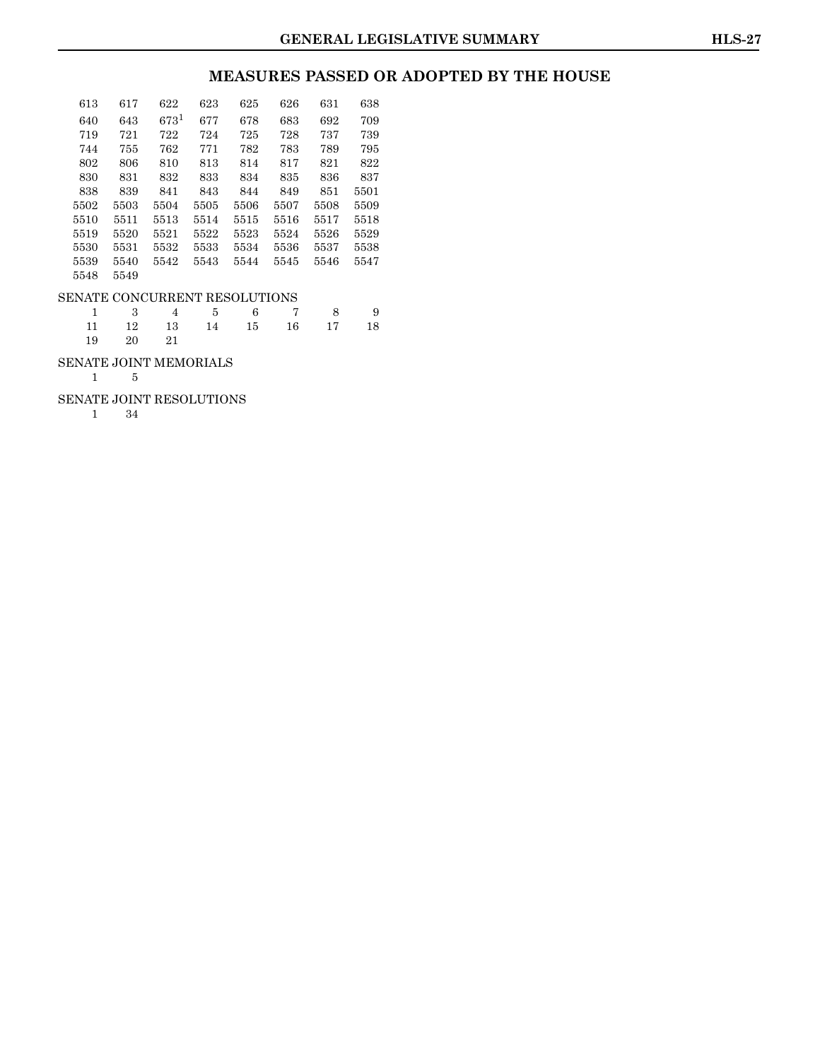### **MEASURES PASSED OR ADOPTED BY THE HOUSE**

| 613                           | 617  | 622     | 623  | 625  | 626  | 631  | 638  |  |  |  |
|-------------------------------|------|---------|------|------|------|------|------|--|--|--|
| 640                           | 643  | $673^1$ | 677  | 678  | 683  | 692  | 709  |  |  |  |
| 719                           | 721  | 722     | 724  | 725  | 728  | 737  | 739  |  |  |  |
| 744                           | 755  | 762     | 771  | 782  | 783  | 789  | 795  |  |  |  |
| 802                           | 806  | 810     | 813  | 814  | 817  | 821  | 822  |  |  |  |
| 830                           | 831  | 832     | 833  | 834  | 835  | 836  | 837  |  |  |  |
| 838                           | 839  | 841     | 843  | 844  | 849  | 851  | 5501 |  |  |  |
| 5502                          | 5503 | 5504    | 5505 | 5506 | 5507 | 5508 | 5509 |  |  |  |
| 5510                          | 5511 | 5513    | 5514 | 5515 | 5516 | 5517 | 5518 |  |  |  |
| 5519                          | 5520 | 5521    | 5522 | 5523 | 5524 | 5526 | 5529 |  |  |  |
| 5530                          | 5531 | 5532    | 5533 | 5534 | 5536 | 5537 | 5538 |  |  |  |
| 5539                          | 5540 | 5542    | 5543 | 5544 | 5545 | 5546 | 5547 |  |  |  |
| 5548                          | 5549 |         |      |      |      |      |      |  |  |  |
| SENATE CONCURRENT RESOLUTIONS |      |         |      |      |      |      |      |  |  |  |
| 1                             | 3    | 4       | 5    | 6    | 7    | 8    | 9    |  |  |  |
| 11                            | 12   | 13      | 14   | 15   | 16   | 17   | 18   |  |  |  |
| 19                            | 20   | 21      |      |      |      |      |      |  |  |  |

### SENATE JOINT MEMORIALS

1 5

### SENATE JOINT RESOLUTIONS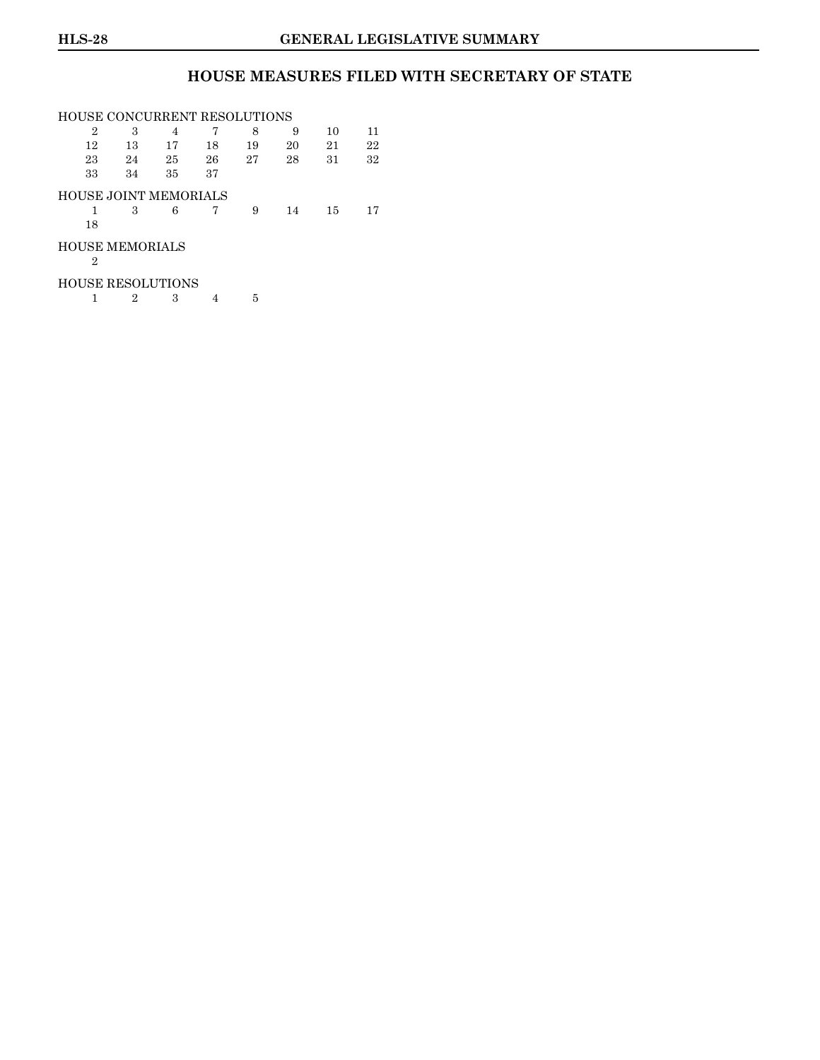### **HOUSE MEASURES FILED WITH SECRETARY OF STATE**

|    | HOUSE CONCURRENT RESOLUTIONS |    |    |    |    |    |    |  |  |  |  |
|----|------------------------------|----|----|----|----|----|----|--|--|--|--|
| 2  | 3                            | 4  | 7  | 8  | 9  | 10 | 11 |  |  |  |  |
| 12 | 13                           | 17 | 18 | 19 | 20 | 21 | 22 |  |  |  |  |
| 23 | 24                           | 25 | 26 | 27 | 28 | 31 | 32 |  |  |  |  |
| 33 | 34                           | 35 | 37 |    |    |    |    |  |  |  |  |
|    | <b>HOUSE JOINT MEMORIALS</b> |    |    |    |    |    |    |  |  |  |  |
|    | 3                            | 6  |    | 9  | 14 | 15 | 17 |  |  |  |  |
| 18 |                              |    |    |    |    |    |    |  |  |  |  |
|    | <b>HOUSE MEMORIALS</b>       |    |    |    |    |    |    |  |  |  |  |
| 2  |                              |    |    |    |    |    |    |  |  |  |  |
|    | <b>HOUSE RESOLUTIONS</b>     |    |    |    |    |    |    |  |  |  |  |

 $1 \t 2 \t 3 \t 4 \t 5$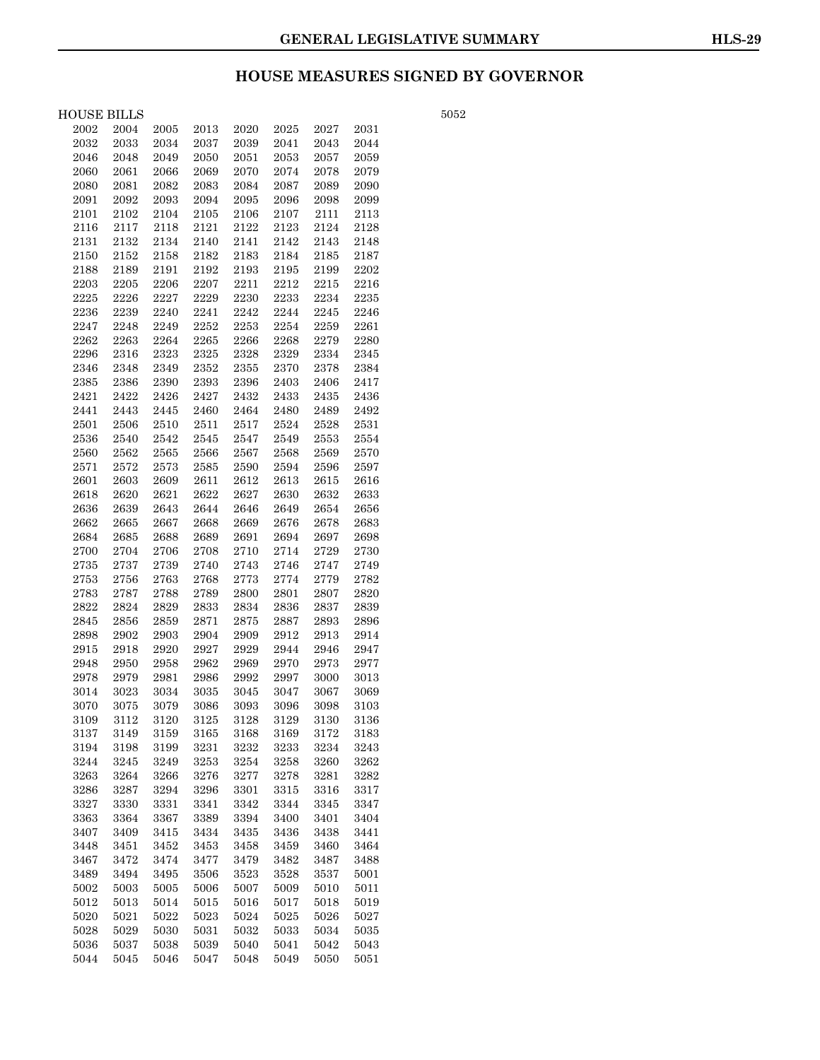## **HOUSE MEASURES SIGNED BY GOVERNOR**

| HOUSE BILLS |               |          |            |          |                     |      |      |
|-------------|---------------|----------|------------|----------|---------------------|------|------|
| 2002        | 2004          | 2005     | 2013       | 2020     | 2025                | 2027 | 2031 |
| 2032        | 2033          | 2034     | 2037       | 2039     | 2041                | 2043 | 2044 |
| 2046        | 2048          | 2049     | 2050       | $2051\,$ | 2053                | 2057 | 2059 |
| 2060        | 2061          | 2066     | 2069       | 2070     | 2074                | 2078 | 2079 |
| 2080        | 2081          | 2082     | 2083       | 2084     | $\boldsymbol{2087}$ | 2089 | 2090 |
| 2091        | 2092          | 2093     | 2094       | 2095     | 2096                | 2098 | 2099 |
| $\rm 2101$  | 2102          | 2104     | 2105       | 2106     | 2107                | 2111 | 2113 |
| 2116        | 2117          | 2118     | 2121       | 2122     | 2123                | 2124 | 2128 |
| 2131        | 2132          | 2134     | 2140       | 2141     | 2142                | 2143 | 2148 |
| 2150        | $\sqrt{2152}$ | 2158     | 2182       | 2183     | 2184                | 2185 | 2187 |
| 2188        | 2189          | 2191     | 2192       | 2193     | 2195                | 2199 | 2202 |
| 2203        | $2205\,$      | 2206     | 2207       | 2211     | 2212                | 2215 | 2216 |
| 2225        | 2226          | 2227     | 2229       | 2230     | 2233                | 2234 | 2235 |
| 2236        | 2239          | 2240     | 2241       | 2242     | 2244                | 2245 | 2246 |
| 2247        | 2248          | 2249     | 2252       | 2253     | 2254                | 2259 | 2261 |
| 2262        | 2263          | 2264     | 2265       | 2266     | 2268                | 2279 | 2280 |
| 2296        | 2316          | 2323     | 2325       | 2328     | 2329                | 2334 | 2345 |
| 2346        | 2348          | 2349     | $\bf 2352$ | 2355     | 2370                | 2378 | 2384 |
| 2385        | 2386          | 2390     | 2393       | 2396     | 2403                | 2406 | 2417 |
| 2421        | 2422          | 2426     | 2427       | 2432     | 2433                | 2435 | 2436 |
| 2441        | 2443          | 2445     | 2460       | 2464     | 2480                | 2489 | 2492 |
| 2501        | 2506          | $2510\,$ | 2511       | $2517\,$ | $\bf 2524$          | 2528 | 2531 |
| 2536        | 2540          | 2542     | 2545       | 2547     | 2549                | 2553 | 2554 |
| 2560        | 2562          | 2565     | 2566       | 2567     | 2568                | 2569 | 2570 |
| 2571        | 2572          | 2573     | 2585       | 2590     | $\bf 2594$          | 2596 | 2597 |
| 2601        | 2603          | 2609     | 2611       | 2612     | 2613                | 2615 | 2616 |
| 2618        | 2620          | 2621     | 2622       | 2627     | 2630                | 2632 | 2633 |
| 2636        | 2639          | 2643     | 2644       | 2646     | 2649                | 2654 | 2656 |
| 2662        | 2665          | 2667     | 2668       | 2669     | 2676                | 2678 | 2683 |
| 2684        | 2685          | 2688     | 2689       | 2691     | 2694                | 2697 | 2698 |
| 2700        | 2704          | 2706     | 2708       | 2710     | 2714                | 2729 | 2730 |
| 2735        | 2737          | 2739     | $\bf 2740$ | 2743     | 2746                | 2747 | 2749 |
| 2753        | 2756          | 2763     | $\bf 2768$ | 2773     | 2774                | 2779 | 2782 |
| 2783        | 2787          | 2788     | 2789       | 2800     | 2801                | 2807 | 2820 |
| 2822        | 2824          | 2829     | 2833       | 2834     | 2836                | 2837 | 2839 |
| 2845        | 2856          | 2859     | 2871       | 2875     | 2887                | 2893 | 2896 |
| 2898        | 2902          | 2903     | 2904       | 2909     | 2912                | 2913 | 2914 |
| 2915        | 2918          | 2920     | 2927       | 2929     | 2944                | 2946 | 2947 |
| 2948        | 2950          | 2958     | 2962       | 2969     | 2970                | 2973 | 2977 |
| 2978        | 2979          | 2981     | 2986       | 2992     | 2997                | 3000 | 3013 |
| 3014        | 3023          | 3034     | 3035       | 3045     | 3047                | 3067 | 3069 |
| 3070        | 3075          | 3079     | 3086       | 3093     | 3096                | 3098 | 3103 |
| 3109        | 3112          | 3120     | 3125       | 3128     | 3129                | 3130 | 3136 |
| 3137        | 3149          | 3159     | 3165       | 3168     | 3169                | 3172 | 3183 |
| 3194        | 3198          | 3199     | 3231       | 3232     | 3233                | 3234 | 3243 |
| 3244        | 3245          | 3249     | 3253       | 3254     | 3258                | 3260 | 3262 |
| 3263        | 3264          | 3266     | 3276       | 3277     | 3278                | 3281 | 3282 |
| 3286        | 3287          | 3294     | 3296       | 3301     | 3315                | 3316 | 3317 |
| 3327        | 3330          | 3331     | 3341       | 3342     | 3344                | 3345 | 3347 |
| 3363        | 3364          | 3367     | 3389       | 3394     | 3400                | 3401 | 3404 |
| 3407        | 3409          | 3415     | 3434       | 3435     | 3436                | 3438 | 3441 |
| 3448        | 3451          | 3452     | 3453       | 3458     | 3459                | 3460 | 3464 |
| 3467        | 3472          | 3474     | 3477       | 3479     | 3482                | 3487 | 3488 |
| 3489        | 3494          | 3495     | 3506       | 3523     | 3528                | 3537 | 5001 |
| 5002        | 5003          | 5005     | 5006       | 5007     | 5009                | 5010 | 5011 |
| 5012        | 5013          | 5014     | 5015       | 5016     | 5017                | 5018 | 5019 |
| 5020        | 5021          | 5022     | 5023       | 5024     | 5025                | 5026 | 5027 |
| 5028        | 5029          | 5030     | 5031       | 5032     | 5033                | 5034 | 5035 |
| 5036        | 5037          | 5038     | 5039       | 5040     | 5041                | 5042 | 5043 |
| 5044        | 5045          | 5046     | 5047       | 5048     | 5049                | 5050 | 5051 |
|             |               |          |            |          |                     |      |      |